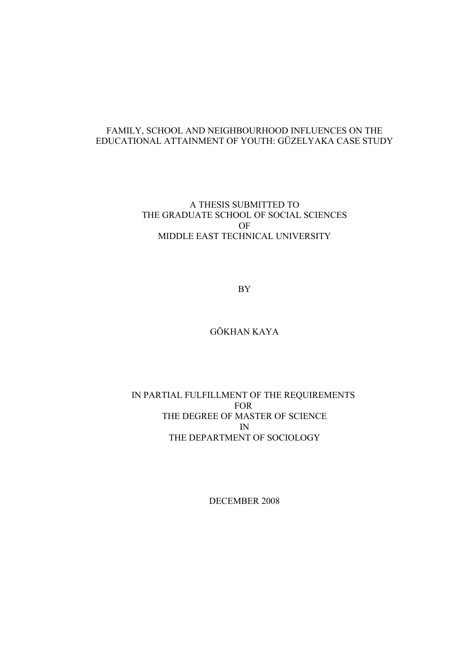## FAMILY, SCHOOL AND NEIGHBOURHOOD INFLUENCES ON THE EDUCATIONAL ATTAINMENT OF YOUTH: GÜZELYAKA CASE STUDY

## A THESIS SUBMITTED TO THE GRADUATE SCHOOL OF SOCIAL SCIENCES OF MIDDLE EAST TECHNICAL UNIVERSITY

BY

## GÖKHAN KAYA

## IN PARTIAL FULFILLMENT OF THE REQUIREMENTS FOR THE DEGREE OF MASTER OF SCIENCE IN THE DEPARTMENT OF SOCIOLOGY

DECEMBER 2008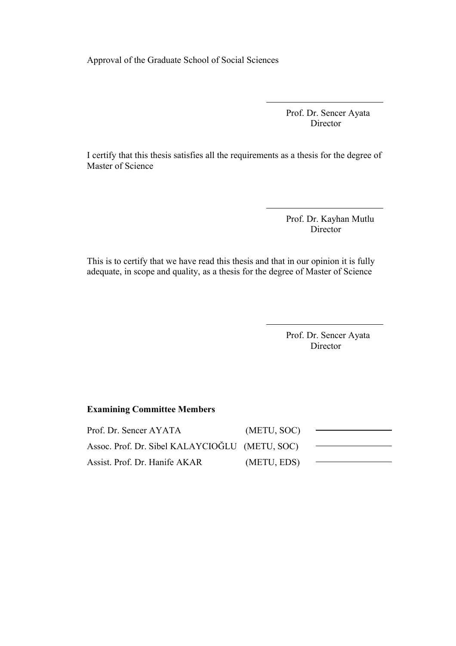Approval of the Graduate School of Social Sciences

 Prof. Dr. Sencer Ayata Director

I certify that this thesis satisfies all the requirements as a thesis for the degree of Master of Science

> Prof. Dr. Kayhan Mutlu Director

This is to certify that we have read this thesis and that in our opinion it is fully adequate, in scope and quality, as a thesis for the degree of Master of Science

> Prof. Dr. Sencer Ayata Director

## **Examining Committee Members**

| Prof. Dr. Sencer AYATA                         | (METU, SOC) |  |
|------------------------------------------------|-------------|--|
| Assoc. Prof. Dr. Sibel KALAYCIOĞLU (METU, SOC) |             |  |
| Assist. Prof. Dr. Hanife AKAR                  | (METU, EDS) |  |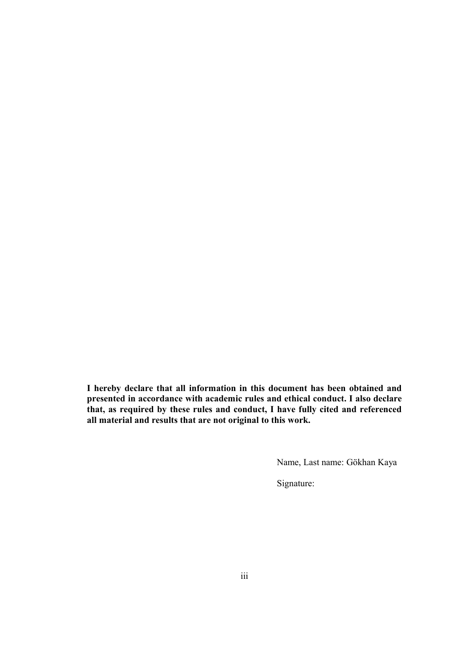**I hereby declare that all information in this document has been obtained and presented in accordance with academic rules and ethical conduct. I also declare that, as required by these rules and conduct, I have fully cited and referenced all material and results that are not original to this work.**

Name, Last name: Gökhan Kaya

Signature: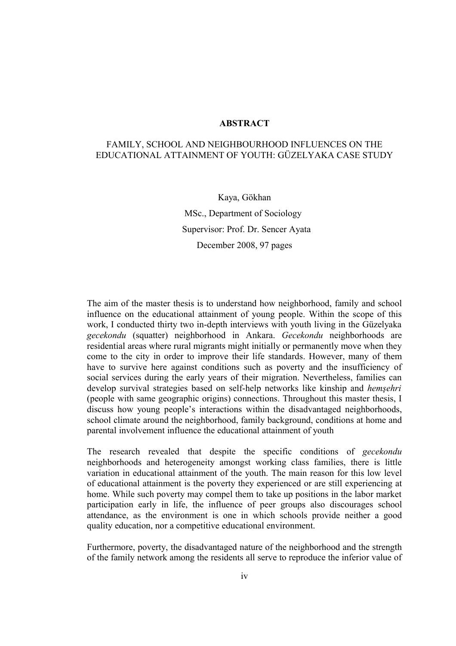## **ABSTRACT**

## FAMILY, SCHOOL AND NEIGHBOURHOOD INFLUENCES ON THE EDUCATIONAL ATTAINMENT OF YOUTH: GÜZELYAKA CASE STUDY

Kaya, Gökhan MSc., Department of Sociology Supervisor: Prof. Dr. Sencer Ayata December 2008, 97 pages

The aim of the master thesis is to understand how neighborhood, family and school influence on the educational attainment of young people. Within the scope of this work, I conducted thirty two in-depth interviews with youth living in the Güzelyaka *gecekondu* (squatter) neighborhood in Ankara. *Gecekondu* neighborhoods are residential areas where rural migrants might initially or permanently move when they come to the city in order to improve their life standards. However, many of them have to survive here against conditions such as poverty and the insufficiency of social services during the early years of their migration. Nevertheless, families can develop survival strategies based on self-help networks like kinship and *hemşehri* (people with same geographic origins) connections. Throughout this master thesis, I discuss how young people's interactions within the disadvantaged neighborhoods, school climate around the neighborhood, family background, conditions at home and parental involvement influence the educational attainment of youth

The research revealed that despite the specific conditions of *gecekondu* neighborhoods and heterogeneity amongst working class families, there is little variation in educational attainment of the youth. The main reason for this low level of educational attainment is the poverty they experienced or are still experiencing at home. While such poverty may compel them to take up positions in the labor market participation early in life, the influence of peer groups also discourages school attendance, as the environment is one in which schools provide neither a good quality education, nor a competitive educational environment.

Furthermore, poverty, the disadvantaged nature of the neighborhood and the strength of the family network among the residents all serve to reproduce the inferior value of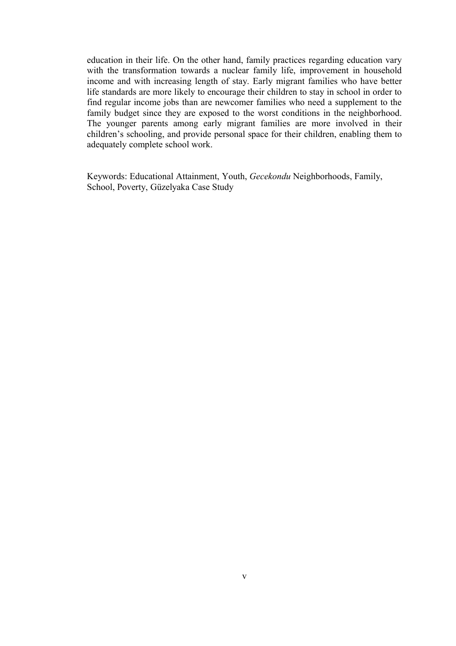education in their life. On the other hand, family practices regarding education vary with the transformation towards a nuclear family life, improvement in household income and with increasing length of stay. Early migrant families who have better life standards are more likely to encourage their children to stay in school in order to find regular income jobs than are newcomer families who need a supplement to the family budget since they are exposed to the worst conditions in the neighborhood. The younger parents among early migrant families are more involved in their children's schooling, and provide personal space for their children, enabling them to adequately complete school work.

Keywords: Educational Attainment, Youth, *Gecekondu* Neighborhoods, Family, School, Poverty, Güzelyaka Case Study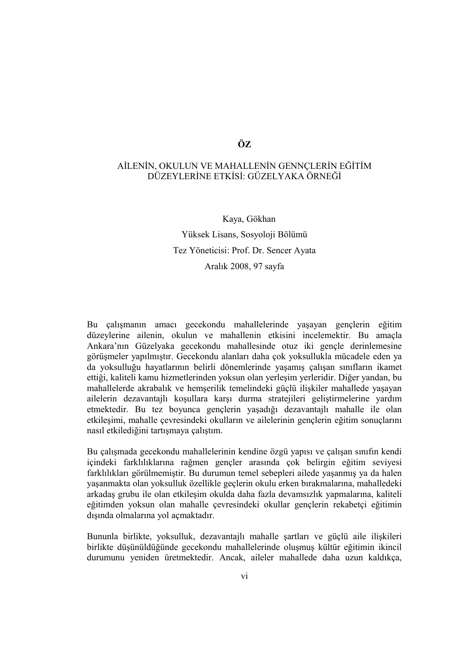## **ÖZ**

## AİLENİN, OKULUN VE MAHALLENİN GENNÇLERİN EĞİTİM DÜZEYLERİNE ETKİSİ: GÜZELYAKA ÖRNEĞİ

 Kaya, Gökhan Yüksek Lisans, Sosyoloji Bölümü Tez Yöneticisi: Prof. Dr. Sencer Ayata Aralık 2008, 97 sayfa

Bu çalışmanın amacı gecekondu mahallelerinde yaşayan gençlerin eğitim düzeylerine ailenin, okulun ve mahallenin etkisini incelemektir. Bu amaçla Ankara'nın Güzelyaka gecekondu mahallesinde otuz iki gençle derinlemesine görüşmeler yapılmıştır. Gecekondu alanları daha çok yoksullukla mücadele eden ya da yoksulluğu hayatlarının belirli dönemlerinde yaşamış çalışan sınıfların ikamet ettiği, kaliteli kamu hizmetlerinden yoksun olan yerleşim yerleridir. Diğer yandan, bu mahallelerde akrabalık ve hemşerilik temelindeki güçlü ilişkiler mahallede yaşayan ailelerin dezavantajlı koşullara karşı durma stratejileri geliştirmelerine yardım etmektedir. Bu tez boyunca gençlerin yaşadığı dezavantajlı mahalle ile olan etkileşimi, mahalle çevresindeki okulların ve ailelerinin gençlerin eğitim sonuçlarını nasıl etkilediğini tartışmaya çalıştım.

Bu çalışmada gecekondu mahallelerinin kendine özgü yapısı ve çalışan sınıfın kendi içindeki farklılıklarına rağmen gençler arasında çok belirgin eğitim seviyesi farklılıkları görülmemiştir. Bu durumun temel sebepleri ailede yaşanmış ya da halen yaşanmakta olan yoksulluk özellikle geçlerin okulu erken bırakmalarına, mahalledeki arkadaş grubu ile olan etkileşim okulda daha fazla devamsızlık yapmalarına, kaliteli eğitimden yoksun olan mahalle çevresindeki okullar gençlerin rekabetçi eğitimin dışında olmalarına yol açmaktadır.

Bununla birlikte, yoksulluk, dezavantajlı mahalle şartları ve güçlü aile ilişkileri birlikte düşünüldüğünde gecekondu mahallelerinde oluşmuş kültür eğitimin ikincil durumunu yeniden üretmektedir. Ancak, aileler mahallede daha uzun kaldıkça,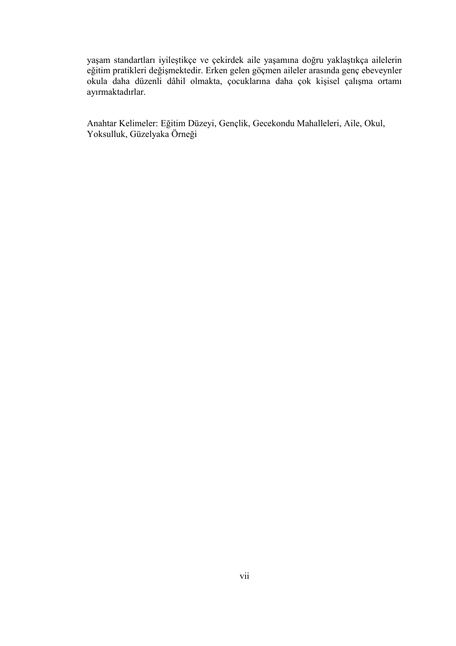yaşam standartları iyileştikçe ve çekirdek aile yaşamına doğru yaklaştıkça ailelerin eğitim pratikleri değişmektedir. Erken gelen göçmen aileler arasında genç ebeveynler okula daha düzenli dâhil olmakta, çocuklarına daha çok kişisel çalışma ortamı ayırmaktadırlar.

Anahtar Kelimeler: Eğitim Düzeyi, Gençlik, Gecekondu Mahalleleri, Aile, Okul, Yoksulluk, Güzelyaka Örneği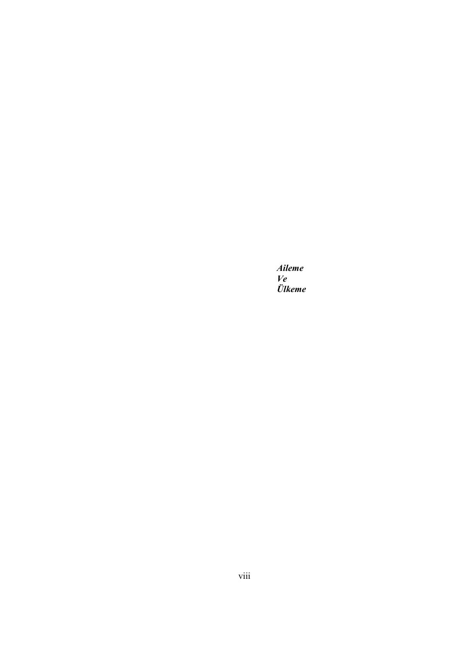*Aileme Ve Ülkeme*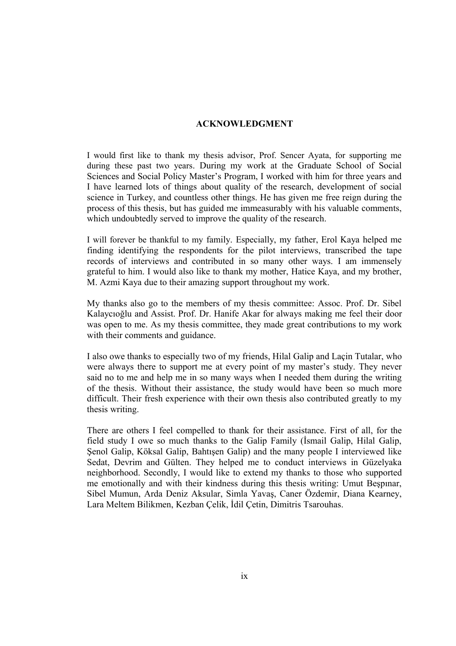## **ACKNOWLEDGMENT**

I would first like to thank my thesis advisor, Prof. Sencer Ayata, for supporting me during these past two years. During my work at the Graduate School of Social Sciences and Social Policy Master's Program, I worked with him for three years and I have learned lots of things about quality of the research, development of social science in Turkey, and countless other things. He has given me free reign during the process of this thesis, but has guided me immeasurably with his valuable comments, which undoubtedly served to improve the quality of the research.

I will forever be thankful to my family. Especially, my father, Erol Kaya helped me finding identifying the respondents for the pilot interviews, transcribed the tape records of interviews and contributed in so many other ways. I am immensely grateful to him. I would also like to thank my mother, Hatice Kaya, and my brother, M. Azmi Kaya due to their amazing support throughout my work.

My thanks also go to the members of my thesis committee: Assoc. Prof. Dr. Sibel Kalaycıoğlu and Assist. Prof. Dr. Hanife Akar for always making me feel their door was open to me. As my thesis committee, they made great contributions to my work with their comments and guidance.

I also owe thanks to especially two of my friends, Hilal Galip and Laçin Tutalar, who were always there to support me at every point of my master's study. They never said no to me and help me in so many ways when I needed them during the writing of the thesis. Without their assistance, the study would have been so much more difficult. Their fresh experience with their own thesis also contributed greatly to my thesis writing.

There are others I feel compelled to thank for their assistance. First of all, for the field study I owe so much thanks to the Galip Family (İsmail Galip, Hilal Galip, Senol Galip, Köksal Galip, Bahtısen Galip) and the many people I interviewed like Sedat, Devrim and Gülten. They helped me to conduct interviews in Güzelyaka neighborhood. Secondly, I would like to extend my thanks to those who supported me emotionally and with their kindness during this thesis writing: Umut Beşpınar, Sibel Mumun, Arda Deniz Aksular, Simla Yavaş, Caner Özdemir, Diana Kearney, Lara Meltem Bilikmen, Kezban Çelik, İdil Çetin, Dimitris Tsarouhas.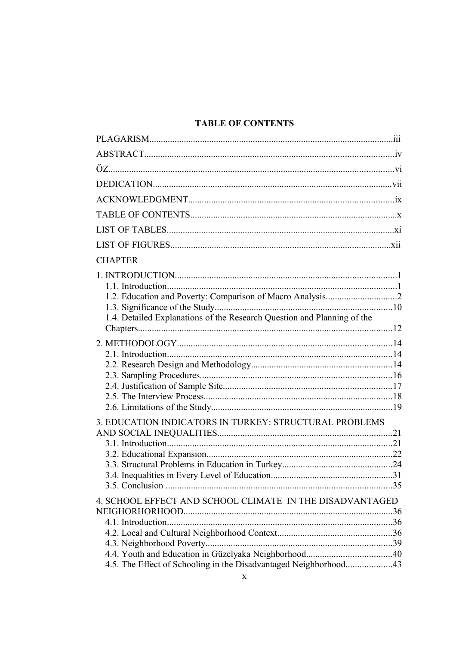## **TABLE OF CONTENTS**

| <b>CHAPTER</b>                                                          |  |
|-------------------------------------------------------------------------|--|
|                                                                         |  |
|                                                                         |  |
|                                                                         |  |
|                                                                         |  |
| 1.4. Detailed Explanations of the Research Question and Planning of the |  |
|                                                                         |  |
|                                                                         |  |
|                                                                         |  |
|                                                                         |  |
|                                                                         |  |
|                                                                         |  |
|                                                                         |  |
| 3. EDUCATION INDICATORS IN TURKEY: STRUCTURAL PROBLEMS                  |  |
|                                                                         |  |
|                                                                         |  |
|                                                                         |  |
|                                                                         |  |
|                                                                         |  |
|                                                                         |  |
| 4. SCHOOL EFFECT AND SCHOOL CLIMATE IN THE DISADVANTAGED                |  |
|                                                                         |  |
|                                                                         |  |
|                                                                         |  |
|                                                                         |  |
| 4.5. The Effect of Schooling in the Disadvantaged Neighborhood43        |  |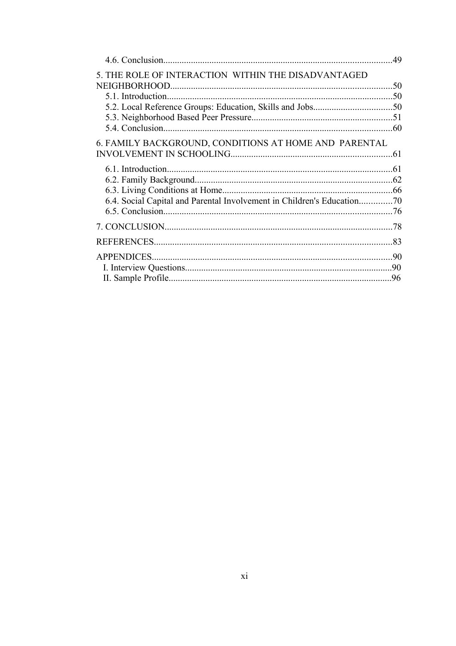|                                                       | .49 |
|-------------------------------------------------------|-----|
| 5. THE ROLE OF INTERACTION WITHIN THE DISADVANTAGED   |     |
|                                                       |     |
|                                                       |     |
|                                                       |     |
|                                                       |     |
|                                                       |     |
| 6. FAMILY BACKGROUND, CONDITIONS AT HOME AND PARENTAL |     |
|                                                       |     |
|                                                       |     |
|                                                       |     |
|                                                       |     |
|                                                       |     |
|                                                       |     |
|                                                       |     |
|                                                       |     |
|                                                       |     |
|                                                       |     |
|                                                       |     |
|                                                       |     |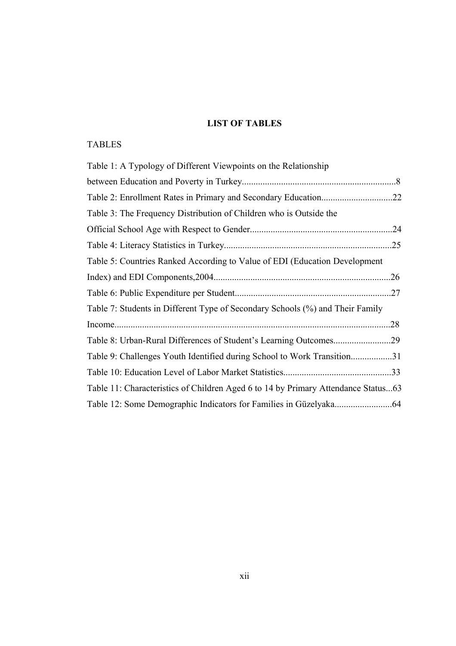## **LIST OF TABLES**

## TABLES

| Table 1: A Typology of Different Viewpoints on the Relationship                   |     |
|-----------------------------------------------------------------------------------|-----|
|                                                                                   |     |
|                                                                                   |     |
| Table 3: The Frequency Distribution of Children who is Outside the                |     |
|                                                                                   | .24 |
|                                                                                   |     |
| Table 5: Countries Ranked According to Value of EDI (Education Development        |     |
|                                                                                   | .26 |
|                                                                                   |     |
| Table 7: Students in Different Type of Secondary Schools (%) and Their Family     |     |
|                                                                                   | .28 |
|                                                                                   |     |
| Table 9: Challenges Youth Identified during School to Work Transition31           |     |
|                                                                                   |     |
| Table 11: Characteristics of Children Aged 6 to 14 by Primary Attendance Status63 |     |
|                                                                                   |     |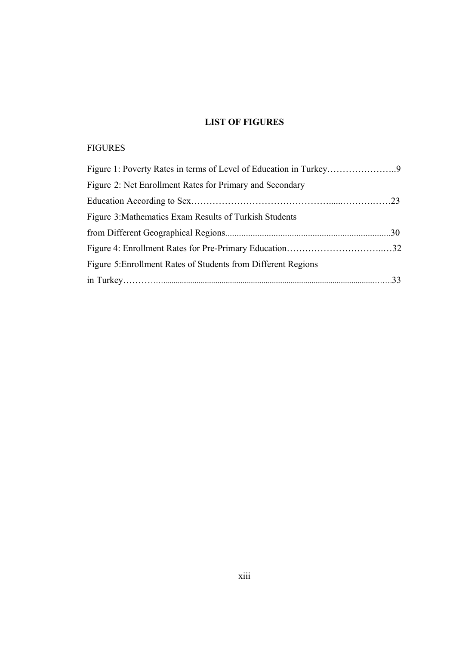## **LIST OF FIGURES**

## FIGURES

| Figure 2: Net Enrollment Rates for Primary and Secondary      |  |
|---------------------------------------------------------------|--|
|                                                               |  |
| Figure 3: Mathematics Exam Results of Turkish Students        |  |
|                                                               |  |
|                                                               |  |
| Figure 5: Enrollment Rates of Students from Different Regions |  |
|                                                               |  |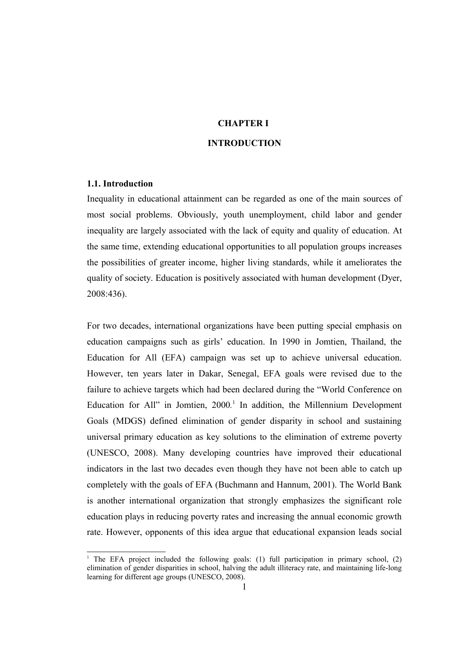## **CHAPTER I INTRODUCTION**

#### **1.1. Introduction**

Inequality in educational attainment can be regarded as one of the main sources of most social problems. Obviously, youth unemployment, child labor and gender inequality are largely associated with the lack of equity and quality of education. At the same time, extending educational opportunities to all population groups increases the possibilities of greater income, higher living standards, while it ameliorates the quality of society. Education is positively associated with human development (Dyer, 2008:436).

For two decades, international organizations have been putting special emphasis on education campaigns such as girls' education. In 1990 in Jomtien, Thailand, the Education for All (EFA) campaign was set up to achieve universal education. However, ten years later in Dakar, Senegal, EFA goals were revised due to the failure to achieve targets which had been declared during the "World Conference on Education for All" in Jomtien, 2000*.* [1](#page-13-0) In addition, the Millennium Development Goals (MDGS) defined elimination of gender disparity in school and sustaining universal primary education as key solutions to the elimination of extreme poverty (UNESCO, 2008). Many developing countries have improved their educational indicators in the last two decades even though they have not been able to catch up completely with the goals of EFA (Buchmann and Hannum, 2001). The World Bank is another international organization that strongly emphasizes the significant role education plays in reducing poverty rates and increasing the annual economic growth rate. However, opponents of this idea argue that educational expansion leads social

<span id="page-13-0"></span><sup>&</sup>lt;sup>1</sup> The EFA project included the following goals: (1) full participation in primary school, (2) elimination of gender disparities in school, halving the adult illiteracy rate, and maintaining life-long learning for different age groups (UNESCO, 2008).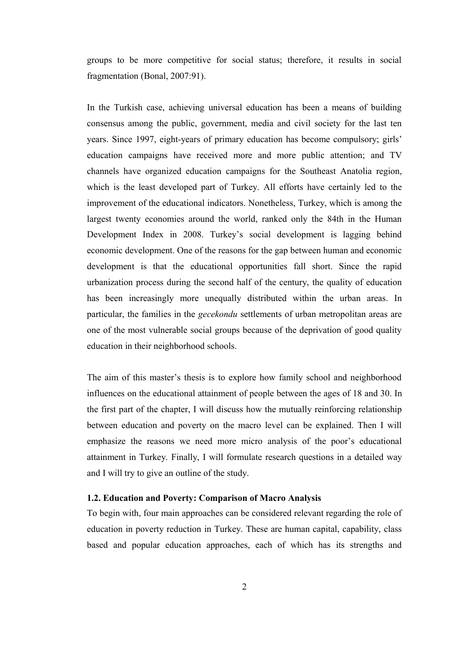groups to be more competitive for social status; therefore, it results in social fragmentation (Bonal, 2007:91).

In the Turkish case, achieving universal education has been a means of building consensus among the public, government, media and civil society for the last ten years. Since 1997, eight-years of primary education has become compulsory; girls' education campaigns have received more and more public attention; and TV channels have organized education campaigns for the Southeast Anatolia region, which is the least developed part of Turkey. All efforts have certainly led to the improvement of the educational indicators. Nonetheless, Turkey, which is among the largest twenty economies around the world, ranked only the 84th in the Human Development Index in 2008. Turkey's social development is lagging behind economic development. One of the reasons for the gap between human and economic development is that the educational opportunities fall short. Since the rapid urbanization process during the second half of the century, the quality of education has been increasingly more unequally distributed within the urban areas. In particular, the families in the *gecekondu* settlements of urban metropolitan areas are one of the most vulnerable social groups because of the deprivation of good quality education in their neighborhood schools.

The aim of this master's thesis is to explore how family school and neighborhood influences on the educational attainment of people between the ages of 18 and 30. In the first part of the chapter, I will discuss how the mutually reinforcing relationship between education and poverty on the macro level can be explained. Then I will emphasize the reasons we need more micro analysis of the poor's educational attainment in Turkey. Finally, I will formulate research questions in a detailed way and I will try to give an outline of the study.

## **1.2. Education and Poverty: Comparison of Macro Analysis**

To begin with, four main approaches can be considered relevant regarding the role of education in poverty reduction in Turkey. These are human capital, capability, class based and popular education approaches, each of which has its strengths and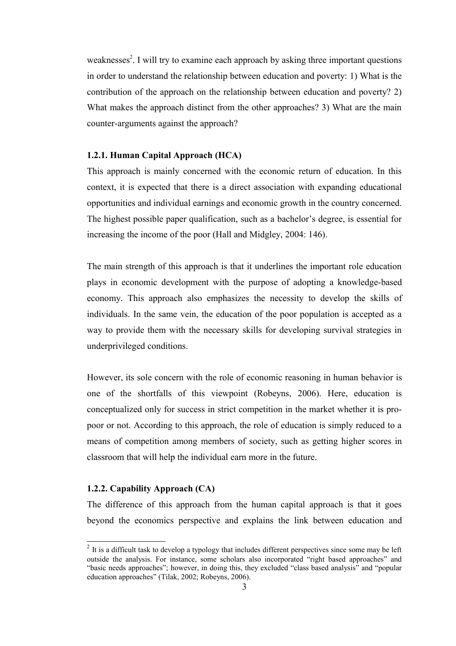weaknesses<sup>[2](#page-15-0)</sup>. I will try to examine each approach by asking three important questions in order to understand the relationship between education and poverty: 1) What is the contribution of the approach on the relationship between education and poverty? 2) What makes the approach distinct from the other approaches? 3) What are the main counter-arguments against the approach?

#### **1.2.1. Human Capital Approach (HCA)**

This approach is mainly concerned with the economic return of education. In this context, it is expected that there is a direct association with expanding educational opportunities and individual earnings and economic growth in the country concerned. The highest possible paper qualification, such as a bachelor's degree, is essential for increasing the income of the poor (Hall and Midgley, 2004: 146).

The main strength of this approach is that it underlines the important role education plays in economic development with the purpose of adopting a knowledge-based economy. This approach also emphasizes the necessity to develop the skills of individuals. In the same vein, the education of the poor population is accepted as a way to provide them with the necessary skills for developing survival strategies in underprivileged conditions.

However, its sole concern with the role of economic reasoning in human behavior is one of the shortfalls of this viewpoint (Robeyns, 2006). Here, education is conceptualized only for success in strict competition in the market whether it is propoor or not. According to this approach, the role of education is simply reduced to a means of competition among members of society, such as getting higher scores in classroom that will help the individual earn more in the future.

#### **1.2.2. Capability Approach (CA)**

The difference of this approach from the human capital approach is that it goes beyond the economics perspective and explains the link between education and

<span id="page-15-0"></span> $2$  It is a difficult task to develop a typology that includes different perspectives since some may be left outside the analysis. For instance, some scholars also incorporated "right based approaches" and "basic needs approaches"; however, in doing this, they excluded "class based analysis" and "popular education approaches" (Tilak, 2002; Robeyns, 2006).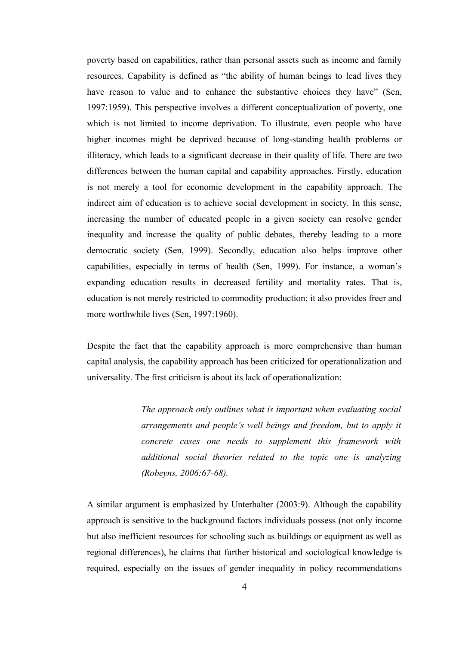poverty based on capabilities, rather than personal assets such as income and family resources. Capability is defined as "the ability of human beings to lead lives they have reason to value and to enhance the substantive choices they have" (Sen, 1997:1959). This perspective involves a different conceptualization of poverty, one which is not limited to income deprivation. To illustrate, even people who have higher incomes might be deprived because of long-standing health problems or illiteracy, which leads to a significant decrease in their quality of life. There are two differences between the human capital and capability approaches. Firstly, education is not merely a tool for economic development in the capability approach. The indirect aim of education is to achieve social development in society. In this sense, increasing the number of educated people in a given society can resolve gender inequality and increase the quality of public debates, thereby leading to a more democratic society (Sen, 1999). Secondly, education also helps improve other capabilities, especially in terms of health (Sen, 1999). For instance, a woman's expanding education results in decreased fertility and mortality rates. That is, education is not merely restricted to commodity production; it also provides freer and more worthwhile lives (Sen, 1997:1960).

Despite the fact that the capability approach is more comprehensive than human capital analysis, the capability approach has been criticized for operationalization and universality. The first criticism is about its lack of operationalization:

> *The approach only outlines what is important when evaluating social arrangements and people's well beings and freedom, but to apply it concrete cases one needs to supplement this framework with additional social theories related to the topic one is analyzing (Robeyns, 2006:67-68).*

A similar argument is emphasized by Unterhalter (2003:9). Although the capability approach is sensitive to the background factors individuals possess (not only income but also inefficient resources for schooling such as buildings or equipment as well as regional differences), he claims that further historical and sociological knowledge is required, especially on the issues of gender inequality in policy recommendations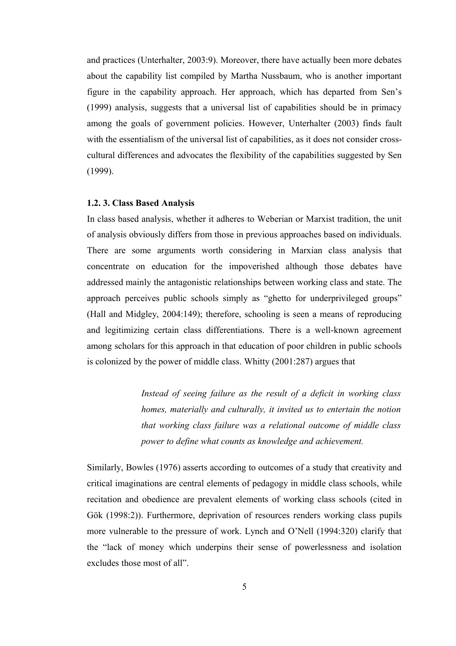and practices (Unterhalter, 2003:9). Moreover, there have actually been more debates about the capability list compiled by Martha Nussbaum, who is another important figure in the capability approach. Her approach, which has departed from Sen's (1999) analysis, suggests that a universal list of capabilities should be in primacy among the goals of government policies. However, Unterhalter (2003) finds fault with the essentialism of the universal list of capabilities, as it does not consider crosscultural differences and advocates the flexibility of the capabilities suggested by Sen (1999).

#### **1.2. 3. Class Based Analysis**

In class based analysis, whether it adheres to Weberian or Marxist tradition, the unit of analysis obviously differs from those in previous approaches based on individuals. There are some arguments worth considering in Marxian class analysis that concentrate on education for the impoverished although those debates have addressed mainly the antagonistic relationships between working class and state. The approach perceives public schools simply as "ghetto for underprivileged groups" (Hall and Midgley, 2004:149); therefore, schooling is seen a means of reproducing and legitimizing certain class differentiations. There is a well-known agreement among scholars for this approach in that education of poor children in public schools is colonized by the power of middle class. Whitty (2001:287) argues that

> *Instead of seeing failure as the result of a deficit in working class homes, materially and culturally, it invited us to entertain the notion that working class failure was a relational outcome of middle class power to define what counts as knowledge and achievement.*

Similarly, Bowles (1976) asserts according to outcomes of a study that creativity and critical imaginations are central elements of pedagogy in middle class schools, while recitation and obedience are prevalent elements of working class schools (cited in Gök (1998:2)). Furthermore, deprivation of resources renders working class pupils more vulnerable to the pressure of work. Lynch and O'Nell (1994:320) clarify that the "lack of money which underpins their sense of powerlessness and isolation excludes those most of all".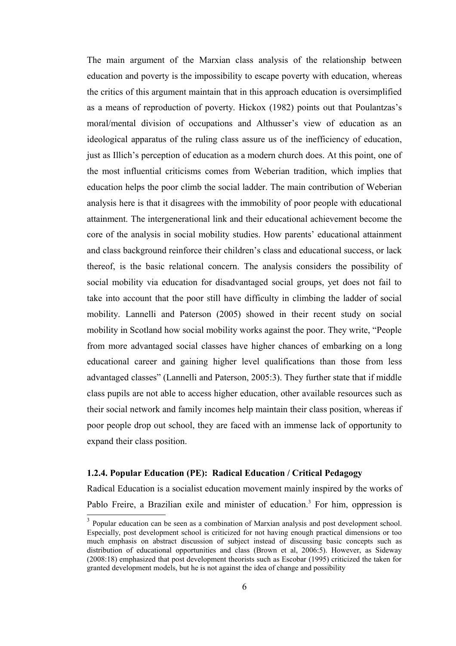The main argument of the Marxian class analysis of the relationship between education and poverty is the impossibility to escape poverty with education, whereas the critics of this argument maintain that in this approach education is oversimplified as a means of reproduction of poverty. Hickox (1982) points out that Poulantzas's moral/mental division of occupations and Althusser's view of education as an ideological apparatus of the ruling class assure us of the inefficiency of education, just as Illich's perception of education as a modern church does. At this point, one of the most influential criticisms comes from Weberian tradition, which implies that education helps the poor climb the social ladder. The main contribution of Weberian analysis here is that it disagrees with the immobility of poor people with educational attainment. The intergenerational link and their educational achievement become the core of the analysis in social mobility studies. How parents' educational attainment and class background reinforce their children's class and educational success, or lack thereof, is the basic relational concern. The analysis considers the possibility of social mobility via education for disadvantaged social groups, yet does not fail to take into account that the poor still have difficulty in climbing the ladder of social mobility. Lannelli and Paterson (2005) showed in their recent study on social mobility in Scotland how social mobility works against the poor. They write, "People from more advantaged social classes have higher chances of embarking on a long educational career and gaining higher level qualifications than those from less advantaged classes" (Lannelli and Paterson, 2005:3). They further state that if middle class pupils are not able to access higher education, other available resources such as their social network and family incomes help maintain their class position, whereas if poor people drop out school, they are faced with an immense lack of opportunity to expand their class position.

## **1.2.4. Popular Education (PE): Radical Education / Critical Pedagogy**

Radical Education is a socialist education movement mainly inspired by the works of Pablo Freire, a Brazilian exile and minister of education.<sup>[3](#page-18-0)</sup> For him, oppression is

<span id="page-18-0"></span><sup>&</sup>lt;sup>3</sup> Popular education can be seen as a combination of Marxian analysis and post development school. Especially, post development school is criticized for not having enough practical dimensions or too much emphasis on abstract discussion of subject instead of discussing basic concepts such as distribution of educational opportunities and class (Brown et al, 2006:5). However, as Sideway (2008:18) emphasized that post development theorists such as Escobar (1995) criticized the taken for granted development models, but he is not against the idea of change and possibility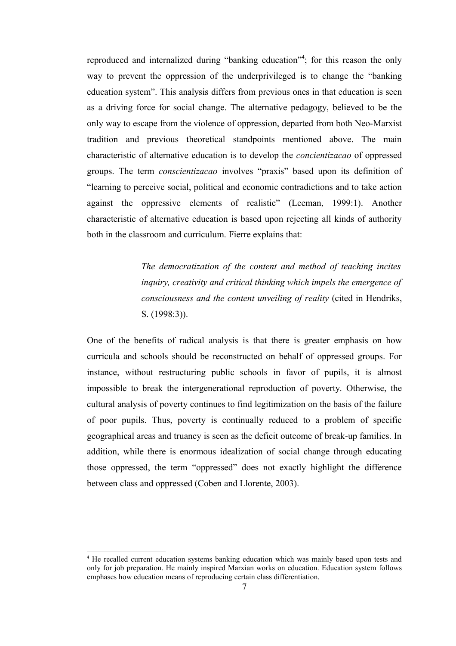reproduced and internalized during "banking education"<sup>[4](#page-19-0)</sup>; for this reason the only way to prevent the oppression of the underprivileged is to change the "banking education system". This analysis differs from previous ones in that education is seen as a driving force for social change. The alternative pedagogy, believed to be the only way to escape from the violence of oppression, departed from both Neo-Marxist tradition and previous theoretical standpoints mentioned above. The main characteristic of alternative education is to develop the *concientizacao* of oppressed groups. The term *conscientizacao* involves "praxis" based upon its definition of "learning to perceive social, political and economic contradictions and to take action against the oppressive elements of realistic" (Leeman, 1999:1). Another characteristic of alternative education is based upon rejecting all kinds of authority both in the classroom and curriculum. Fierre explains that:

> *The democratization of the content and method of teaching incites inquiry, creativity and critical thinking which impels the emergence of consciousness and the content unveiling of reality* (cited in Hendriks, S. (1998:3)).

One of the benefits of radical analysis is that there is greater emphasis on how curricula and schools should be reconstructed on behalf of oppressed groups. For instance, without restructuring public schools in favor of pupils, it is almost impossible to break the intergenerational reproduction of poverty. Otherwise, the cultural analysis of poverty continues to find legitimization on the basis of the failure of poor pupils. Thus, poverty is continually reduced to a problem of specific geographical areas and truancy is seen as the deficit outcome of break-up families. In addition, while there is enormous idealization of social change through educating those oppressed, the term "oppressed" does not exactly highlight the difference between class and oppressed (Coben and Llorente, 2003).

<span id="page-19-0"></span><sup>4</sup> He recalled current education systems banking education which was mainly based upon tests and only for job preparation. He mainly inspired Marxian works on education. Education system follows emphases how education means of reproducing certain class differentiation.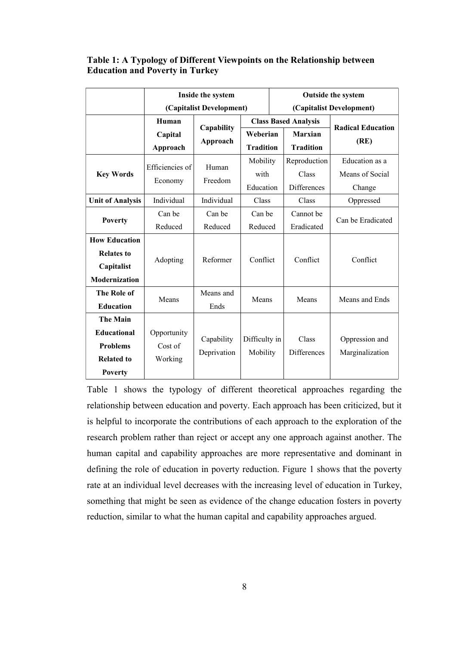## **Table 1: A Typology of Different Viewpoints on the Relationship between Education and Poverty in Turkey**

|                         | Inside the system        |             | <b>Outside the system</b> |                          |                             |                          |                |
|-------------------------|--------------------------|-------------|---------------------------|--------------------------|-----------------------------|--------------------------|----------------|
|                         | (Capitalist Development) |             |                           | (Capitalist Development) |                             |                          |                |
|                         | Human                    | Capability  |                           |                          | <b>Class Based Analysis</b> | <b>Radical Education</b> |                |
|                         | Capital                  |             |                           | Weberian                 |                             | <b>Marxian</b>           | (RE)           |
|                         | Approach                 | Approach    | <b>Tradition</b>          |                          | <b>Tradition</b>            |                          |                |
|                         | Efficiencies of          | Human       | Mobility                  |                          | Reproduction                | Education as a           |                |
| <b>Key Words</b>        |                          |             |                           | with                     | Class                       | Means of Social          |                |
|                         | Economy                  | Freedom     | Education                 |                          | <b>Differences</b>          | Change                   |                |
| <b>Unit of Analysis</b> | Individual               | Individual  | Class                     |                          | Class                       | Oppressed                |                |
| <b>Poverty</b>          | Can be                   | Can be      | Can be                    |                          | Cannot be                   | Can be Eradicated        |                |
|                         | Reduced                  | Reduced     | Reduced                   |                          | Eradicated                  |                          |                |
| <b>How Education</b>    |                          |             |                           |                          |                             |                          |                |
| <b>Relates to</b>       |                          |             |                           |                          |                             |                          |                |
| Capitalist              | Reformer<br>Adopting     |             | Conflict                  |                          | Conflict                    | Conflict                 |                |
| Modernization           |                          |             |                           |                          |                             |                          |                |
| The Role of             |                          | Means and   | Means                     |                          |                             |                          |                |
| <b>Education</b>        | Means                    | Ends        |                           |                          | Means                       | Means and Ends           |                |
| <b>The Main</b>         |                          |             |                           |                          |                             |                          |                |
| <b>Educational</b>      | Opportunity              |             |                           |                          |                             |                          |                |
| <b>Problems</b>         | Cost of                  | Capability  |                           | Difficulty in            |                             | Class                    | Oppression and |
| <b>Related to</b>       | Working                  | Deprivation | Mobility                  |                          | Differences                 | Marginalization          |                |
| <b>Poverty</b>          |                          |             |                           |                          |                             |                          |                |

Table 1 shows the typology of different theoretical approaches regarding the relationship between education and poverty. Each approach has been criticized, but it is helpful to incorporate the contributions of each approach to the exploration of the research problem rather than reject or accept any one approach against another. The human capital and capability approaches are more representative and dominant in defining the role of education in poverty reduction. Figure 1 shows that the poverty rate at an individual level decreases with the increasing level of education in Turkey, something that might be seen as evidence of the change education fosters in poverty reduction, similar to what the human capital and capability approaches argued.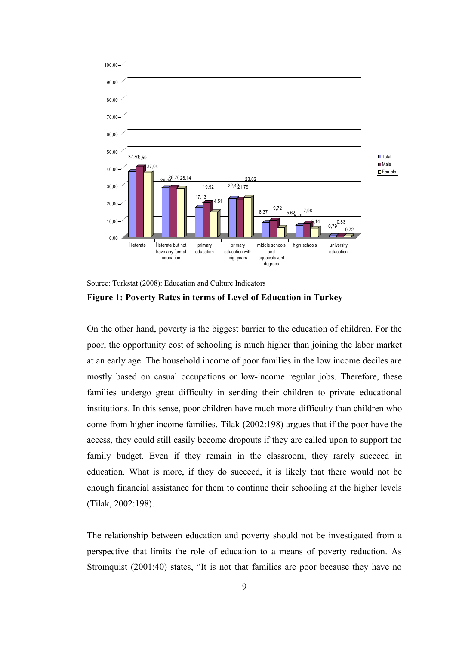

Source: Turkstat (2008): Education and Culture Indicators



On the other hand, poverty is the biggest barrier to the education of children. For the poor, the opportunity cost of schooling is much higher than joining the labor market at an early age. The household income of poor families in the low income deciles are mostly based on casual occupations or low-income regular jobs. Therefore, these families undergo great difficulty in sending their children to private educational institutions. In this sense, poor children have much more difficulty than children who come from higher income families. Tilak (2002:198) argues that if the poor have the access, they could still easily become dropouts if they are called upon to support the family budget. Even if they remain in the classroom, they rarely succeed in education. What is more, if they do succeed, it is likely that there would not be enough financial assistance for them to continue their schooling at the higher levels (Tilak, 2002:198).

The relationship between education and poverty should not be investigated from a perspective that limits the role of education to a means of poverty reduction. As Stromquist (2001:40) states, "It is not that families are poor because they have no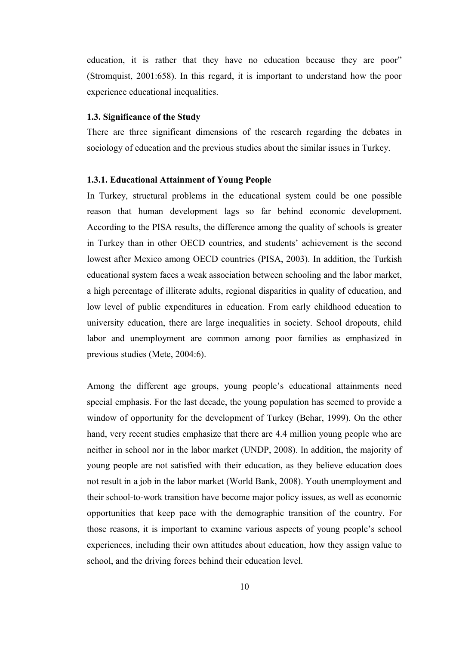education, it is rather that they have no education because they are poor" (Stromquist, 2001:658). In this regard, it is important to understand how the poor experience educational inequalities.

#### **1.3. Significance of the Study**

There are three significant dimensions of the research regarding the debates in sociology of education and the previous studies about the similar issues in Turkey.

#### **1.3.1. Educational Attainment of Young People**

In Turkey, structural problems in the educational system could be one possible reason that human development lags so far behind economic development. According to the PISA results, the difference among the quality of schools is greater in Turkey than in other OECD countries, and students' achievement is the second lowest after Mexico among OECD countries (PISA, 2003). In addition, the Turkish educational system faces a weak association between schooling and the labor market, a high percentage of illiterate adults, regional disparities in quality of education, and low level of public expenditures in education. From early childhood education to university education, there are large inequalities in society. School dropouts, child labor and unemployment are common among poor families as emphasized in previous studies (Mete, 2004:6).

Among the different age groups, young people's educational attainments need special emphasis. For the last decade, the young population has seemed to provide a window of opportunity for the development of Turkey (Behar, 1999). On the other hand, very recent studies emphasize that there are 4.4 million young people who are neither in school nor in the labor market (UNDP, 2008). In addition, the majority of young people are not satisfied with their education, as they believe education does not result in a job in the labor market (World Bank, 2008). Youth unemployment and their school-to-work transition have become major policy issues, as well as economic opportunities that keep pace with the demographic transition of the country. For those reasons, it is important to examine various aspects of young people's school experiences, including their own attitudes about education, how they assign value to school, and the driving forces behind their education level.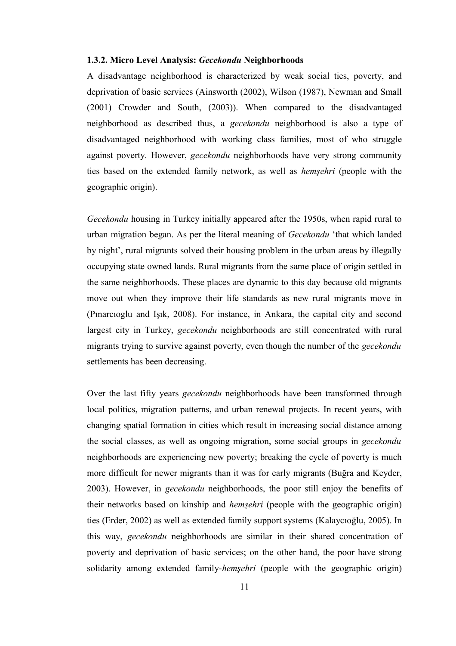#### **1.3.2. Micro Level Analysis:** *Gecekondu* **Neighborhoods**

A disadvantage neighborhood is characterized by weak social ties, poverty, and deprivation of basic services (Ainsworth (2002), Wilson (1987), Newman and Small (2001) Crowder and South, (2003)). When compared to the disadvantaged neighborhood as described thus, a *gecekondu* neighborhood is also a type of disadvantaged neighborhood with working class families, most of who struggle against poverty. However, *gecekondu* neighborhoods have very strong community ties based on the extended family network, as well as *hemşehri* (people with the geographic origin).

*Gecekondu* housing in Turkey initially appeared after the 1950s, when rapid rural to urban migration began. As per the literal meaning of *Gecekondu* 'that which landed by night', rural migrants solved their housing problem in the urban areas by illegally occupying state owned lands. Rural migrants from the same place of origin settled in the same neighborhoods. These places are dynamic to this day because old migrants move out when they improve their life standards as new rural migrants move in (Pınarcıoglu and Işık, 2008). For instance, in Ankara, the capital city and second largest city in Turkey, *gecekondu* neighborhoods are still concentrated with rural migrants trying to survive against poverty, even though the number of the *gecekondu* settlements has been decreasing.

Over the last fifty years *gecekondu* neighborhoods have been transformed through local politics, migration patterns, and urban renewal projects. In recent years, with changing spatial formation in cities which result in increasing social distance among the social classes, as well as ongoing migration, some social groups in *gecekondu* neighborhoods are experiencing new poverty; breaking the cycle of poverty is much more difficult for newer migrants than it was for early migrants (Buğra and Keyder, 2003). However, in *gecekondu* neighborhoods, the poor still enjoy the benefits of their networks based on kinship and *hemşehri* (people with the geographic origin) ties (Erder, 2002) as well as extended family support systems (Kalaycıoğlu, 2005). In this way, *gecekondu* neighborhoods are similar in their shared concentration of poverty and deprivation of basic services; on the other hand, the poor have strong solidarity among extended family-*hemşehri* (people with the geographic origin)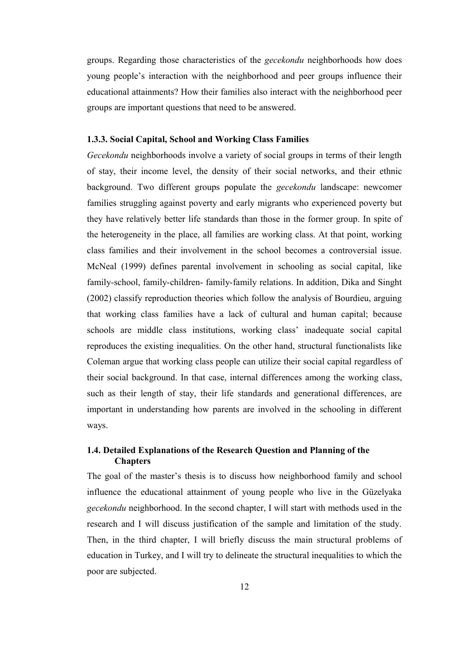groups. Regarding those characteristics of the *gecekondu* neighborhoods how does young people's interaction with the neighborhood and peer groups influence their educational attainments? How their families also interact with the neighborhood peer groups are important questions that need to be answered.

## **1.3.3. Social Capital, School and Working Class Families**

*Gecekondu* neighborhoods involve a variety of social groups in terms of their length of stay, their income level, the density of their social networks, and their ethnic background. Two different groups populate the *gecekondu* landscape: newcomer families struggling against poverty and early migrants who experienced poverty but they have relatively better life standards than those in the former group. In spite of the heterogeneity in the place, all families are working class. At that point, working class families and their involvement in the school becomes a controversial issue. McNeal (1999) defines parental involvement in schooling as social capital, like family-school, family-children- family-family relations. In addition, Dika and Singht (2002) classify reproduction theories which follow the analysis of Bourdieu, arguing that working class families have a lack of cultural and human capital; because schools are middle class institutions, working class' inadequate social capital reproduces the existing inequalities. On the other hand, structural functionalists like Coleman argue that working class people can utilize their social capital regardless of their social background. In that case, internal differences among the working class, such as their length of stay, their life standards and generational differences, are important in understanding how parents are involved in the schooling in different ways.

## **1.4. Detailed Explanations of the Research Question and Planning of the Chapters**

The goal of the master's thesis is to discuss how neighborhood family and school influence the educational attainment of young people who live in the Güzelyaka *gecekondu* neighborhood. In the second chapter, I will start with methods used in the research and I will discuss justification of the sample and limitation of the study. Then, in the third chapter, I will briefly discuss the main structural problems of education in Turkey, and I will try to delineate the structural inequalities to which the poor are subjected.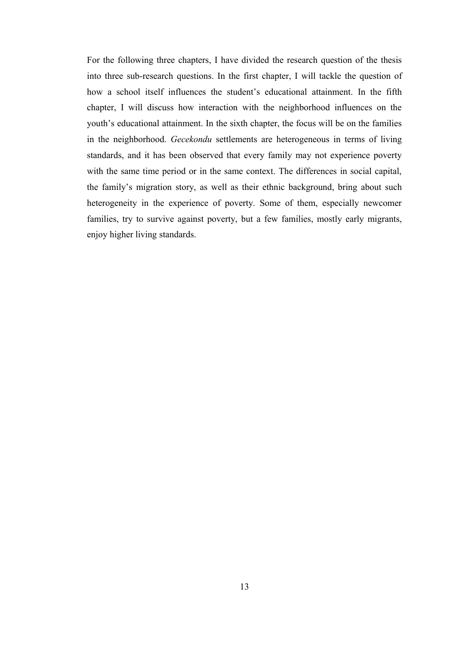For the following three chapters, I have divided the research question of the thesis into three sub-research questions. In the first chapter, I will tackle the question of how a school itself influences the student's educational attainment. In the fifth chapter, I will discuss how interaction with the neighborhood influences on the youth's educational attainment. In the sixth chapter, the focus will be on the families in the neighborhood. *Gecekondu* settlements are heterogeneous in terms of living standards, and it has been observed that every family may not experience poverty with the same time period or in the same context. The differences in social capital, the family's migration story, as well as their ethnic background, bring about such heterogeneity in the experience of poverty. Some of them, especially newcomer families, try to survive against poverty, but a few families, mostly early migrants, enjoy higher living standards.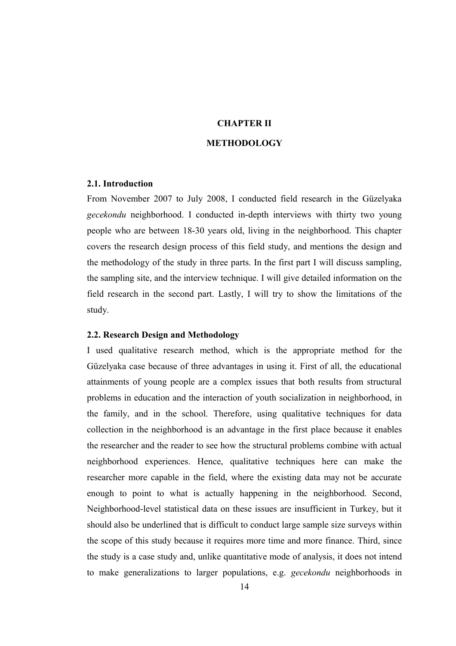# **CHAPTER II**

## **METHODOLOGY**

#### **2.1. Introduction**

From November 2007 to July 2008, I conducted field research in the Güzelyaka *gecekondu* neighborhood. I conducted in-depth interviews with thirty two young people who are between 18-30 years old, living in the neighborhood. This chapter covers the research design process of this field study, and mentions the design and the methodology of the study in three parts. In the first part I will discuss sampling, the sampling site, and the interview technique. I will give detailed information on the field research in the second part. Lastly, I will try to show the limitations of the study.

## **2.2. Research Design and Methodology**

I used qualitative research method, which is the appropriate method for the Güzelyaka case because of three advantages in using it. First of all, the educational attainments of young people are a complex issues that both results from structural problems in education and the interaction of youth socialization in neighborhood, in the family, and in the school. Therefore, using qualitative techniques for data collection in the neighborhood is an advantage in the first place because it enables the researcher and the reader to see how the structural problems combine with actual neighborhood experiences. Hence, qualitative techniques here can make the researcher more capable in the field, where the existing data may not be accurate enough to point to what is actually happening in the neighborhood. Second, Neighborhood-level statistical data on these issues are insufficient in Turkey, but it should also be underlined that is difficult to conduct large sample size surveys within the scope of this study because it requires more time and more finance. Third, since the study is a case study and, unlike quantitative mode of analysis, it does not intend to make generalizations to larger populations, e.g. *gecekondu* neighborhoods in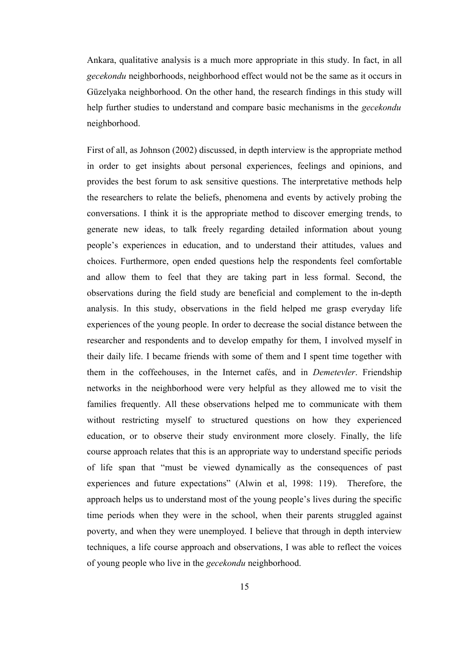Ankara, qualitative analysis is a much more appropriate in this study. In fact, in all *gecekondu* neighborhoods, neighborhood effect would not be the same as it occurs in Güzelyaka neighborhood. On the other hand, the research findings in this study will help further studies to understand and compare basic mechanisms in the *gecekondu* neighborhood.

First of all, as Johnson (2002) discussed, in depth interview is the appropriate method in order to get insights about personal experiences, feelings and opinions, and provides the best forum to ask sensitive questions. The interpretative methods help the researchers to relate the beliefs, phenomena and events by actively probing the conversations. I think it is the appropriate method to discover emerging trends, to generate new ideas, to talk freely regarding detailed information about young people's experiences in education, and to understand their attitudes, values and choices. Furthermore, open ended questions help the respondents feel comfortable and allow them to feel that they are taking part in less formal. Second, the observations during the field study are beneficial and complement to the in-depth analysis. In this study, observations in the field helped me grasp everyday life experiences of the young people. In order to decrease the social distance between the researcher and respondents and to develop empathy for them, I involved myself in their daily life. I became friends with some of them and I spent time together with them in the coffeehouses, in the Internet cafés, and in *Demetevler*. Friendship networks in the neighborhood were very helpful as they allowed me to visit the families frequently. All these observations helped me to communicate with them without restricting myself to structured questions on how they experienced education, or to observe their study environment more closely. Finally, the life course approach relates that this is an appropriate way to understand specific periods of life span that "must be viewed dynamically as the consequences of past experiences and future expectations" (Alwin et al, 1998: 119). Therefore, the approach helps us to understand most of the young people's lives during the specific time periods when they were in the school, when their parents struggled against poverty, and when they were unemployed. I believe that through in depth interview techniques, a life course approach and observations, I was able to reflect the voices of young people who live in the *gecekondu* neighborhood.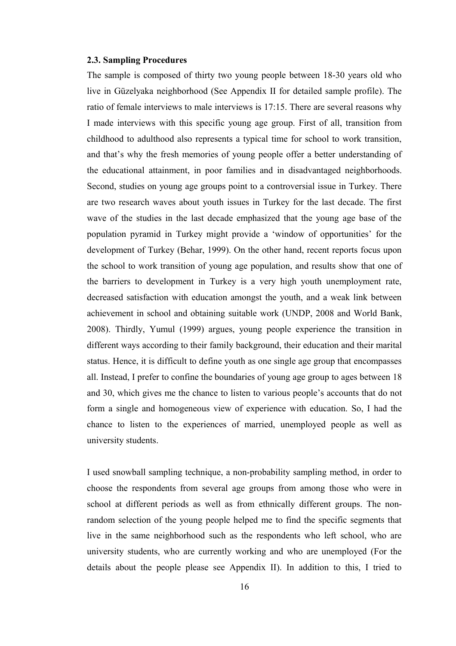#### **2.3. Sampling Procedures**

The sample is composed of thirty two young people between 18-30 years old who live in Güzelyaka neighborhood (See Appendix II for detailed sample profile). The ratio of female interviews to male interviews is 17:15. There are several reasons why I made interviews with this specific young age group. First of all, transition from childhood to adulthood also represents a typical time for school to work transition, and that's why the fresh memories of young people offer a better understanding of the educational attainment, in poor families and in disadvantaged neighborhoods. Second, studies on young age groups point to a controversial issue in Turkey. There are two research waves about youth issues in Turkey for the last decade. The first wave of the studies in the last decade emphasized that the young age base of the population pyramid in Turkey might provide a 'window of opportunities' for the development of Turkey (Behar, 1999). On the other hand, recent reports focus upon the school to work transition of young age population, and results show that one of the barriers to development in Turkey is a very high youth unemployment rate, decreased satisfaction with education amongst the youth, and a weak link between achievement in school and obtaining suitable work (UNDP, 2008 and World Bank, 2008). Thirdly, Yumul (1999) argues, young people experience the transition in different ways according to their family background, their education and their marital status. Hence, it is difficult to define youth as one single age group that encompasses all. Instead, I prefer to confine the boundaries of young age group to ages between 18 and 30, which gives me the chance to listen to various people's accounts that do not form a single and homogeneous view of experience with education. So, I had the chance to listen to the experiences of married, unemployed people as well as university students.

I used snowball sampling technique, a non-probability sampling method, in order to choose the respondents from several age groups from among those who were in school at different periods as well as from ethnically different groups. The nonrandom selection of the young people helped me to find the specific segments that live in the same neighborhood such as the respondents who left school, who are university students, who are currently working and who are unemployed (For the details about the people please see Appendix II). In addition to this, I tried to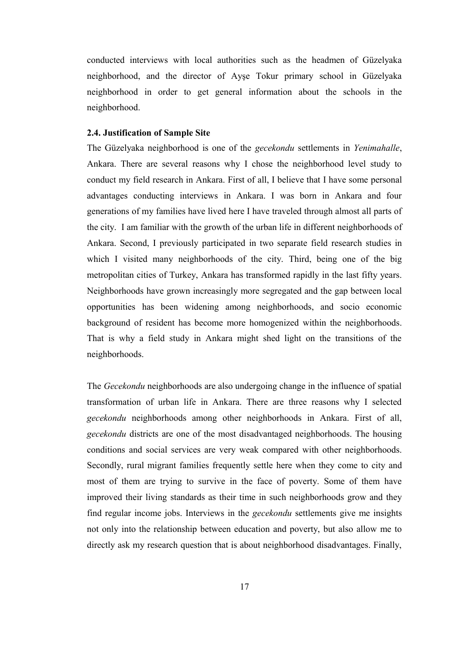conducted interviews with local authorities such as the headmen of Güzelyaka neighborhood, and the director of Ayşe Tokur primary school in Güzelyaka neighborhood in order to get general information about the schools in the neighborhood.

## **2.4. Justification of Sample Site**

The Güzelyaka neighborhood is one of the *gecekondu* settlements in *Yenimahalle*, Ankara. There are several reasons why I chose the neighborhood level study to conduct my field research in Ankara. First of all, I believe that I have some personal advantages conducting interviews in Ankara. I was born in Ankara and four generations of my families have lived here I have traveled through almost all parts of the city. I am familiar with the growth of the urban life in different neighborhoods of Ankara. Second, I previously participated in two separate field research studies in which I visited many neighborhoods of the city. Third, being one of the big metropolitan cities of Turkey, Ankara has transformed rapidly in the last fifty years. Neighborhoods have grown increasingly more segregated and the gap between local opportunities has been widening among neighborhoods, and socio economic background of resident has become more homogenized within the neighborhoods. That is why a field study in Ankara might shed light on the transitions of the neighborhoods.

The *Gecekondu* neighborhoods are also undergoing change in the influence of spatial transformation of urban life in Ankara. There are three reasons why I selected *gecekondu* neighborhoods among other neighborhoods in Ankara. First of all, *gecekondu* districts are one of the most disadvantaged neighborhoods. The housing conditions and social services are very weak compared with other neighborhoods. Secondly, rural migrant families frequently settle here when they come to city and most of them are trying to survive in the face of poverty. Some of them have improved their living standards as their time in such neighborhoods grow and they find regular income jobs. Interviews in the *gecekondu* settlements give me insights not only into the relationship between education and poverty, but also allow me to directly ask my research question that is about neighborhood disadvantages. Finally,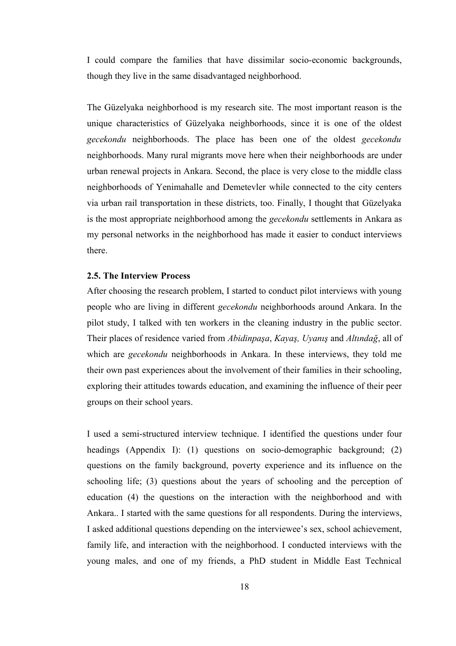I could compare the families that have dissimilar socio-economic backgrounds, though they live in the same disadvantaged neighborhood.

The Güzelyaka neighborhood is my research site. The most important reason is the unique characteristics of Güzelyaka neighborhoods, since it is one of the oldest *gecekondu* neighborhoods. The place has been one of the oldest *gecekondu* neighborhoods. Many rural migrants move here when their neighborhoods are under urban renewal projects in Ankara. Second, the place is very close to the middle class neighborhoods of Yenimahalle and Demetevler while connected to the city centers via urban rail transportation in these districts, too. Finally, I thought that Güzelyaka is the most appropriate neighborhood among the *gecekondu* settlements in Ankara as my personal networks in the neighborhood has made it easier to conduct interviews there.

#### **2.5. The Interview Process**

After choosing the research problem, I started to conduct pilot interviews with young people who are living in different *gecekondu* neighborhoods around Ankara. In the pilot study, I talked with ten workers in the cleaning industry in the public sector. Their places of residence varied from *Abidinpaşa*, *Kayaş, Uyanış* and *Altındağ*, all of which are *gecekondu* neighborhoods in Ankara. In these interviews, they told me their own past experiences about the involvement of their families in their schooling, exploring their attitudes towards education, and examining the influence of their peer groups on their school years.

I used a semi-structured interview technique. I identified the questions under four headings (Appendix I): (1) questions on socio-demographic background; (2) questions on the family background, poverty experience and its influence on the schooling life; (3) questions about the years of schooling and the perception of education (4) the questions on the interaction with the neighborhood and with Ankara.. I started with the same questions for all respondents. During the interviews, I asked additional questions depending on the interviewee's sex, school achievement, family life, and interaction with the neighborhood. I conducted interviews with the young males, and one of my friends, a PhD student in Middle East Technical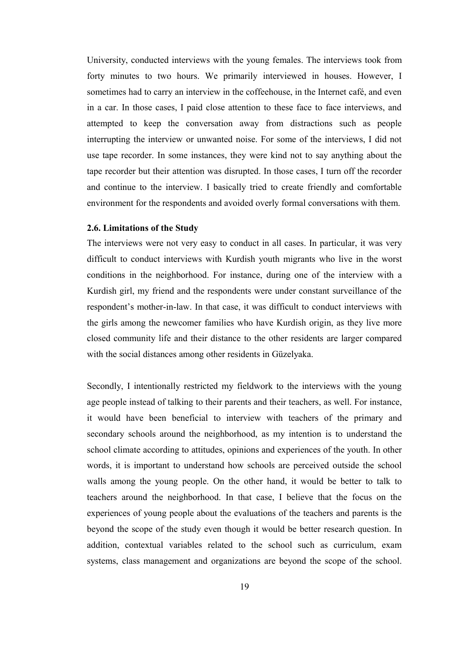University, conducted interviews with the young females. The interviews took from forty minutes to two hours. We primarily interviewed in houses. However, I sometimes had to carry an interview in the coffeehouse, in the Internet café, and even in a car. In those cases, I paid close attention to these face to face interviews, and attempted to keep the conversation away from distractions such as people interrupting the interview or unwanted noise. For some of the interviews, I did not use tape recorder. In some instances, they were kind not to say anything about the tape recorder but their attention was disrupted. In those cases, I turn off the recorder and continue to the interview. I basically tried to create friendly and comfortable environment for the respondents and avoided overly formal conversations with them.

#### **2.6. Limitations of the Study**

The interviews were not very easy to conduct in all cases. In particular, it was very difficult to conduct interviews with Kurdish youth migrants who live in the worst conditions in the neighborhood. For instance, during one of the interview with a Kurdish girl, my friend and the respondents were under constant surveillance of the respondent's mother-in-law. In that case, it was difficult to conduct interviews with the girls among the newcomer families who have Kurdish origin, as they live more closed community life and their distance to the other residents are larger compared with the social distances among other residents in Güzelyaka.

Secondly, I intentionally restricted my fieldwork to the interviews with the young age people instead of talking to their parents and their teachers, as well. For instance, it would have been beneficial to interview with teachers of the primary and secondary schools around the neighborhood, as my intention is to understand the school climate according to attitudes, opinions and experiences of the youth. In other words, it is important to understand how schools are perceived outside the school walls among the young people. On the other hand, it would be better to talk to teachers around the neighborhood. In that case, I believe that the focus on the experiences of young people about the evaluations of the teachers and parents is the beyond the scope of the study even though it would be better research question. In addition, contextual variables related to the school such as curriculum, exam systems, class management and organizations are beyond the scope of the school.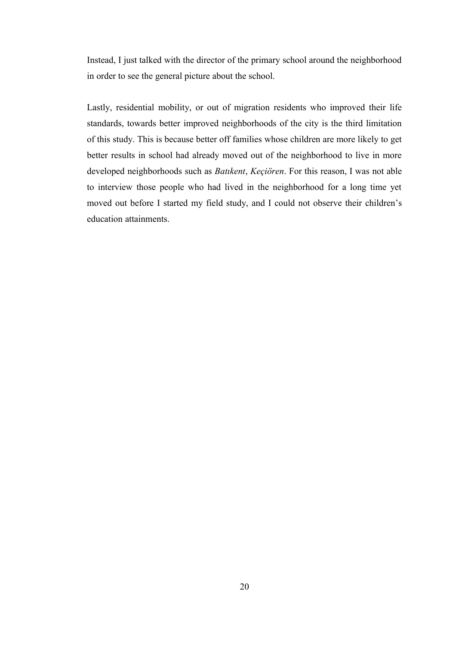Instead, I just talked with the director of the primary school around the neighborhood in order to see the general picture about the school.

Lastly, residential mobility, or out of migration residents who improved their life standards, towards better improved neighborhoods of the city is the third limitation of this study. This is because better off families whose children are more likely to get better results in school had already moved out of the neighborhood to live in more developed neighborhoods such as *Batıkent*, *Keçiören*. For this reason, I was not able to interview those people who had lived in the neighborhood for a long time yet moved out before I started my field study, and I could not observe their children's education attainments.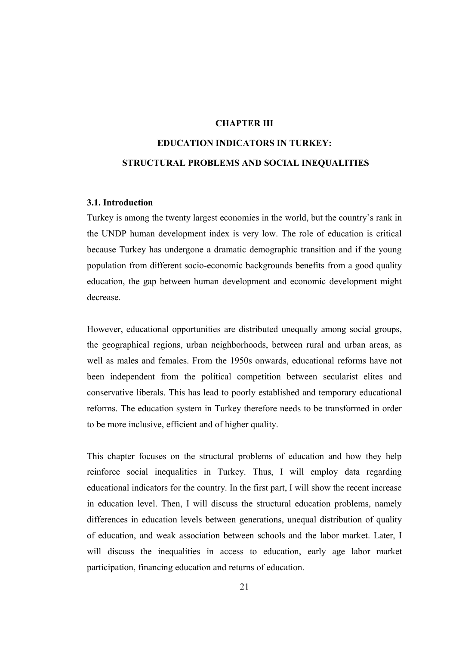## **CHAPTER III**

# **EDUCATION INDICATORS IN TURKEY: STRUCTURAL PROBLEMS AND SOCIAL INEQUALITIES**

#### **3.1. Introduction**

Turkey is among the twenty largest economies in the world, but the country's rank in the UNDP human development index is very low. The role of education is critical because Turkey has undergone a dramatic demographic transition and if the young population from different socio-economic backgrounds benefits from a good quality education, the gap between human development and economic development might decrease.

However, educational opportunities are distributed unequally among social groups, the geographical regions, urban neighborhoods, between rural and urban areas, as well as males and females. From the 1950s onwards, educational reforms have not been independent from the political competition between secularist elites and conservative liberals. This has lead to poorly established and temporary educational reforms. The education system in Turkey therefore needs to be transformed in order to be more inclusive, efficient and of higher quality.

This chapter focuses on the structural problems of education and how they help reinforce social inequalities in Turkey. Thus, I will employ data regarding educational indicators for the country. In the first part, I will show the recent increase in education level. Then, I will discuss the structural education problems, namely differences in education levels between generations, unequal distribution of quality of education, and weak association between schools and the labor market. Later, I will discuss the inequalities in access to education, early age labor market participation, financing education and returns of education.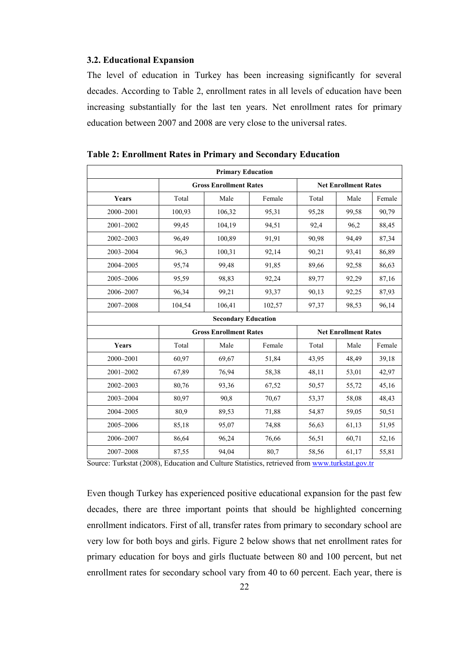#### **3.2. Educational Expansion**

The level of education in Turkey has been increasing significantly for several decades. According to Table 2, enrollment rates in all levels of education have been increasing substantially for the last ten years. Net enrollment rates for primary education between 2007 and 2008 are very close to the universal rates.

| <b>Primary Education</b> |                               |                            |                 |                             |                             |        |  |
|--------------------------|-------------------------------|----------------------------|-----------------|-----------------------------|-----------------------------|--------|--|
|                          | <b>Gross Enrollment Rates</b> |                            |                 | <b>Net Enrollment Rates</b> |                             |        |  |
| Years                    | Total                         | Male                       | Female          | Total                       | Male                        | Female |  |
| 2000-2001                | 100,93                        | 106,32                     | 95,31           | 95,28                       | 99,58                       | 90,79  |  |
| 2001-2002                | 99,45                         | 104,19                     | 94,51           | 92,4                        | 96,2                        | 88,45  |  |
| 2002-2003                | 96,49                         | 100,89                     | 91,91           | 90,98<br>94,49              |                             | 87,34  |  |
| 2003-2004                | 96,3                          | 100,31                     | 92,14           | 90,21                       | 93,41                       | 86,89  |  |
| 2004-2005                | 95,74                         | 99,48                      | 91,85           | 89,66                       | 92,58                       | 86,63  |  |
| 2005-2006                | 95,59                         | 98,83                      | 92,24           | 89,77                       | 92,29                       | 87,16  |  |
| 2006-2007                | 96,34                         | 99,21                      | 93,37           | 90,13                       | 92,25                       | 87,93  |  |
| 2007-2008                | 104,54                        | 106,41                     | 102,57<br>97,37 |                             | 98,53                       | 96,14  |  |
|                          |                               | <b>Secondary Education</b> |                 |                             |                             |        |  |
|                          | <b>Gross Enrollment Rates</b> |                            |                 |                             | <b>Net Enrollment Rates</b> |        |  |
| Years                    | Total                         | Male                       | Female          | Total                       | Male                        | Female |  |
| 2000-2001                | 60,97                         | 69,67                      | 51,84           | 43,95                       | 48,49                       | 39,18  |  |
| 2001-2002                | 67,89                         | 76,94                      | 58,38           | 48,11                       | 53,01                       | 42,97  |  |
| 2002-2003                | 80,76                         | 93,36                      | 67,52           | 50,57                       | 55,72                       | 45,16  |  |
| 2003-2004                | 80,97                         | 90,8                       | 70,67           | 53,37                       | 58,08                       | 48,43  |  |
| 2004-2005                | 80,9                          | 89,53                      | 71,88           | 54,87                       | 59,05                       | 50,51  |  |
| 2005-2006                | 85,18                         | 95,07                      | 74,88<br>56,63  |                             | 61,13                       | 51,95  |  |
| 2006-2007                | 86,64                         | 96,24                      | 76,66           | 56,51                       | 60,71                       | 52,16  |  |
| 2007-2008                | 87,55                         | 94,04                      | 80,7            | 58,56                       | 61,17                       | 55,81  |  |

**Table 2: Enrollment Rates in Primary and Secondary Education**

Source: Turkstat (2008), Education and Culture Statistics, retrieved from [www.turkstat.gov.tr](http://www.turkstat.gov.tr/)

Even though Turkey has experienced positive educational expansion for the past few decades, there are three important points that should be highlighted concerning enrollment indicators. First of all, transfer rates from primary to secondary school are very low for both boys and girls. Figure 2 below shows that net enrollment rates for primary education for boys and girls fluctuate between 80 and 100 percent, but net enrollment rates for secondary school vary from 40 to 60 percent. Each year, there is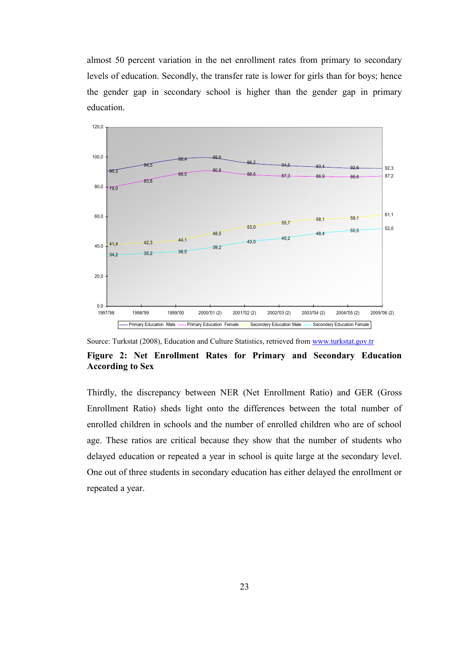almost 50 percent variation in the net enrollment rates from primary to secondary levels of education. Secondly, the transfer rate is lower for girls than for boys; hence the gender gap in secondary school is higher than the gender gap in primary education.



Source: Turkstat (2008), Education and Culture Statistics, retrieved from [www.turkstat.gov.tr](http://www.turkstat.gov.tr/)

## **Figure 2: Net Enrollment Rates for Primary and Secondary Education According to Sex**

Thirdly, the discrepancy between NER (Net Enrollment Ratio) and GER (Gross Enrollment Ratio) sheds light onto the differences between the total number of enrolled children in schools and the number of enrolled children who are of school age. These ratios are critical because they show that the number of students who delayed education or repeated a year in school is quite large at the secondary level. One out of three students in secondary education has either delayed the enrollment or repeated a year.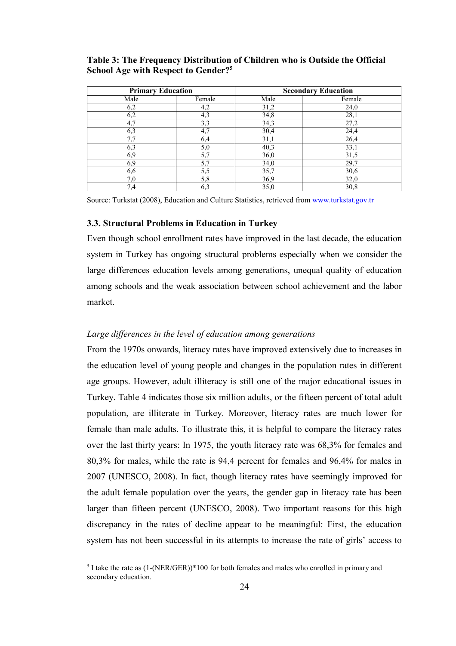# **Table 3: The Frequency Distribution of Children who is Outside the Official School Age with Respect to Gender?[5](#page-36-0)**

|      | <b>Primary Education</b> |      | <b>Secondary Education</b> |
|------|--------------------------|------|----------------------------|
| Male | Female                   | Male | Female                     |
| 6,2  | 4,2                      | 31,2 | 24,0                       |
| 6,2  | 4,3                      | 34,8 | 28,1                       |
| 4.7  | 3,3                      | 34,3 | 27,2                       |
| 6,3  | 4,7                      | 30,4 | 24,4                       |
|      | 6,4                      | 31,1 | 26,4                       |
| 6,3  | 5,0                      | 40,3 | 33,1                       |
| 6,9  | 5,7                      | 36,0 | 31,5                       |
| 6,9  | 5,7                      | 34,0 | 29,7                       |
| 6,6  | 5,5                      | 35,7 | 30,6                       |
| 7,0  | 5,8                      | 36,9 | 32,0                       |
| 7,4  | 6,3                      | 35,0 | 30,8                       |

Source: Turkstat (2008), Education and Culture Statistics, retrieved from [www.turkstat.gov.tr](http://www.turkstat.gov.tr/)

# **3.3. Structural Problems in Education in Turkey**

Even though school enrollment rates have improved in the last decade, the education system in Turkey has ongoing structural problems especially when we consider the large differences education levels among generations, unequal quality of education among schools and the weak association between school achievement and the labor market.

# *Large differences in the level of education among generations*

From the 1970s onwards, literacy rates have improved extensively due to increases in the education level of young people and changes in the population rates in different age groups. However, adult illiteracy is still one of the major educational issues in Turkey. Table 4 indicates those six million adults, or the fifteen percent of total adult population, are illiterate in Turkey. Moreover, literacy rates are much lower for female than male adults. To illustrate this, it is helpful to compare the literacy rates over the last thirty years: In 1975, the youth literacy rate was 68,3% for females and 80,3% for males, while the rate is 94,4 percent for females and 96,4% for males in 2007 (UNESCO, 2008). In fact, though literacy rates have seemingly improved for the adult female population over the years, the gender gap in literacy rate has been larger than fifteen percent (UNESCO, 2008). Two important reasons for this high discrepancy in the rates of decline appear to be meaningful: First, the education system has not been successful in its attempts to increase the rate of girls' access to

<span id="page-36-0"></span> $<sup>5</sup>$  I take the rate as (1-(NER/GER))\*100 for both females and males who enrolled in primary and</sup> secondary education.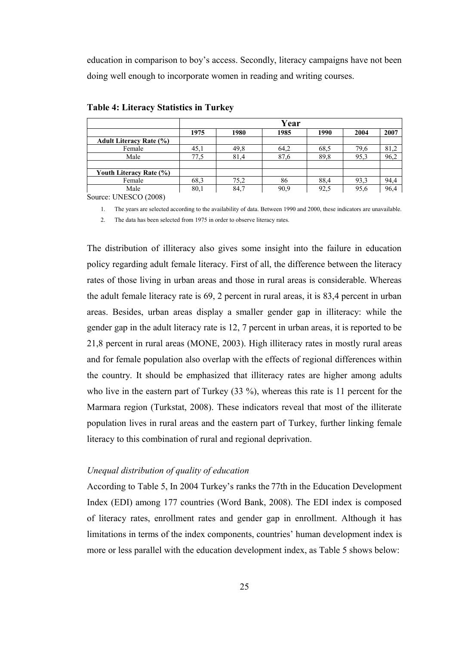education in comparison to boy's access. Secondly, literacy campaigns have not been doing well enough to incorporate women in reading and writing courses.

|                                | Year |      |      |      |      |      |  |
|--------------------------------|------|------|------|------|------|------|--|
|                                | 1975 | 1980 | 1985 | 1990 | 2004 | 2007 |  |
| <b>Adult Literacy Rate (%)</b> |      |      |      |      |      |      |  |
| Female                         | 45,1 | 49.8 | 64,2 | 68.5 | 79,6 | 81,2 |  |
| Male                           | 77.5 | 81,4 | 87,6 | 89.8 | 95,3 | 96,2 |  |
|                                |      |      |      |      |      |      |  |
| Youth Literacy Rate (%)        |      |      |      |      |      |      |  |
| Female                         | 68.3 | 75,2 | 86   | 88.4 | 93.3 | 94,4 |  |
| Male                           | 80,1 | 84,7 | 90,9 | 92,5 | 95,6 | 96,4 |  |

**Table 4: Literacy Statistics in Turkey**

Source: UNESCO (2008)

1. The years are selected according to the availability of data. Between 1990 and 2000, these indicators are unavailable. 2. The data has been selected from 1975 in order to observe literacy rates.

The distribution of illiteracy also gives some insight into the failure in education policy regarding adult female literacy. First of all, the difference between the literacy rates of those living in urban areas and those in rural areas is considerable. Whereas the adult female literacy rate is 69, 2 percent in rural areas, it is 83,4 percent in urban areas. Besides, urban areas display a smaller gender gap in illiteracy: while the gender gap in the adult literacy rate is 12, 7 percent in urban areas, it is reported to be 21,8 percent in rural areas (MONE, 2003). High illiteracy rates in mostly rural areas and for female population also overlap with the effects of regional differences within the country. It should be emphasized that illiteracy rates are higher among adults who live in the eastern part of Turkey (33 %), whereas this rate is 11 percent for the Marmara region (Turkstat, 2008). These indicators reveal that most of the illiterate population lives in rural areas and the eastern part of Turkey, further linking female literacy to this combination of rural and regional deprivation.

## *Unequal distribution of quality of education*

According to Table 5, In 2004 Turkey's ranks the 77th in the Education Development Index (EDI) among 177 countries (Word Bank, 2008). The EDI index is composed of literacy rates, enrollment rates and gender gap in enrollment. Although it has limitations in terms of the index components, countries' human development index is more or less parallel with the education development index, as Table 5 shows below: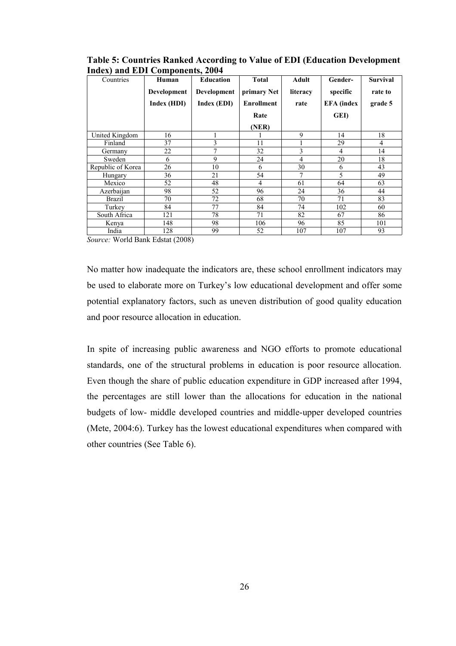| Countries         | Human       | <b>Education</b> | <b>Total</b>      | Adult          | Gender-           | <b>Survival</b> |
|-------------------|-------------|------------------|-------------------|----------------|-------------------|-----------------|
|                   | Development | Development      | primary Net       | literacy       | specific          | rate to         |
|                   | Index (HDI) | Index (EDI)      | <b>Enrollment</b> | rate           | <b>EFA</b> (index | grade 5         |
|                   |             |                  | Rate              |                | GEI)              |                 |
|                   |             |                  | (NER)             |                |                   |                 |
| United Kingdom    | 16          |                  |                   | 9              | 14                | 18              |
| Finland           | 37          | 3                | 11                |                | 29                | $\overline{4}$  |
| Germany           | 22          | 7                | 32                | 3              | $\overline{4}$    | 14              |
| Sweden            | 6           | 9                | 24                | $\overline{4}$ | 20                | 18              |
| Republic of Korea | 26          | 10               | 6                 | 30             | 6                 | 43              |
| Hungary           | 36          | 21               | 54                |                | 5                 | 49              |
| Mexico            | 52          | 48               | 4                 | 61             | 64                | 63              |
| Azerbaijan        | 98          | 52               | 96                | 24             | 36                | 44              |
| <b>Brazil</b>     | 70          | 72               | 68                | 70             | 71                | 83              |
| Turkey            | 84          | 77               | 84                | 74             | 102               | 60              |
| South Africa      | 121         | 78               | 71                | 82             | 67                | 86              |
| Kenya             | 148         | 98               | 106               | 96             | 85                | 101             |
| India             | 128         | 99               | 52                | 107            | 107               | 93              |

**Table 5: Countries Ranked According to Value of EDI (Education Development Index) and EDI Components, 2004**

*Source:* World Bank Edstat (2008)

No matter how inadequate the indicators are, these school enrollment indicators may be used to elaborate more on Turkey's low educational development and offer some potential explanatory factors, such as uneven distribution of good quality education and poor resource allocation in education.

In spite of increasing public awareness and NGO efforts to promote educational standards, one of the structural problems in education is poor resource allocation. Even though the share of public education expenditure in GDP increased after 1994, the percentages are still lower than the allocations for education in the national budgets of low- middle developed countries and middle-upper developed countries (Mete, 2004:6). Turkey has the lowest educational expenditures when compared with other countries (See Table 6).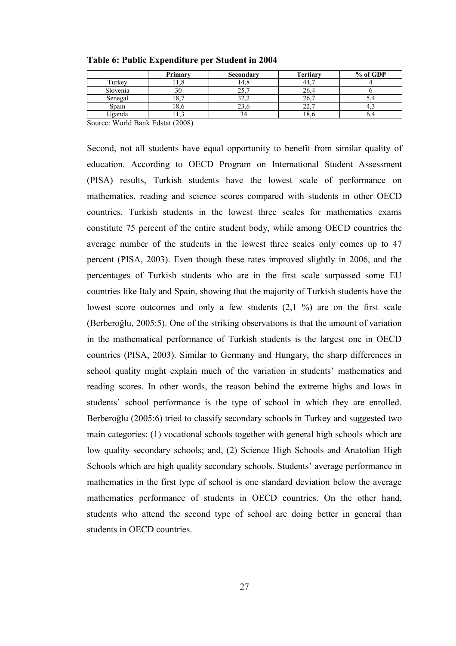|          | Primary    | Secondary    | <b>Tertiary</b> | % of GDP |
|----------|------------|--------------|-----------------|----------|
| Turkey   |            | 14.8         | 44.             |          |
| Slovenia | 30         | - -<br>. پ ک | 26              |          |
| Senegal  | l 8.1<br>- |              | 26,             |          |
| Spain    | 18.6       |              | --              |          |
| Uganda   |            |              | 10.             |          |

**Table 6: Public Expenditure per Student in 2004**

Source: World Bank Edstat (2008)

Second, not all students have equal opportunity to benefit from similar quality of education. According to OECD Program on International Student Assessment (PISA) results, Turkish students have the lowest scale of performance on mathematics, reading and science scores compared with students in other OECD countries. Turkish students in the lowest three scales for mathematics exams constitute 75 percent of the entire student body, while among OECD countries the average number of the students in the lowest three scales only comes up to 47 percent (PISA, 2003). Even though these rates improved slightly in 2006, and the percentages of Turkish students who are in the first scale surpassed some EU countries like Italy and Spain, showing that the majority of Turkish students have the lowest score outcomes and only a few students  $(2,1, 9)$  are on the first scale (Berberoğlu, 2005:5). One of the striking observations is that the amount of variation in the mathematical performance of Turkish students is the largest one in OECD countries (PISA, 2003). Similar to Germany and Hungary, the sharp differences in school quality might explain much of the variation in students' mathematics and reading scores. In other words, the reason behind the extreme highs and lows in students' school performance is the type of school in which they are enrolled. Berberoğlu (2005:6) tried to classify secondary schools in Turkey and suggested two main categories: (1) vocational schools together with general high schools which are low quality secondary schools; and, (2) Science High Schools and Anatolian High Schools which are high quality secondary schools. Students' average performance in mathematics in the first type of school is one standard deviation below the average mathematics performance of students in OECD countries. On the other hand, students who attend the second type of school are doing better in general than students in OECD countries.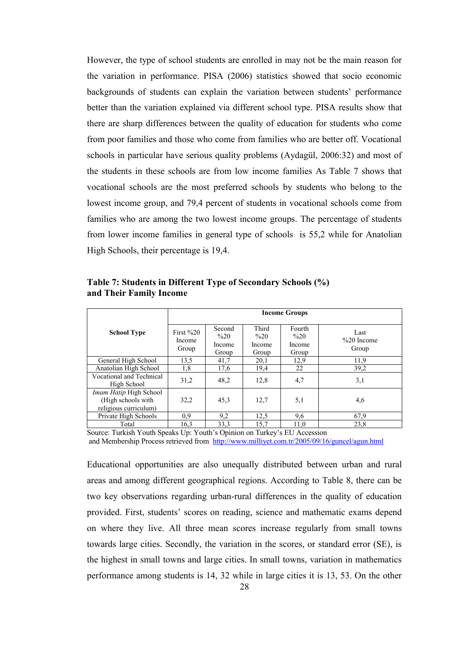However, the type of school students are enrolled in may not be the main reason for the variation in performance. PISA (2006) statistics showed that socio economic backgrounds of students can explain the variation between students' performance better than the variation explained via different school type. PISA results show that there are sharp differences between the quality of education for students who come from poor families and those who come from families who are better off. Vocational schools in particular have serious quality problems (Aydagül, 2006:32) and most of the students in these schools are from low income families As Table 7 shows that vocational schools are the most preferred schools by students who belong to the lowest income group, and 79,4 percent of students in vocational schools come from families who are among the two lowest income groups. The percentage of students from lower income families in general type of schools is 55,2 while for Anatolian High Schools, their percentage is 19,4.

|                                                                       |                                 |                                             |                                            | <b>Income Groups</b>                        |                                |
|-----------------------------------------------------------------------|---------------------------------|---------------------------------------------|--------------------------------------------|---------------------------------------------|--------------------------------|
| <b>School Type</b>                                                    | First $\%20$<br>Income<br>Group | Second<br>$\frac{6}{20}$<br>Income<br>Group | Third<br>$\frac{6}{20}$<br>Income<br>Group | Fourth<br>$\frac{6}{20}$<br>Income<br>Group | Last<br>$\%20$ Income<br>Group |
| General High School                                                   | 13,5                            | 41,7                                        | 20,1                                       | 12,9                                        | 11,9                           |
| Anatolian High School                                                 | 1,8                             | 17,6                                        | 19,4                                       | 22                                          | 39,2                           |
| Vocational and Technical<br>High School                               | 31,2                            | 48,2                                        | 12,8                                       | 4,7                                         | 3,1                            |
| Imam Hatip High School<br>(High schools with<br>religious curriculum) | 32,2                            | 45,3                                        | 12,7                                       | 5,1                                         | 4,6                            |
| Private High Schools                                                  | 0,9                             | 9,2                                         | 12,5                                       | 9,6                                         | 67,9                           |
| Total                                                                 | 16,3                            | 33,3                                        | 15,7                                       | 11,0                                        | 23,8                           |

**Table 7: Students in Different Type of Secondary Schools (%) and Their Family Income**

Source: Turkish Youth Speaks Up: Youth's Opinion on Turkey's EU Accession

and Membership Process retrieved from <http://www.milliyet.com.tr/2005/09/16/guncel/agun.html>

Educational opportunities are also unequally distributed between urban and rural areas and among different geographical regions. According to Table 8, there can be two key observations regarding urban-rural differences in the quality of education provided. First, students' scores on reading, science and mathematic exams depend on where they live. All three mean scores increase regularly from small towns towards large cities. Secondly, the variation in the scores, or standard error (SE), is the highest in small towns and large cities. In small towns, variation in mathematics performance among students is 14, 32 while in large cities it is 13, 53. On the other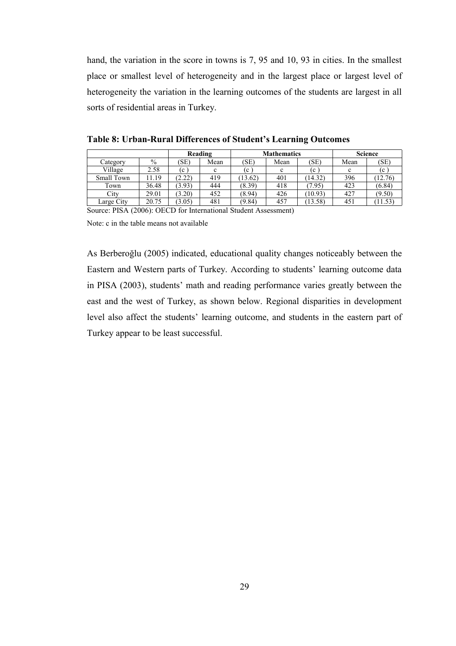hand, the variation in the score in towns is 7, 95 and 10, 93 in cities. In the smallest place or smallest level of heterogeneity and in the largest place or largest level of heterogeneity the variation in the learning outcomes of the students are largest in all sorts of residential areas in Turkey.

|            |       |        | Reading |         | <b>Mathematics</b> |         | <b>Science</b> |         |
|------------|-------|--------|---------|---------|--------------------|---------|----------------|---------|
| Category   | $\%$  | (SE)   | Mean    | (SE)    | Mean               | (SE)    | Mean           | (SE)    |
| Village    | 2.58  | (c     | c       | (c      | c                  | (c      | $\mathbf c$    | (c      |
| Small Town | 11.19 | (2.22) | 419     | (13.62) | 401                | (14.32) | 396            | (12.76) |
| Town       | 36.48 | (3.93) | 444     | (8.39)  | 418                | (7.95)  | 423            | (6.84)  |
| City       | 29.01 | (3.20) | 452     | (8.94)  | 426                | (10.93) | 427            | (9.50)  |
| Large City | 20.75 | (3.05) | 481     | (9.84)  | 457                | (13.58) | 451            | 11.53)  |

**Table 8: Urban-Rural Differences of Student's Learning Outcomes**

Source: PISA (2006): OECD for International Student Assessment)

Note: c in the table means not available

As Berberoğlu (2005) indicated, educational quality changes noticeably between the Eastern and Western parts of Turkey. According to students' learning outcome data in PISA (2003), students' math and reading performance varies greatly between the east and the west of Turkey, as shown below. Regional disparities in development level also affect the students' learning outcome, and students in the eastern part of Turkey appear to be least successful.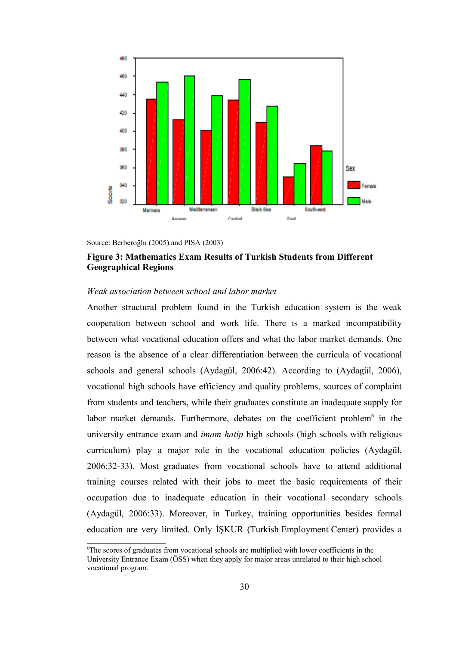

Source: Berberoğlu (2005) and PISA (2003)

# **Figure 3: Mathematics Exam Results of Turkish Students from Different Geographical Regions**

# *Weak association between school and labor market*

Another structural problem found in the Turkish education system is the weak cooperation between school and work life. There is a marked incompatibility between what vocational education offers and what the labor market demands. One reason is the absence of a clear differentiation between the curricula of vocational schools and general schools (Aydagül, 2006:42). According to (Aydagül, 2006), vocational high schools have efficiency and quality problems, sources of complaint from students and teachers, while their graduates constitute an inadequate supply for labor market demands. Furthermore, debates on the coefficient problem<sup>[6](#page-42-0)</sup> in the university entrance exam and *imam hatip* high schools (high schools with religious curriculum) play a major role in the vocational education policies (Aydagül, 2006:32-33). Most graduates from vocational schools have to attend additional training courses related with their jobs to meet the basic requirements of their occupation due to inadequate education in their vocational secondary schools (Aydagül, 2006:33). Moreover, in Turkey, training opportunities besides formal education are very limited. Only İŞKUR (Turkish Employment Center) provides a

<span id="page-42-0"></span> $6$ <sup>6</sup>The scores of graduates from vocational schools are multiplied with lower coefficients in the University Entrance Exam (ÖSS) when they apply for major areas unrelated to their high school vocational program.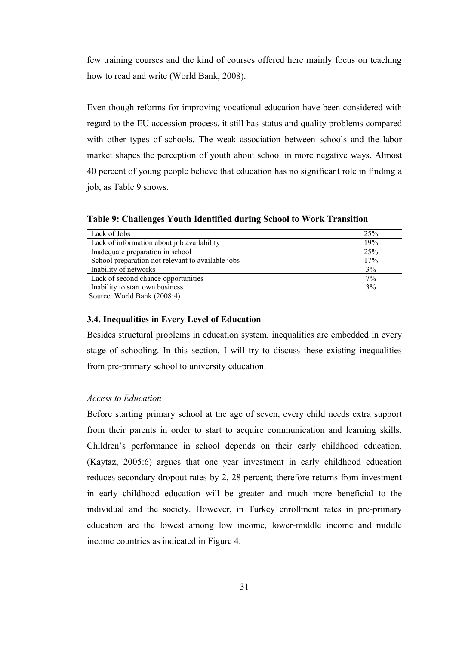few training courses and the kind of courses offered here mainly focus on teaching how to read and write (World Bank, 2008).

Even though reforms for improving vocational education have been considered with regard to the EU accession process, it still has status and quality problems compared with other types of schools. The weak association between schools and the labor market shapes the perception of youth about school in more negative ways. Almost 40 percent of young people believe that education has no significant role in finding a job, as Table 9 shows.

**Table 9: Challenges Youth Identified during School to Work Transition** 

| Lack of Jobs                                      | 25%   |
|---------------------------------------------------|-------|
| Lack of information about job availability        | 19%   |
| Inadequate preparation in school                  | 25%   |
| School preparation not relevant to available jobs | 17%   |
| Inability of networks                             | 3%    |
| Lack of second chance opportunities               | $7\%$ |
| Inability to start own business                   | 3%    |

Source: World Bank (2008:4)

# **3.4. Inequalities in Every Level of Education**

Besides structural problems in education system, inequalities are embedded in every stage of schooling. In this section, I will try to discuss these existing inequalities from pre-primary school to university education.

## *Access to Education*

Before starting primary school at the age of seven, every child needs extra support from their parents in order to start to acquire communication and learning skills. Children's performance in school depends on their early childhood education. (Kaytaz, 2005:6) argues that one year investment in early childhood education reduces secondary dropout rates by 2, 28 percent; therefore returns from investment in early childhood education will be greater and much more beneficial to the individual and the society. However, in Turkey enrollment rates in pre-primary education are the lowest among low income, lower-middle income and middle income countries as indicated in Figure 4.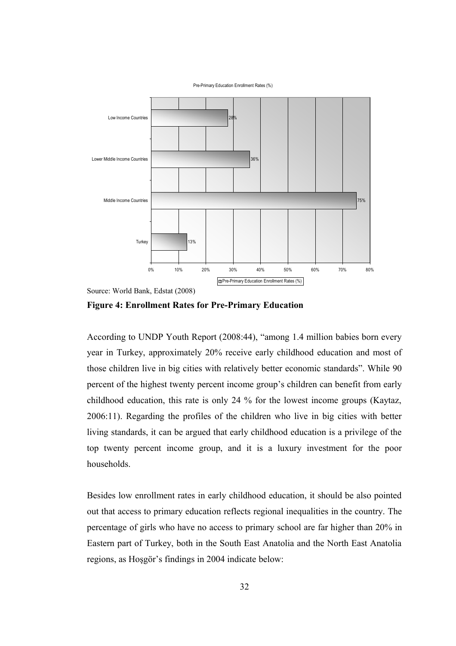

Source: World Bank, Edstat (2008)

**Figure 4: Enrollment Rates for Pre-Primary Education** 

According to UNDP Youth Report (2008:44), "among 1.4 million babies born every year in Turkey, approximately 20% receive early childhood education and most of those children live in big cities with relatively better economic standards". While 90 percent of the highest twenty percent income group's children can benefit from early childhood education, this rate is only 24 % for the lowest income groups (Kaytaz, 2006:11). Regarding the profiles of the children who live in big cities with better living standards, it can be argued that early childhood education is a privilege of the top twenty percent income group, and it is a luxury investment for the poor households.

Besides low enrollment rates in early childhood education, it should be also pointed out that access to primary education reflects regional inequalities in the country. The percentage of girls who have no access to primary school are far higher than 20% in Eastern part of Turkey, both in the South East Anatolia and the North East Anatolia regions, as Hoşgör's findings in 2004 indicate below: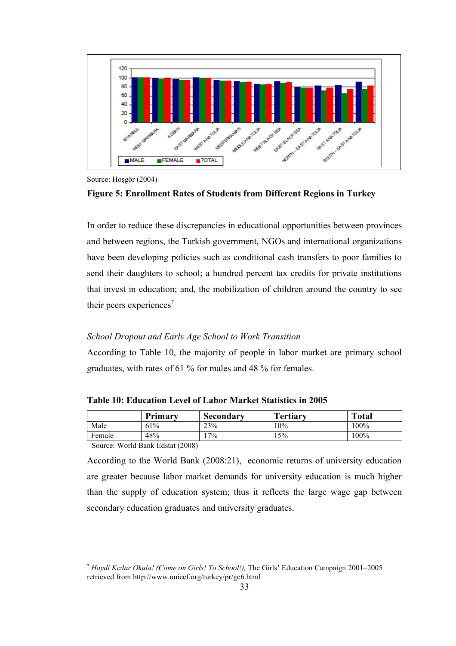

Source: Hoşgör (2004)

## **Figure 5: Enrollment Rates of Students from Different Regions in Turkey**

In order to reduce these discrepancies in educational opportunities between provinces and between regions, the Turkish government, NGOs and international organizations have been developing policies such as conditional cash transfers to poor families to send their daughters to school; a hundred percent tax credits for private institutions that invest in education; and, the mobilization of children around the country to see their peers experiences<sup>[7](#page-45-0)</sup>

#### *School Dropout and Early Age School to Work Transition*

According to Table 10, the majority of people in labor market are primary school graduates, with rates of 61 % for males and 48 % for females.

**Table 10: Education Level of Labor Market Statistics in 2005**

|                                                                                                                                                                                                                                                                                                                                                            | Primary | Secondary | <b>Tertiary</b> | <b>Total</b> |  |  |
|------------------------------------------------------------------------------------------------------------------------------------------------------------------------------------------------------------------------------------------------------------------------------------------------------------------------------------------------------------|---------|-----------|-----------------|--------------|--|--|
| Male                                                                                                                                                                                                                                                                                                                                                       | 61%     | 23%       | 10%             | 100%         |  |  |
| Female                                                                                                                                                                                                                                                                                                                                                     | 48%     | $7\%$     | 15%             | $100\%$      |  |  |
| $\mathbf{W}$ $(11\mathbf{R} + \mathbf{R}^T)(\mathbf{R}^T)(\mathbf{R}^T)(\mathbf{R}^T)(\mathbf{R}^T)(\mathbf{R}^T)(\mathbf{R}^T)(\mathbf{R}^T)(\mathbf{R}^T)(\mathbf{R}^T)(\mathbf{R}^T)(\mathbf{R}^T)(\mathbf{R}^T)(\mathbf{R}^T)(\mathbf{R}^T)(\mathbf{R}^T)(\mathbf{R}^T)(\mathbf{R}^T)(\mathbf{R}^T)(\mathbf{R}^T)(\mathbf{R}^T)(\mathbf{R}^T)(\mathbf$ |         |           |                 |              |  |  |

Source: World Bank Edstat (2008)

According to the World Bank (2008:21), economic returns of university education are greater because labor market demands for university education is much higher than the supply of education system; thus it reflects the large wage gap between secondary education graduates and university graduates.

<span id="page-45-0"></span><sup>7</sup> *Haydi Kızlar Okula! (Come on Girls! To School!),* The Girls' Education Campaign 2001–2005 retrieved from http://www.unicef.org/turkey/pr/ge6.html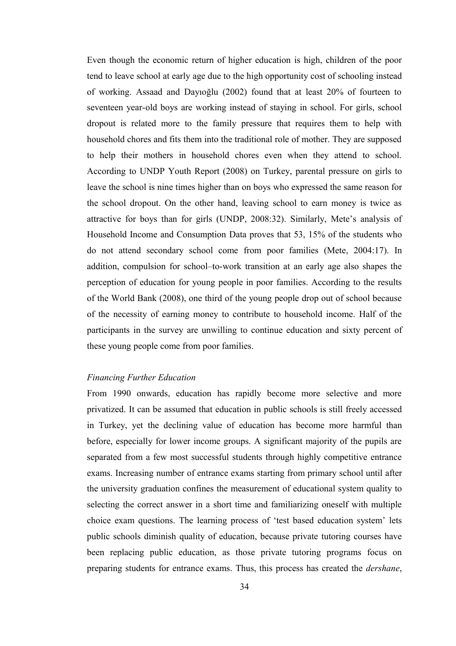Even though the economic return of higher education is high, children of the poor tend to leave school at early age due to the high opportunity cost of schooling instead of working. Assaad and Dayıoğlu (2002) found that at least 20% of fourteen to seventeen year-old boys are working instead of staying in school. For girls, school dropout is related more to the family pressure that requires them to help with household chores and fits them into the traditional role of mother. They are supposed to help their mothers in household chores even when they attend to school. According to UNDP Youth Report (2008) on Turkey, parental pressure on girls to leave the school is nine times higher than on boys who expressed the same reason for the school dropout. On the other hand, leaving school to earn money is twice as attractive for boys than for girls (UNDP, 2008:32). Similarly, Mete's analysis of Household Income and Consumption Data proves that 53, 15% of the students who do not attend secondary school come from poor families (Mete, 2004:17). In addition, compulsion for school–to-work transition at an early age also shapes the perception of education for young people in poor families. According to the results of the World Bank (2008), one third of the young people drop out of school because of the necessity of earning money to contribute to household income. Half of the participants in the survey are unwilling to continue education and sixty percent of these young people come from poor families.

# *Financing Further Education*

From 1990 onwards, education has rapidly become more selective and more privatized. It can be assumed that education in public schools is still freely accessed in Turkey, yet the declining value of education has become more harmful than before, especially for lower income groups. A significant majority of the pupils are separated from a few most successful students through highly competitive entrance exams. Increasing number of entrance exams starting from primary school until after the university graduation confines the measurement of educational system quality to selecting the correct answer in a short time and familiarizing oneself with multiple choice exam questions. The learning process of 'test based education system' lets public schools diminish quality of education, because private tutoring courses have been replacing public education, as those private tutoring programs focus on preparing students for entrance exams. Thus, this process has created the *dershane*,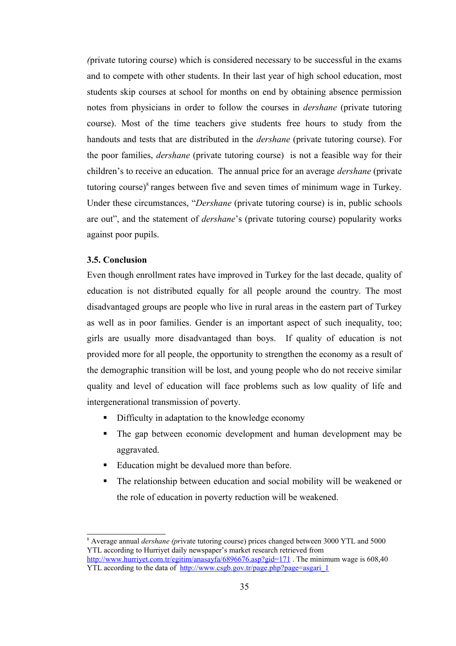*(*private tutoring course) which is considered necessary to be successful in the exams and to compete with other students. In their last year of high school education, most students skip courses at school for months on end by obtaining absence permission notes from physicians in order to follow the courses in *dershane* (private tutoring course). Most of the time teachers give students free hours to study from the handouts and tests that are distributed in the *dershane* (private tutoring course). For the poor families, *dershane* (private tutoring course) is not a feasible way for their children's to receive an education. The annual price for an average *dershane* (private tutoring course) $\delta$  ranges between five and seven times of minimum wage in Turkey. Under these circumstances, "*Dershane* (private tutoring course) is in, public schools are out", and the statement of *dershane*'s (private tutoring course) popularity works against poor pupils.

## **3.5. Conclusion**

Even though enrollment rates have improved in Turkey for the last decade, quality of education is not distributed equally for all people around the country. The most disadvantaged groups are people who live in rural areas in the eastern part of Turkey as well as in poor families. Gender is an important aspect of such inequality, too; girls are usually more disadvantaged than boys. If quality of education is not provided more for all people, the opportunity to strengthen the economy as a result of the demographic transition will be lost, and young people who do not receive similar quality and level of education will face problems such as low quality of life and intergenerational transmission of poverty.

- Difficulty in adaptation to the knowledge economy
- The gap between economic development and human development may be aggravated.
- Education might be devalued more than before.
- The relationship between education and social mobility will be weakened or the role of education in poverty reduction will be weakened.

<span id="page-47-0"></span><sup>8</sup> Average annual *dershane (pr*ivate tutoring course) prices changed between 3000 YTL and 5000 YTL according to Hurriyet daily newspaper's market research retrieved from http://www.hurrivet.com.tr/egitim/anasayfa/6896676.asp?gid=171. The minimum wage is 608.40 YTL according to the data of [http://www.csgb.gov.tr/page.php?page=asgari\\_1](http://www.csgb.gov.tr/page.php?page=asgari_1)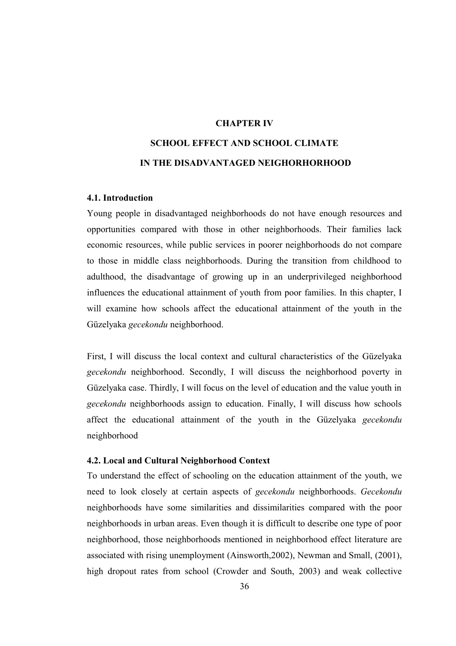# **CHAPTER IV**

# **SCHOOL EFFECT AND SCHOOL CLIMATE IN THE DISADVANTAGED NEIGHORHORHOOD**

# **4.1. Introduction**

Young people in disadvantaged neighborhoods do not have enough resources and opportunities compared with those in other neighborhoods. Their families lack economic resources, while public services in poorer neighborhoods do not compare to those in middle class neighborhoods. During the transition from childhood to adulthood, the disadvantage of growing up in an underprivileged neighborhood influences the educational attainment of youth from poor families. In this chapter, I will examine how schools affect the educational attainment of the youth in the Güzelyaka *gecekondu* neighborhood.

First, I will discuss the local context and cultural characteristics of the Güzelyaka *gecekondu* neighborhood. Secondly, I will discuss the neighborhood poverty in Güzelyaka case. Thirdly, I will focus on the level of education and the value youth in *gecekondu* neighborhoods assign to education. Finally, I will discuss how schools affect the educational attainment of the youth in the Güzelyaka *gecekondu* neighborhood

#### **4.2. Local and Cultural Neighborhood Context**

To understand the effect of schooling on the education attainment of the youth, we need to look closely at certain aspects of *gecekondu* neighborhoods. *Gecekondu* neighborhoods have some similarities and dissimilarities compared with the poor neighborhoods in urban areas. Even though it is difficult to describe one type of poor neighborhood, those neighborhoods mentioned in neighborhood effect literature are associated with rising unemployment (Ainsworth,2002), Newman and Small, (2001), high dropout rates from school (Crowder and South, 2003) and weak collective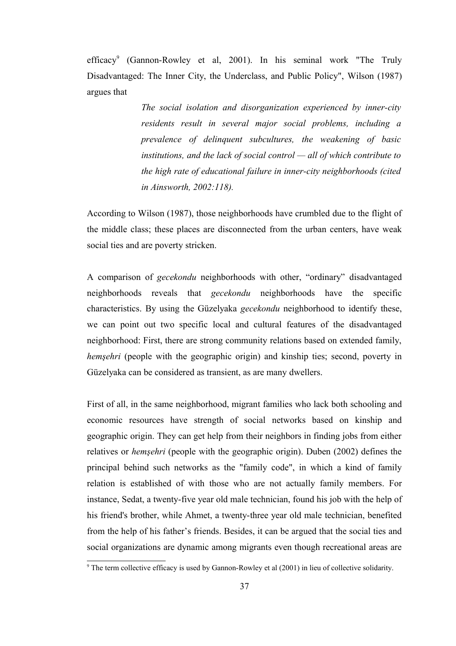efficacy<sup>[9](#page-49-0)</sup> (Gannon-Rowley et al, 2001). In his seminal work "The Truly Disadvantaged: The Inner City, the Underclass, and Public Policy", Wilson (1987) argues that

> *The social isolation and disorganization experienced by inner-city residents result in several major social problems, including a prevalence of delinquent subcultures, the weakening of basic institutions, and the lack of social control — all of which contribute to the high rate of educational failure in inner-city neighborhoods (cited in Ainsworth, 2002:118).*

According to Wilson (1987), those neighborhoods have crumbled due to the flight of the middle class; these places are disconnected from the urban centers, have weak social ties and are poverty stricken.

A comparison of *gecekondu* neighborhoods with other, "ordinary" disadvantaged neighborhoods reveals that *gecekondu* neighborhoods have the specific characteristics. By using the Güzelyaka *gecekondu* neighborhood to identify these, we can point out two specific local and cultural features of the disadvantaged neighborhood: First, there are strong community relations based on extended family, *hemşehri* (people with the geographic origin) and kinship ties; second, poverty in Güzelyaka can be considered as transient, as are many dwellers.

First of all, in the same neighborhood, migrant families who lack both schooling and economic resources have strength of social networks based on kinship and geographic origin. They can get help from their neighbors in finding jobs from either relatives or *hemşehri* (people with the geographic origin). Duben (2002) defines the principal behind such networks as the "family code", in which a kind of family relation is established of with those who are not actually family members. For instance, Sedat, a twenty-five year old male technician, found his job with the help of his friend's brother, while Ahmet, a twenty-three year old male technician, benefited from the help of his father's friends. Besides, it can be argued that the social ties and social organizations are dynamic among migrants even though recreational areas are

<span id="page-49-0"></span><sup>9</sup> The term collective efficacy is used by Gannon-Rowley et al (2001) in lieu of collective solidarity.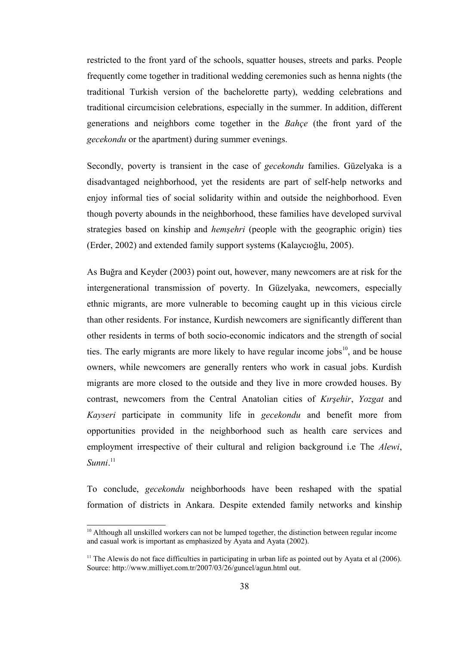restricted to the front yard of the schools, squatter houses, streets and parks. People frequently come together in traditional wedding ceremonies such as henna nights (the traditional Turkish version of the bachelorette party), wedding celebrations and traditional circumcision celebrations, especially in the summer. In addition, different generations and neighbors come together in the *Bahçe* (the front yard of the *gecekondu* or the apartment) during summer evenings.

Secondly, poverty is transient in the case of *gecekondu* families. Güzelyaka is a disadvantaged neighborhood, yet the residents are part of self-help networks and enjoy informal ties of social solidarity within and outside the neighborhood. Even though poverty abounds in the neighborhood, these families have developed survival strategies based on kinship and *hemşehri* (people with the geographic origin) ties (Erder, 2002) and extended family support systems (Kalaycıoğlu, 2005).

As Buğra and Keyder (2003) point out, however, many newcomers are at risk for the intergenerational transmission of poverty. In Güzelyaka, newcomers, especially ethnic migrants, are more vulnerable to becoming caught up in this vicious circle than other residents. For instance, Kurdish newcomers are significantly different than other residents in terms of both socio-economic indicators and the strength of social ties. The early migrants are more likely to have regular income jobs $10$ , and be house owners, while newcomers are generally renters who work in casual jobs. Kurdish migrants are more closed to the outside and they live in more crowded houses. By contrast, newcomers from the Central Anatolian cities of *Kırşehir*, *Yozgat* and *Kayseri* participate in community life in *gecekondu* and benefit more from opportunities provided in the neighborhood such as health care services and employment irrespective of their cultural and religion background i.e The *Alewi*, *Sunni*. [11](#page-50-1)

To conclude, *gecekondu* neighborhoods have been reshaped with the spatial formation of districts in Ankara. Despite extended family networks and kinship

<span id="page-50-0"></span> $10$  Although all unskilled workers can not be lumped together, the distinction between regular income and casual work is important as emphasized by Ayata and Ayata (2002).

<span id="page-50-1"></span><sup>&</sup>lt;sup>11</sup> The Alewis do not face difficulties in participating in urban life as pointed out by Ayata et al  $(2006)$ . Source: http://www.milliyet.com.tr/2007/03/26/guncel/agun.html out.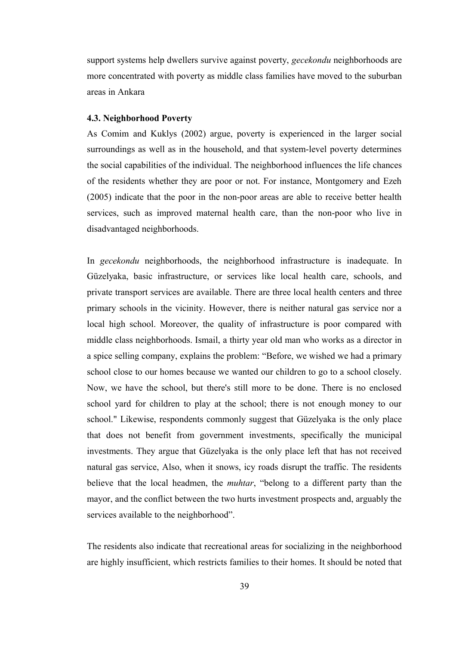support systems help dwellers survive against poverty, *gecekondu* neighborhoods are more concentrated with poverty as middle class families have moved to the suburban areas in Ankara

#### **4.3. Neighborhood Poverty**

As Comim and Kuklys (2002) argue, poverty is experienced in the larger social surroundings as well as in the household, and that system-level poverty determines the social capabilities of the individual. The neighborhood influences the life chances of the residents whether they are poor or not. For instance, Montgomery and Ezeh (2005) indicate that the poor in the non-poor areas are able to receive better health services, such as improved maternal health care, than the non-poor who live in disadvantaged neighborhoods.

In *gecekondu* neighborhoods, the neighborhood infrastructure is inadequate. In Güzelyaka, basic infrastructure, or services like local health care, schools, and private transport services are available. There are three local health centers and three primary schools in the vicinity. However, there is neither natural gas service nor a local high school. Moreover, the quality of infrastructure is poor compared with middle class neighborhoods. Ismail, a thirty year old man who works as a director in a spice selling company, explains the problem: "Before, we wished we had a primary school close to our homes because we wanted our children to go to a school closely. Now, we have the school, but there's still more to be done. There is no enclosed school yard for children to play at the school; there is not enough money to our school." Likewise, respondents commonly suggest that Güzelyaka is the only place that does not benefit from government investments, specifically the municipal investments. They argue that Güzelyaka is the only place left that has not received natural gas service, Also, when it snows, icy roads disrupt the traffic. The residents believe that the local headmen, the *muhtar*, "belong to a different party than the mayor, and the conflict between the two hurts investment prospects and, arguably the services available to the neighborhood".

The residents also indicate that recreational areas for socializing in the neighborhood are highly insufficient, which restricts families to their homes. It should be noted that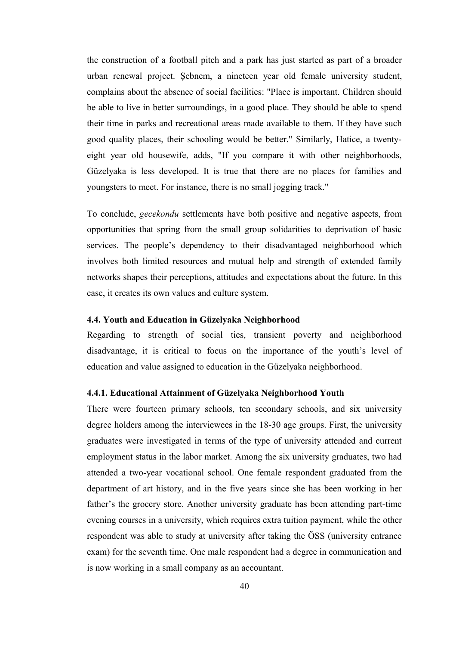the construction of a football pitch and a park has just started as part of a broader urban renewal project. Şebnem, a nineteen year old female university student, complains about the absence of social facilities: "Place is important. Children should be able to live in better surroundings, in a good place. They should be able to spend their time in parks and recreational areas made available to them. If they have such good quality places, their schooling would be better." Similarly, Hatice, a twentyeight year old housewife, adds, "If you compare it with other neighborhoods, Güzelyaka is less developed. It is true that there are no places for families and youngsters to meet. For instance, there is no small jogging track."

To conclude, *gecekondu* settlements have both positive and negative aspects, from opportunities that spring from the small group solidarities to deprivation of basic services. The people's dependency to their disadvantaged neighborhood which involves both limited resources and mutual help and strength of extended family networks shapes their perceptions, attitudes and expectations about the future. In this case, it creates its own values and culture system.

# **4.4. Youth and Education in Güzelyaka Neighborhood**

Regarding to strength of social ties, transient poverty and neighborhood disadvantage, it is critical to focus on the importance of the youth's level of education and value assigned to education in the Güzelyaka neighborhood.

# **4.4.1. Educational Attainment of Güzelyaka Neighborhood Youth**

There were fourteen primary schools, ten secondary schools, and six university degree holders among the interviewees in the 18-30 age groups. First, the university graduates were investigated in terms of the type of university attended and current employment status in the labor market. Among the six university graduates, two had attended a two-year vocational school. One female respondent graduated from the department of art history, and in the five years since she has been working in her father's the grocery store. Another university graduate has been attending part-time evening courses in a university, which requires extra tuition payment, while the other respondent was able to study at university after taking the ÖSS (university entrance exam) for the seventh time. One male respondent had a degree in communication and is now working in a small company as an accountant.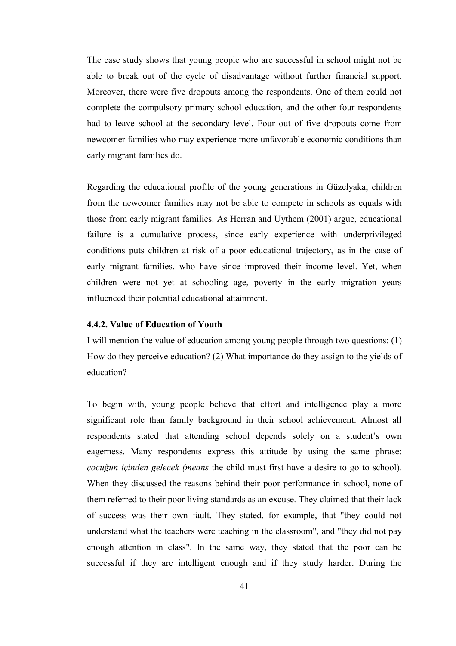The case study shows that young people who are successful in school might not be able to break out of the cycle of disadvantage without further financial support. Moreover, there were five dropouts among the respondents. One of them could not complete the compulsory primary school education, and the other four respondents had to leave school at the secondary level. Four out of five dropouts come from newcomer families who may experience more unfavorable economic conditions than early migrant families do.

Regarding the educational profile of the young generations in Güzelyaka, children from the newcomer families may not be able to compete in schools as equals with those from early migrant families. As Herran and Uythem (2001) argue, educational failure is a cumulative process, since early experience with underprivileged conditions puts children at risk of a poor educational trajectory, as in the case of early migrant families, who have since improved their income level. Yet, when children were not yet at schooling age, poverty in the early migration years influenced their potential educational attainment.

# **4.4.2. Value of Education of Youth**

I will mention the value of education among young people through two questions: (1) How do they perceive education? (2) What importance do they assign to the yields of education?

To begin with, young people believe that effort and intelligence play a more significant role than family background in their school achievement. Almost all respondents stated that attending school depends solely on a student's own eagerness. Many respondents express this attitude by using the same phrase: *çocuğun içinden gelecek (means* the child must first have a desire to go to school). When they discussed the reasons behind their poor performance in school, none of them referred to their poor living standards as an excuse. They claimed that their lack of success was their own fault. They stated, for example, that "they could not understand what the teachers were teaching in the classroom", and "they did not pay enough attention in class". In the same way, they stated that the poor can be successful if they are intelligent enough and if they study harder. During the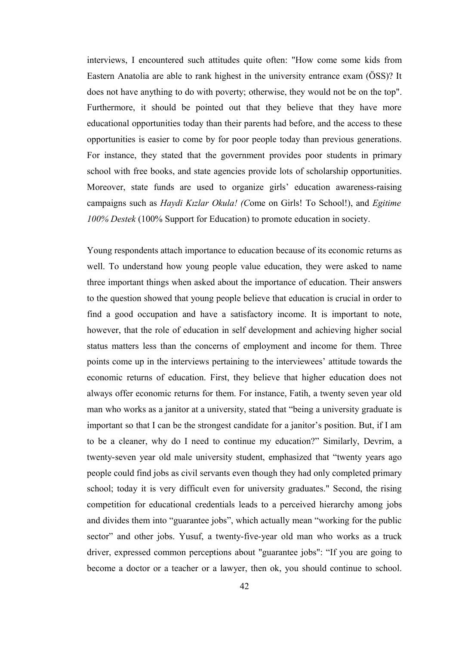interviews, I encountered such attitudes quite often: "How come some kids from Eastern Anatolia are able to rank highest in the university entrance exam (ÖSS)? It does not have anything to do with poverty; otherwise, they would not be on the top". Furthermore, it should be pointed out that they believe that they have more educational opportunities today than their parents had before, and the access to these opportunities is easier to come by for poor people today than previous generations. For instance, they stated that the government provides poor students in primary school with free books, and state agencies provide lots of scholarship opportunities. Moreover, state funds are used to organize girls' education awareness-raising campaigns such as *Haydi Kızlar Okula! (C*ome on Girls! To School!), and *Egitime 100% Destek* (100% Support for Education) to promote education in society.

Young respondents attach importance to education because of its economic returns as well. To understand how young people value education, they were asked to name three important things when asked about the importance of education. Their answers to the question showed that young people believe that education is crucial in order to find a good occupation and have a satisfactory income. It is important to note, however, that the role of education in self development and achieving higher social status matters less than the concerns of employment and income for them. Three points come up in the interviews pertaining to the interviewees' attitude towards the economic returns of education. First, they believe that higher education does not always offer economic returns for them. For instance, Fatih, a twenty seven year old man who works as a janitor at a university, stated that "being a university graduate is important so that I can be the strongest candidate for a janitor's position. But, if I am to be a cleaner, why do I need to continue my education?" Similarly, Devrim, a twenty-seven year old male university student, emphasized that "twenty years ago people could find jobs as civil servants even though they had only completed primary school; today it is very difficult even for university graduates." Second, the rising competition for educational credentials leads to a perceived hierarchy among jobs and divides them into "guarantee jobs", which actually mean "working for the public sector" and other jobs. Yusuf, a twenty-five-year old man who works as a truck driver, expressed common perceptions about "guarantee jobs": "If you are going to become a doctor or a teacher or a lawyer, then ok, you should continue to school.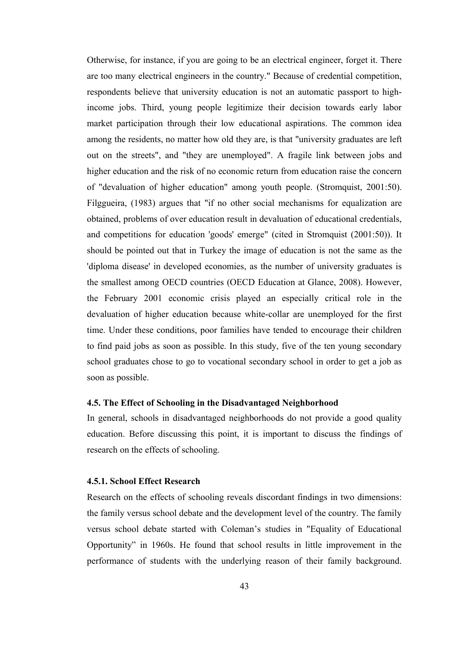Otherwise, for instance, if you are going to be an electrical engineer, forget it. There are too many electrical engineers in the country." Because of credential competition, respondents believe that university education is not an automatic passport to highincome jobs. Third, young people legitimize their decision towards early labor market participation through their low educational aspirations. The common idea among the residents, no matter how old they are, is that "university graduates are left out on the streets", and "they are unemployed". A fragile link between jobs and higher education and the risk of no economic return from education raise the concern of "devaluation of higher education" among youth people. (Stromquist, 2001:50). Filggueira, (1983) argues that "if no other social mechanisms for equalization are obtained, problems of over education result in devaluation of educational credentials, and competitions for education 'goods' emerge" (cited in Stromquist (2001:50)). It should be pointed out that in Turkey the image of education is not the same as the 'diploma disease' in developed economies, as the number of university graduates is the smallest among OECD countries (OECD Education at Glance, 2008). However, the February 2001 economic crisis played an especially critical role in the devaluation of higher education because white-collar are unemployed for the first time. Under these conditions, poor families have tended to encourage their children to find paid jobs as soon as possible. In this study, five of the ten young secondary school graduates chose to go to vocational secondary school in order to get a job as soon as possible.

#### **4.5. The Effect of Schooling in the Disadvantaged Neighborhood**

In general, schools in disadvantaged neighborhoods do not provide a good quality education. Before discussing this point, it is important to discuss the findings of research on the effects of schooling.

#### **4.5.1. School Effect Research**

Research on the effects of schooling reveals discordant findings in two dimensions: the family versus school debate and the development level of the country. The family versus school debate started with Coleman's studies in "Equality of Educational Opportunity" in 1960s. He found that school results in little improvement in the performance of students with the underlying reason of their family background.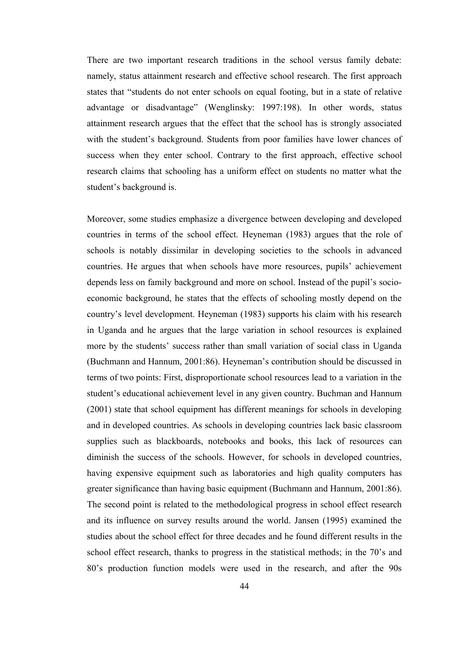There are two important research traditions in the school versus family debate: namely, status attainment research and effective school research. The first approach states that "students do not enter schools on equal footing, but in a state of relative advantage or disadvantage" (Wenglinsky: 1997:198). In other words, status attainment research argues that the effect that the school has is strongly associated with the student's background. Students from poor families have lower chances of success when they enter school. Contrary to the first approach, effective school research claims that schooling has a uniform effect on students no matter what the student's background is.

Moreover, some studies emphasize a divergence between developing and developed countries in terms of the school effect. Heyneman (1983) argues that the role of schools is notably dissimilar in developing societies to the schools in advanced countries. He argues that when schools have more resources, pupils' achievement depends less on family background and more on school. Instead of the pupil's socioeconomic background, he states that the effects of schooling mostly depend on the country's level development. Heyneman (1983) supports his claim with his research in Uganda and he argues that the large variation in school resources is explained more by the students' success rather than small variation of social class in Uganda (Buchmann and Hannum, 2001:86). Heyneman's contribution should be discussed in terms of two points: First, disproportionate school resources lead to a variation in the student's educational achievement level in any given country. Buchman and Hannum (2001) state that school equipment has different meanings for schools in developing and in developed countries. As schools in developing countries lack basic classroom supplies such as blackboards, notebooks and books, this lack of resources can diminish the success of the schools. However, for schools in developed countries, having expensive equipment such as laboratories and high quality computers has greater significance than having basic equipment (Buchmann and Hannum, 2001:86). The second point is related to the methodological progress in school effect research and its influence on survey results around the world. Jansen (1995) examined the studies about the school effect for three decades and he found different results in the school effect research, thanks to progress in the statistical methods; in the 70's and 80's production function models were used in the research, and after the 90s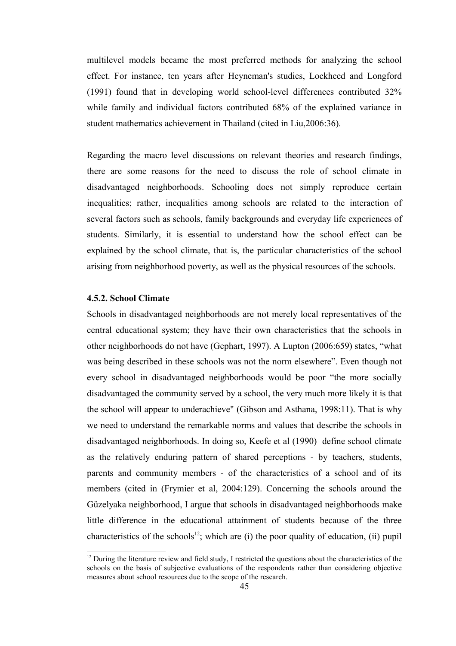multilevel models became the most preferred methods for analyzing the school effect. For instance, ten years after Heyneman's studies, Lockheed and Longford (1991) found that in developing world school-level differences contributed 32% while family and individual factors contributed 68% of the explained variance in student mathematics achievement in Thailand (cited in Liu,2006:36).

Regarding the macro level discussions on relevant theories and research findings, there are some reasons for the need to discuss the role of school climate in disadvantaged neighborhoods. Schooling does not simply reproduce certain inequalities; rather, inequalities among schools are related to the interaction of several factors such as schools, family backgrounds and everyday life experiences of students. Similarly, it is essential to understand how the school effect can be explained by the school climate, that is, the particular characteristics of the school arising from neighborhood poverty, as well as the physical resources of the schools.

# **4.5.2. School Climate**

Schools in disadvantaged neighborhoods are not merely local representatives of the central educational system; they have their own characteristics that the schools in other neighborhoods do not have (Gephart, 1997). A Lupton (2006:659) states, "what was being described in these schools was not the norm elsewhere". Even though not every school in disadvantaged neighborhoods would be poor "the more socially disadvantaged the community served by a school, the very much more likely it is that the school will appear to underachieve" (Gibson and Asthana, 1998:11). That is why we need to understand the remarkable norms and values that describe the schools in disadvantaged neighborhoods. In doing so, Keefe et al (1990) define school climate as the relatively enduring pattern of shared perceptions - by teachers, students, parents and community members - of the characteristics of a school and of its members (cited in (Frymier et al, 2004:129). Concerning the schools around the Güzelyaka neighborhood, I argue that schools in disadvantaged neighborhoods make little difference in the educational attainment of students because of the three characteristics of the schools<sup>[12](#page-57-0)</sup>; which are (i) the poor quality of education, (ii) pupil

<span id="page-57-0"></span> $12$  During the literature review and field study, I restricted the questions about the characteristics of the schools on the basis of subjective evaluations of the respondents rather than considering objective measures about school resources due to the scope of the research.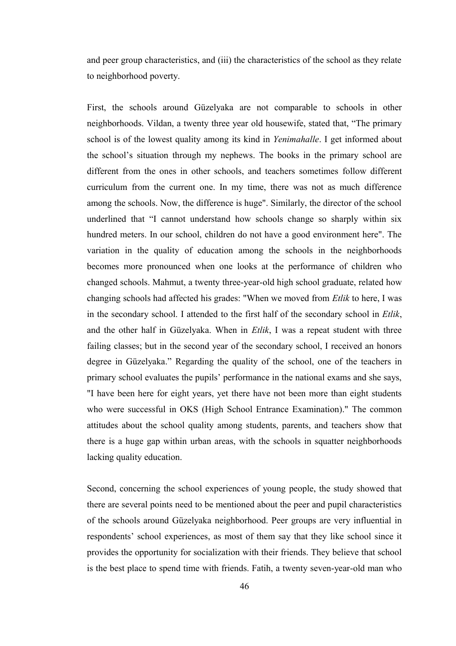and peer group characteristics, and (iii) the characteristics of the school as they relate to neighborhood poverty.

First, the schools around Güzelyaka are not comparable to schools in other neighborhoods. Vildan, a twenty three year old housewife, stated that, "The primary school is of the lowest quality among its kind in *Yenimahalle*. I get informed about the school's situation through my nephews. The books in the primary school are different from the ones in other schools, and teachers sometimes follow different curriculum from the current one. In my time, there was not as much difference among the schools. Now, the difference is huge". Similarly, the director of the school underlined that "I cannot understand how schools change so sharply within six hundred meters. In our school, children do not have a good environment here". The variation in the quality of education among the schools in the neighborhoods becomes more pronounced when one looks at the performance of children who changed schools. Mahmut, a twenty three-year-old high school graduate, related how changing schools had affected his grades: "When we moved from *Etlik* to here, I was in the secondary school. I attended to the first half of the secondary school in *Etlik*, and the other half in Güzelyaka. When in *Etlik*, I was a repeat student with three failing classes; but in the second year of the secondary school, I received an honors degree in Güzelyaka." Regarding the quality of the school, one of the teachers in primary school evaluates the pupils' performance in the national exams and she says, "I have been here for eight years, yet there have not been more than eight students who were successful in OKS (High School Entrance Examination)." The common attitudes about the school quality among students, parents, and teachers show that there is a huge gap within urban areas, with the schools in squatter neighborhoods lacking quality education.

Second, concerning the school experiences of young people, the study showed that there are several points need to be mentioned about the peer and pupil characteristics of the schools around Güzelyaka neighborhood. Peer groups are very influential in respondents' school experiences, as most of them say that they like school since it provides the opportunity for socialization with their friends. They believe that school is the best place to spend time with friends. Fatih, a twenty seven-year-old man who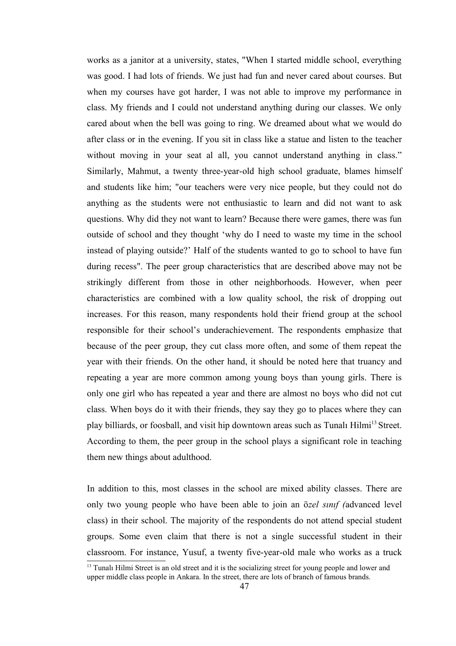works as a janitor at a university, states, "When I started middle school, everything was good. I had lots of friends. We just had fun and never cared about courses. But when my courses have got harder, I was not able to improve my performance in class. My friends and I could not understand anything during our classes. We only cared about when the bell was going to ring. We dreamed about what we would do after class or in the evening. If you sit in class like a statue and listen to the teacher without moving in your seat al all, you cannot understand anything in class." Similarly, Mahmut, a twenty three-year-old high school graduate, blames himself and students like him; "our teachers were very nice people, but they could not do anything as the students were not enthusiastic to learn and did not want to ask questions. Why did they not want to learn? Because there were games, there was fun outside of school and they thought 'why do I need to waste my time in the school instead of playing outside?' Half of the students wanted to go to school to have fun during recess". The peer group characteristics that are described above may not be strikingly different from those in other neighborhoods. However, when peer characteristics are combined with a low quality school, the risk of dropping out increases. For this reason, many respondents hold their friend group at the school responsible for their school's underachievement. The respondents emphasize that because of the peer group, they cut class more often, and some of them repeat the year with their friends. On the other hand, it should be noted here that truancy and repeating a year are more common among young boys than young girls. There is only one girl who has repeated a year and there are almost no boys who did not cut class. When boys do it with their friends, they say they go to places where they can play billiards, or foosball, and visit hip downtown areas such as Tunali Hilmi<sup>[13](#page-59-0)</sup> Street. According to them, the peer group in the school plays a significant role in teaching them new things about adulthood.

In addition to this, most classes in the school are mixed ability classes. There are only two young people who have been able to join an ö*zel sınıf (*advanced level class) in their school. The majority of the respondents do not attend special student groups. Some even claim that there is not a single successful student in their classroom. For instance, Yusuf, a twenty five-year-old male who works as a truck

<span id="page-59-0"></span><sup>&</sup>lt;sup>13</sup> Tunali Hilmi Street is an old street and it is the socializing street for young people and lower and upper middle class people in Ankara. In the street, there are lots of branch of famous brands.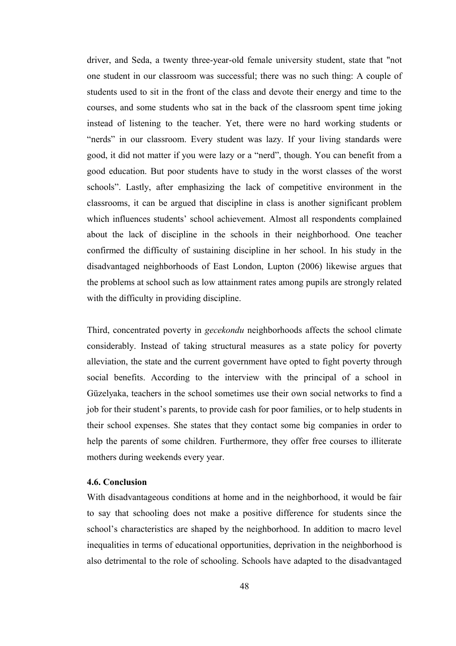driver, and Seda, a twenty three-year-old female university student, state that "not one student in our classroom was successful; there was no such thing: A couple of students used to sit in the front of the class and devote their energy and time to the courses, and some students who sat in the back of the classroom spent time joking instead of listening to the teacher. Yet, there were no hard working students or "nerds" in our classroom. Every student was lazy. If your living standards were good, it did not matter if you were lazy or a "nerd", though. You can benefit from a good education. But poor students have to study in the worst classes of the worst schools". Lastly, after emphasizing the lack of competitive environment in the classrooms, it can be argued that discipline in class is another significant problem which influences students' school achievement. Almost all respondents complained about the lack of discipline in the schools in their neighborhood. One teacher confirmed the difficulty of sustaining discipline in her school. In his study in the disadvantaged neighborhoods of East London, Lupton (2006) likewise argues that the problems at school such as low attainment rates among pupils are strongly related with the difficulty in providing discipline.

Third, concentrated poverty in *gecekondu* neighborhoods affects the school climate considerably. Instead of taking structural measures as a state policy for poverty alleviation, the state and the current government have opted to fight poverty through social benefits. According to the interview with the principal of a school in Güzelyaka, teachers in the school sometimes use their own social networks to find a job for their student's parents, to provide cash for poor families, or to help students in their school expenses. She states that they contact some big companies in order to help the parents of some children. Furthermore, they offer free courses to illiterate mothers during weekends every year.

### **4.6. Conclusion**

With disadvantageous conditions at home and in the neighborhood, it would be fair to say that schooling does not make a positive difference for students since the school's characteristics are shaped by the neighborhood. In addition to macro level inequalities in terms of educational opportunities, deprivation in the neighborhood is also detrimental to the role of schooling. Schools have adapted to the disadvantaged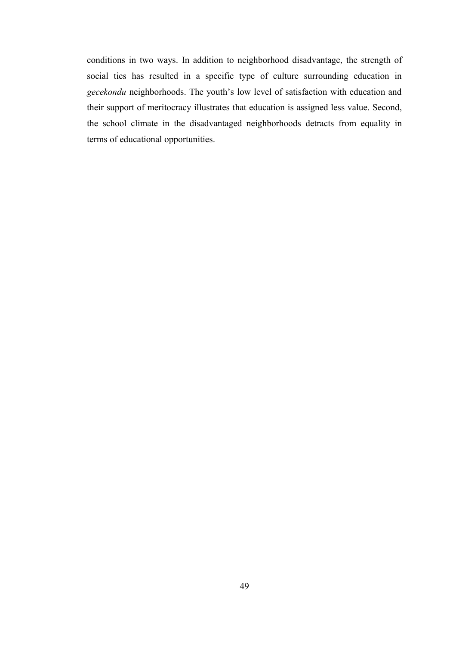conditions in two ways. In addition to neighborhood disadvantage, the strength of social ties has resulted in a specific type of culture surrounding education in *gecekondu* neighborhoods. The youth's low level of satisfaction with education and their support of meritocracy illustrates that education is assigned less value. Second, the school climate in the disadvantaged neighborhoods detracts from equality in terms of educational opportunities.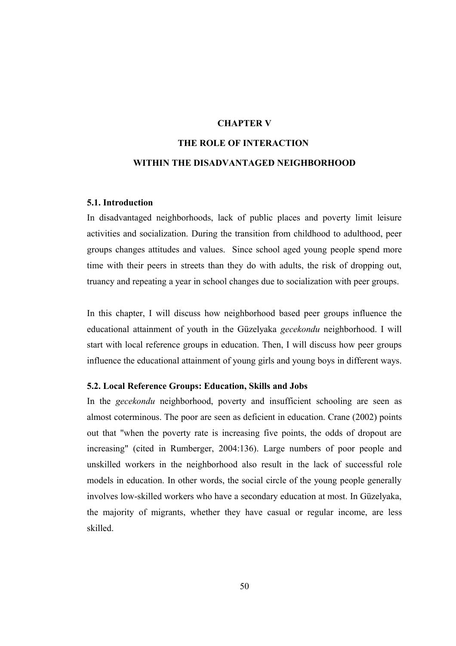# **CHAPTER V**

# **THE ROLE OF INTERACTION**

# **WITHIN THE DISADVANTAGED NEIGHBORHOOD**

#### **5.1. Introduction**

In disadvantaged neighborhoods, lack of public places and poverty limit leisure activities and socialization. During the transition from childhood to adulthood, peer groups changes attitudes and values. Since school aged young people spend more time with their peers in streets than they do with adults, the risk of dropping out, truancy and repeating a year in school changes due to socialization with peer groups.

In this chapter, I will discuss how neighborhood based peer groups influence the educational attainment of youth in the Güzelyaka *gecekondu* neighborhood. I will start with local reference groups in education. Then, I will discuss how peer groups influence the educational attainment of young girls and young boys in different ways.

## **5.2. Local Reference Groups: Education, Skills and Jobs**

In the *gecekondu* neighborhood, poverty and insufficient schooling are seen as almost coterminous. The poor are seen as deficient in education. Crane (2002) points out that "when the poverty rate is increasing five points, the odds of dropout are increasing" (cited in Rumberger, 2004:136). Large numbers of poor people and unskilled workers in the neighborhood also result in the lack of successful role models in education. In other words, the social circle of the young people generally involves low-skilled workers who have a secondary education at most. In Güzelyaka, the majority of migrants, whether they have casual or regular income, are less skilled.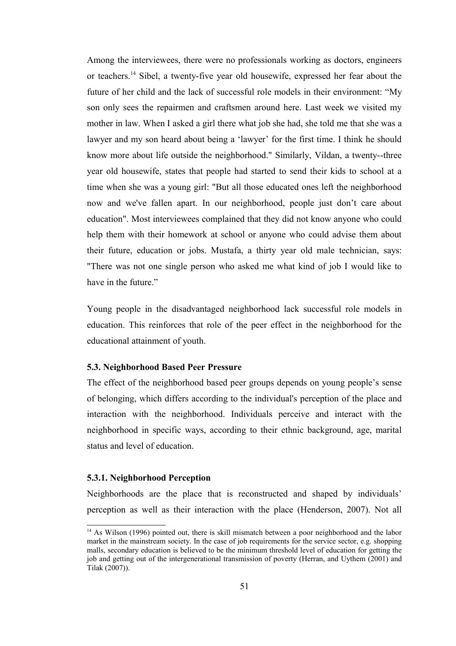Among the interviewees, there were no professionals working as doctors, engineers or teachers.[14](#page-63-0) Sibel, a twenty-five year old housewife, expressed her fear about the future of her child and the lack of successful role models in their environment: "My son only sees the repairmen and craftsmen around here. Last week we visited my mother in law. When I asked a girl there what job she had, she told me that she was a lawyer and my son heard about being a 'lawyer' for the first time. I think he should know more about life outside the neighborhood." Similarly, Vildan, a twenty--three year old housewife, states that people had started to send their kids to school at a time when she was a young girl: "But all those educated ones left the neighborhood now and we've fallen apart. In our neighborhood, people just don't care about education". Most interviewees complained that they did not know anyone who could help them with their homework at school or anyone who could advise them about their future, education or jobs. Mustafa, a thirty year old male technician, says: "There was not one single person who asked me what kind of job I would like to have in the future."

Young people in the disadvantaged neighborhood lack successful role models in education. This reinforces that role of the peer effect in the neighborhood for the educational attainment of youth.

# **5.3. Neighborhood Based Peer Pressure**

The effect of the neighborhood based peer groups depends on young people's sense of belonging, which differs according to the individual's perception of the place and interaction with the neighborhood. Individuals perceive and interact with the neighborhood in specific ways, according to their ethnic background, age, marital status and level of education.

#### **5.3.1. Neighborhood Perception**

Neighborhoods are the place that is reconstructed and shaped by individuals' perception as well as their interaction with the place (Henderson, 2007). Not all

<span id="page-63-0"></span><sup>&</sup>lt;sup>14</sup> As Wilson (1996) pointed out, there is skill mismatch between a poor neighborhood and the labor market in the mainstream society. In the case of job requirements for the service sector, e.g. shopping malls, secondary education is believed to be the minimum threshold level of education for getting the job and getting out of the intergenerational transmission of poverty (Herran, and Uythem (2001) and Tilak (2007)).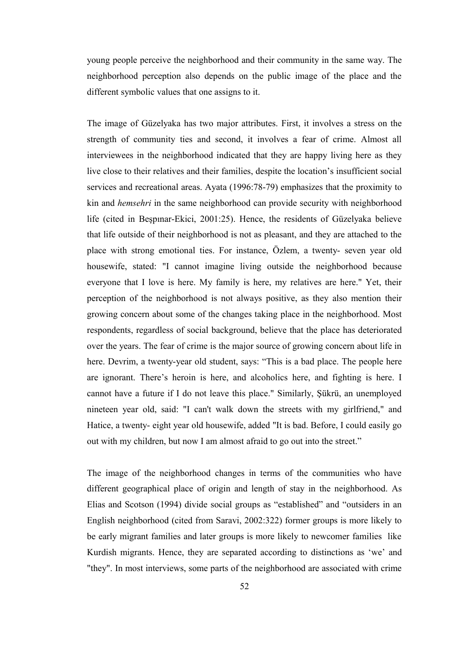young people perceive the neighborhood and their community in the same way. The neighborhood perception also depends on the public image of the place and the different symbolic values that one assigns to it.

The image of Güzelyaka has two major attributes. First, it involves a stress on the strength of community ties and second, it involves a fear of crime. Almost all interviewees in the neighborhood indicated that they are happy living here as they live close to their relatives and their families, despite the location's insufficient social services and recreational areas. Ayata (1996:78-79) emphasizes that the proximity to kin and *hemsehri* in the same neighborhood can provide security with neighborhood life (cited in Beşpınar-Ekici, 2001:25). Hence, the residents of Güzelyaka believe that life outside of their neighborhood is not as pleasant, and they are attached to the place with strong emotional ties. For instance, Özlem, a twenty- seven year old housewife, stated: "I cannot imagine living outside the neighborhood because everyone that I love is here. My family is here, my relatives are here." Yet, their perception of the neighborhood is not always positive, as they also mention their growing concern about some of the changes taking place in the neighborhood. Most respondents, regardless of social background, believe that the place has deteriorated over the years. The fear of crime is the major source of growing concern about life in here. Devrim, a twenty-year old student, says: "This is a bad place. The people here are ignorant. There's heroin is here, and alcoholics here, and fighting is here. I cannot have a future if I do not leave this place." Similarly, Şükrü, an unemployed nineteen year old, said: "I can't walk down the streets with my girlfriend," and Hatice, a twenty- eight year old housewife, added "It is bad. Before, I could easily go out with my children, but now I am almost afraid to go out into the street."

The image of the neighborhood changes in terms of the communities who have different geographical place of origin and length of stay in the neighborhood. As Elias and Scotson (1994) divide social groups as "established" and "outsiders in an English neighborhood (cited from Saravi, 2002:322) former groups is more likely to be early migrant families and later groups is more likely to newcomer families like Kurdish migrants. Hence, they are separated according to distinctions as 'we' and "they". In most interviews, some parts of the neighborhood are associated with crime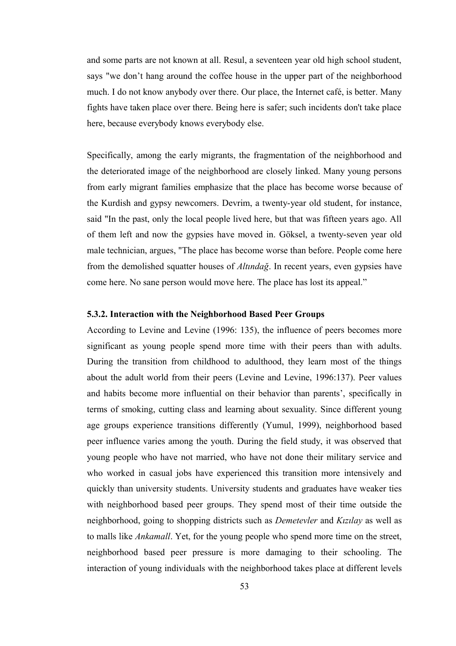and some parts are not known at all. Resul, a seventeen year old high school student, says "we don't hang around the coffee house in the upper part of the neighborhood much. I do not know anybody over there. Our place, the Internet café, is better. Many fights have taken place over there. Being here is safer; such incidents don't take place here, because everybody knows everybody else.

Specifically, among the early migrants, the fragmentation of the neighborhood and the deteriorated image of the neighborhood are closely linked. Many young persons from early migrant families emphasize that the place has become worse because of the Kurdish and gypsy newcomers. Devrim, a twenty-year old student, for instance, said "In the past, only the local people lived here, but that was fifteen years ago. All of them left and now the gypsies have moved in. Göksel, a twenty-seven year old male technician, argues, "The place has become worse than before. People come here from the demolished squatter houses of *Altındağ*. In recent years, even gypsies have come here. No sane person would move here. The place has lost its appeal."

### **5.3.2. Interaction with the Neighborhood Based Peer Groups**

According to Levine and Levine (1996: 135), the influence of peers becomes more significant as young people spend more time with their peers than with adults. During the transition from childhood to adulthood, they learn most of the things about the adult world from their peers (Levine and Levine, 1996:137). Peer values and habits become more influential on their behavior than parents', specifically in terms of smoking, cutting class and learning about sexuality. Since different young age groups experience transitions differently (Yumul, 1999), neighborhood based peer influence varies among the youth. During the field study, it was observed that young people who have not married, who have not done their military service and who worked in casual jobs have experienced this transition more intensively and quickly than university students. University students and graduates have weaker ties with neighborhood based peer groups. They spend most of their time outside the neighborhood, going to shopping districts such as *Demetevler* and *Kızılay* as well as to malls like *Ankamall*. Yet, for the young people who spend more time on the street, neighborhood based peer pressure is more damaging to their schooling. The interaction of young individuals with the neighborhood takes place at different levels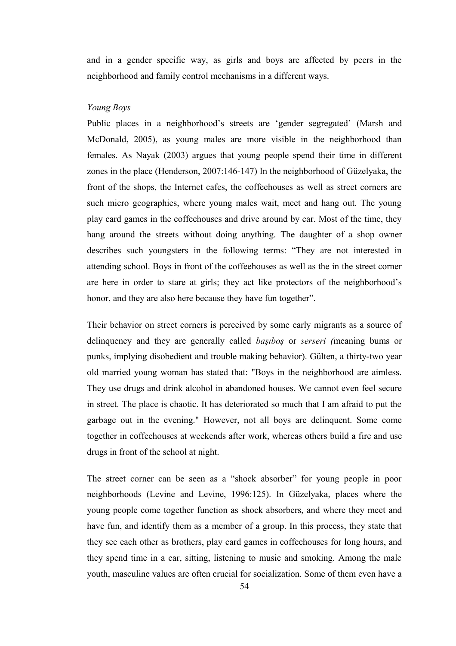and in a gender specific way, as girls and boys are affected by peers in the neighborhood and family control mechanisms in a different ways.

## *Young Boys*

Public places in a neighborhood's streets are 'gender segregated' (Marsh and McDonald, 2005), as young males are more visible in the neighborhood than females. As Nayak (2003) argues that young people spend their time in different zones in the place (Henderson, 2007:146-147) In the neighborhood of Güzelyaka, the front of the shops, the Internet cafes, the coffeehouses as well as street corners are such micro geographies, where young males wait, meet and hang out. The young play card games in the coffeehouses and drive around by car. Most of the time, they hang around the streets without doing anything. The daughter of a shop owner describes such youngsters in the following terms: "They are not interested in attending school. Boys in front of the coffeehouses as well as the in the street corner are here in order to stare at girls; they act like protectors of the neighborhood's honor, and they are also here because they have fun together".

Their behavior on street corners is perceived by some early migrants as a source of delinquency and they are generally called *başıboş* or *serseri (*meaning bums or punks, implying disobedient and trouble making behavior). Gülten, a thirty-two year old married young woman has stated that: "Boys in the neighborhood are aimless. They use drugs and drink alcohol in abandoned houses. We cannot even feel secure in street. The place is chaotic. It has deteriorated so much that I am afraid to put the garbage out in the evening." However, not all boys are delinquent. Some come together in coffeehouses at weekends after work, whereas others build a fire and use drugs in front of the school at night.

The street corner can be seen as a "shock absorber" for young people in poor neighborhoods (Levine and Levine, 1996:125). In Güzelyaka, places where the young people come together function as shock absorbers, and where they meet and have fun, and identify them as a member of a group. In this process, they state that they see each other as brothers, play card games in coffeehouses for long hours, and they spend time in a car, sitting, listening to music and smoking. Among the male youth, masculine values are often crucial for socialization. Some of them even have a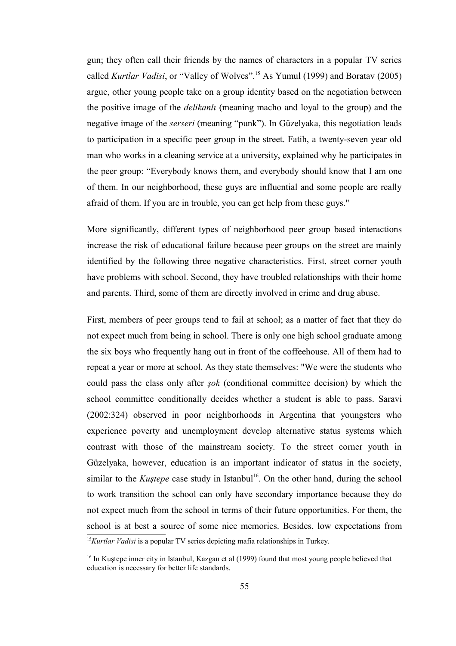gun; they often call their friends by the names of characters in a popular TV series called *Kurtlar Vadisi*, or "Valley of Wolves".[15](#page-67-0) As Yumul (1999) and Boratav (2005) argue, other young people take on a group identity based on the negotiation between the positive image of the *delikanlı* (meaning macho and loyal to the group) and the negative image of the *serseri* (meaning "punk"). In Güzelyaka, this negotiation leads to participation in a specific peer group in the street. Fatih, a twenty-seven year old man who works in a cleaning service at a university, explained why he participates in the peer group: "Everybody knows them, and everybody should know that I am one of them. In our neighborhood, these guys are influential and some people are really afraid of them. If you are in trouble, you can get help from these guys."

More significantly, different types of neighborhood peer group based interactions increase the risk of educational failure because peer groups on the street are mainly identified by the following three negative characteristics. First, street corner youth have problems with school. Second, they have troubled relationships with their home and parents. Third, some of them are directly involved in crime and drug abuse.

First, members of peer groups tend to fail at school; as a matter of fact that they do not expect much from being in school. There is only one high school graduate among the six boys who frequently hang out in front of the coffeehouse. All of them had to repeat a year or more at school. As they state themselves: "We were the students who could pass the class only after *şok* (conditional committee decision) by which the school committee conditionally decides whether a student is able to pass. Saravi (2002:324) observed in poor neighborhoods in Argentina that youngsters who experience poverty and unemployment develop alternative status systems which contrast with those of the mainstream society. To the street corner youth in Güzelyaka, however, education is an important indicator of status in the society, similar to the *Kustepe* case study in Istanbul<sup>[16](#page-67-1)</sup>. On the other hand, during the school to work transition the school can only have secondary importance because they do not expect much from the school in terms of their future opportunities. For them, the school is at best a source of some nice memories. Besides, low expectations from <sup>15</sup>*Kurtlar Vadisi* is a popular TV series depicting mafia relationships in Turkey.

<span id="page-67-1"></span><span id="page-67-0"></span><sup>&</sup>lt;sup>16</sup> In Kustepe inner city in Istanbul, Kazgan et al (1999) found that most young people believed that education is necessary for better life standards.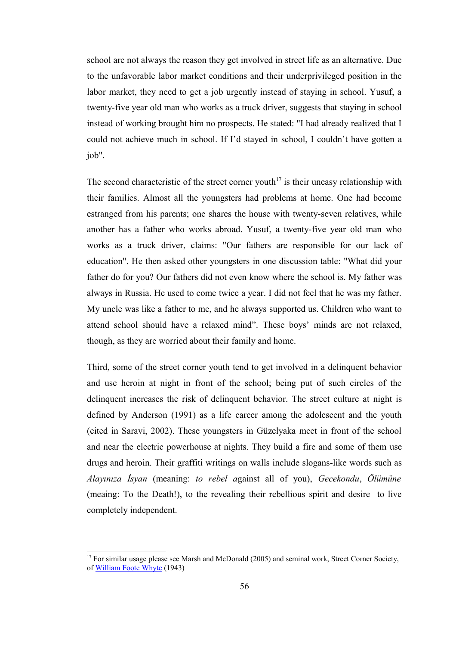school are not always the reason they get involved in street life as an alternative. Due to the unfavorable labor market conditions and their underprivileged position in the labor market, they need to get a job urgently instead of staying in school. Yusuf, a twenty-five year old man who works as a truck driver, suggests that staying in school instead of working brought him no prospects. He stated: "I had already realized that I could not achieve much in school. If I'd stayed in school, I couldn't have gotten a job".

The second characteristic of the street corner youth<sup> $17$ </sup> is their uneasy relationship with their families. Almost all the youngsters had problems at home. One had become estranged from his parents; one shares the house with twenty-seven relatives, while another has a father who works abroad. Yusuf, a twenty-five year old man who works as a truck driver, claims: "Our fathers are responsible for our lack of education". He then asked other youngsters in one discussion table: "What did your father do for you? Our fathers did not even know where the school is. My father was always in Russia. He used to come twice a year. I did not feel that he was my father. My uncle was like a father to me, and he always supported us. Children who want to attend school should have a relaxed mind". These boys' minds are not relaxed, though, as they are worried about their family and home.

Third, some of the street corner youth tend to get involved in a delinquent behavior and use heroin at night in front of the school; being put of such circles of the delinquent increases the risk of delinquent behavior. The street culture at night is defined by Anderson (1991) as a life career among the adolescent and the youth (cited in Saravi, 2002). These youngsters in Güzelyaka meet in front of the school and near the electric powerhouse at nights. They build a fire and some of them use drugs and heroin. Their graffiti writings on walls include slogans-like words such as *Alayınıza İsyan* (meaning: *to rebel a*gainst all of you), *Gecekondu*, *Ölümüne* (meaing: To the Death!), to the revealing their rebellious spirit and desire to live completely independent.

<span id="page-68-0"></span><sup>&</sup>lt;sup>17</sup> For similar usage please see Marsh and McDonald (2005) and seminal work, Street Corner Society, of [William Foote Whyte](http://en.wikipedia.org/wiki/William_Foote_Whyte) (1943)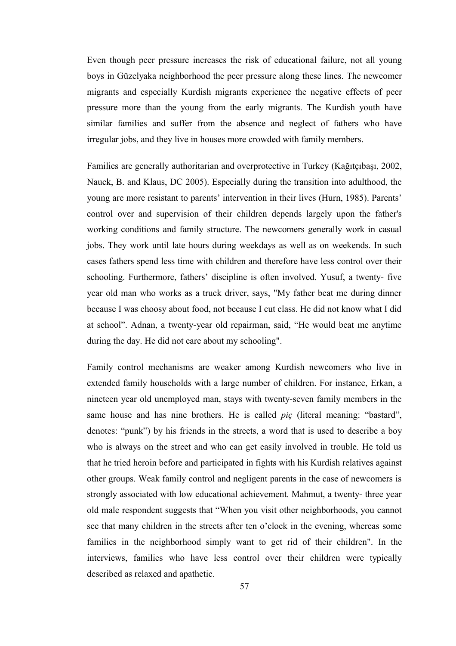Even though peer pressure increases the risk of educational failure, not all young boys in Güzelyaka neighborhood the peer pressure along these lines. The newcomer migrants and especially Kurdish migrants experience the negative effects of peer pressure more than the young from the early migrants. The Kurdish youth have similar families and suffer from the absence and neglect of fathers who have irregular jobs, and they live in houses more crowded with family members.

Families are generally authoritarian and overprotective in Turkey (Kağıtçıbaşı, 2002, Nauck, B. and Klaus, DC 2005). Especially during the transition into adulthood, the young are more resistant to parents' intervention in their lives (Hurn, 1985). Parents' control over and supervision of their children depends largely upon the father's working conditions and family structure. The newcomers generally work in casual jobs. They work until late hours during weekdays as well as on weekends. In such cases fathers spend less time with children and therefore have less control over their schooling. Furthermore, fathers' discipline is often involved. Yusuf, a twenty- five year old man who works as a truck driver, says, "My father beat me during dinner because I was choosy about food, not because I cut class. He did not know what I did at school". Adnan, a twenty-year old repairman, said, "He would beat me anytime during the day. He did not care about my schooling".

Family control mechanisms are weaker among Kurdish newcomers who live in extended family households with a large number of children. For instance, Erkan, a nineteen year old unemployed man, stays with twenty-seven family members in the same house and has nine brothers. He is called *piç* (literal meaning: "bastard", denotes: "punk") by his friends in the streets, a word that is used to describe a boy who is always on the street and who can get easily involved in trouble. He told us that he tried heroin before and participated in fights with his Kurdish relatives against other groups. Weak family control and negligent parents in the case of newcomers is strongly associated with low educational achievement. Mahmut, a twenty- three year old male respondent suggests that "When you visit other neighborhoods, you cannot see that many children in the streets after ten o'clock in the evening, whereas some families in the neighborhood simply want to get rid of their children". In the interviews, families who have less control over their children were typically described as relaxed and apathetic.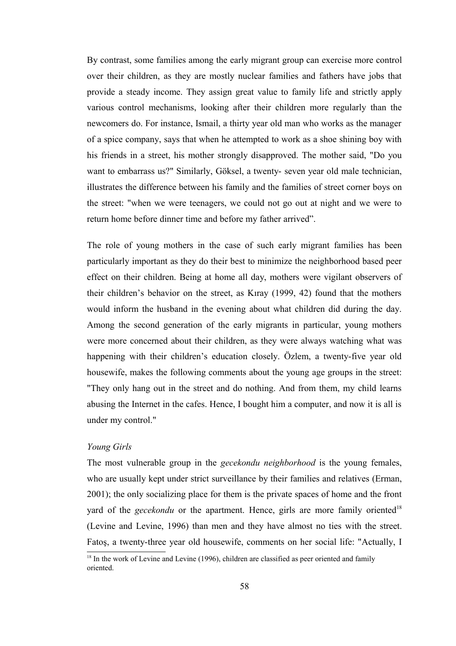By contrast, some families among the early migrant group can exercise more control over their children, as they are mostly nuclear families and fathers have jobs that provide a steady income. They assign great value to family life and strictly apply various control mechanisms, looking after their children more regularly than the newcomers do. For instance, Ismail, a thirty year old man who works as the manager of a spice company, says that when he attempted to work as a shoe shining boy with his friends in a street, his mother strongly disapproved. The mother said, "Do you want to embarrass us?" Similarly, Göksel, a twenty- seven year old male technician, illustrates the difference between his family and the families of street corner boys on the street: "when we were teenagers, we could not go out at night and we were to return home before dinner time and before my father arrived".

The role of young mothers in the case of such early migrant families has been particularly important as they do their best to minimize the neighborhood based peer effect on their children. Being at home all day, mothers were vigilant observers of their children's behavior on the street, as Kıray (1999, 42) found that the mothers would inform the husband in the evening about what children did during the day. Among the second generation of the early migrants in particular, young mothers were more concerned about their children, as they were always watching what was happening with their children's education closely. Özlem, a twenty-five year old housewife, makes the following comments about the young age groups in the street: "They only hang out in the street and do nothing. And from them, my child learns abusing the Internet in the cafes. Hence, I bought him a computer, and now it is all is under my control."

#### *Young Girls*

The most vulnerable group in the *gecekondu neighborhood* is the young females, who are usually kept under strict surveillance by their families and relatives (Erman, 2001); the only socializing place for them is the private spaces of home and the front yard of the *gecekondu* or the apartment. Hence, girls are more family oriented<sup>[18](#page-70-0)</sup> (Levine and Levine, 1996) than men and they have almost no ties with the street. Fatoş, a twenty-three year old housewife, comments on her social life: "Actually, I

<span id="page-70-0"></span><sup>&</sup>lt;sup>18</sup> In the work of Levine and Levine (1996), children are classified as peer oriented and family oriented.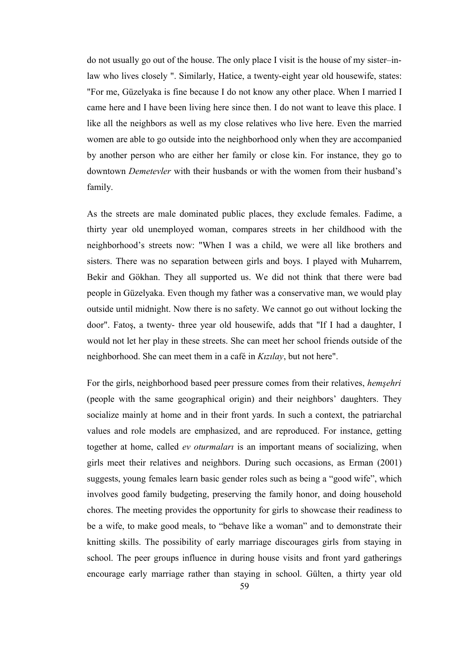do not usually go out of the house. The only place I visit is the house of my sister–inlaw who lives closely ". Similarly, Hatice, a twenty-eight year old housewife, states: "For me, Güzelyaka is fine because I do not know any other place. When I married I came here and I have been living here since then. I do not want to leave this place. I like all the neighbors as well as my close relatives who live here. Even the married women are able to go outside into the neighborhood only when they are accompanied by another person who are either her family or close kin. For instance, they go to downtown *Demetevler* with their husbands or with the women from their husband's family.

As the streets are male dominated public places, they exclude females. Fadime, a thirty year old unemployed woman, compares streets in her childhood with the neighborhood's streets now: "When I was a child, we were all like brothers and sisters. There was no separation between girls and boys. I played with Muharrem, Bekir and Gökhan. They all supported us. We did not think that there were bad people in Güzelyaka. Even though my father was a conservative man, we would play outside until midnight. Now there is no safety. We cannot go out without locking the door". Fatoş, a twenty- three year old housewife, adds that "If I had a daughter, I would not let her play in these streets. She can meet her school friends outside of the neighborhood. She can meet them in a café in *Kızılay*, but not here".

For the girls, neighborhood based peer pressure comes from their relatives, *hemşehri* (people with the same geographical origin) and their neighbors' daughters. They socialize mainly at home and in their front yards. In such a context, the patriarchal values and role models are emphasized, and are reproduced. For instance, getting together at home, called *ev oturmaları* is an important means of socializing, when girls meet their relatives and neighbors. During such occasions, as Erman (2001) suggests, young females learn basic gender roles such as being a "good wife", which involves good family budgeting, preserving the family honor, and doing household chores. The meeting provides the opportunity for girls to showcase their readiness to be a wife, to make good meals, to "behave like a woman" and to demonstrate their knitting skills. The possibility of early marriage discourages girls from staying in school. The peer groups influence in during house visits and front yard gatherings encourage early marriage rather than staying in school. Gülten, a thirty year old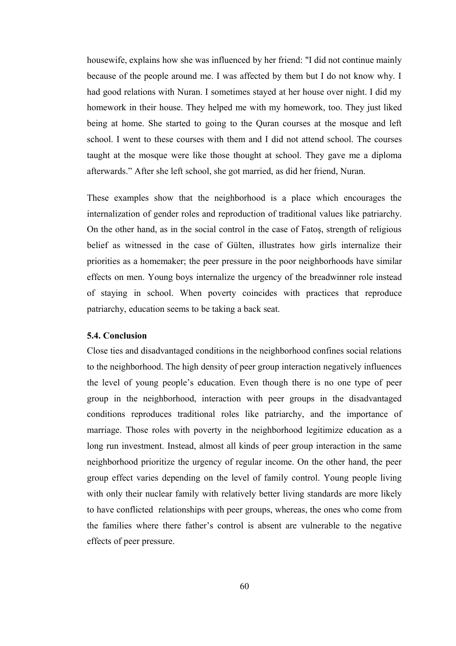housewife, explains how she was influenced by her friend: "I did not continue mainly because of the people around me. I was affected by them but I do not know why. I had good relations with Nuran. I sometimes stayed at her house over night. I did my homework in their house. They helped me with my homework, too. They just liked being at home. She started to going to the Quran courses at the mosque and left school. I went to these courses with them and I did not attend school. The courses taught at the mosque were like those thought at school. They gave me a diploma afterwards." After she left school, she got married, as did her friend, Nuran.

These examples show that the neighborhood is a place which encourages the internalization of gender roles and reproduction of traditional values like patriarchy. On the other hand, as in the social control in the case of Fatoş, strength of religious belief as witnessed in the case of Gülten, illustrates how girls internalize their priorities as a homemaker; the peer pressure in the poor neighborhoods have similar effects on men. Young boys internalize the urgency of the breadwinner role instead of staying in school. When poverty coincides with practices that reproduce patriarchy, education seems to be taking a back seat.

# **5.4. Conclusion**

Close ties and disadvantaged conditions in the neighborhood confines social relations to the neighborhood. The high density of peer group interaction negatively influences the level of young people's education. Even though there is no one type of peer group in the neighborhood, interaction with peer groups in the disadvantaged conditions reproduces traditional roles like patriarchy, and the importance of marriage. Those roles with poverty in the neighborhood legitimize education as a long run investment. Instead, almost all kinds of peer group interaction in the same neighborhood prioritize the urgency of regular income. On the other hand, the peer group effect varies depending on the level of family control. Young people living with only their nuclear family with relatively better living standards are more likely to have conflicted relationships with peer groups, whereas, the ones who come from the families where there father's control is absent are vulnerable to the negative effects of peer pressure.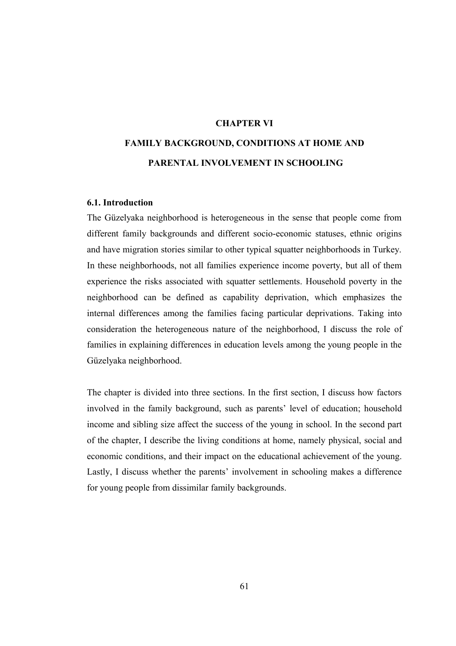# **CHAPTER VI**

# **FAMILY BACKGROUND, CONDITIONS AT HOME AND PARENTAL INVOLVEMENT IN SCHOOLING**

### **6.1. Introduction**

The Güzelyaka neighborhood is heterogeneous in the sense that people come from different family backgrounds and different socio-economic statuses, ethnic origins and have migration stories similar to other typical squatter neighborhoods in Turkey. In these neighborhoods, not all families experience income poverty, but all of them experience the risks associated with squatter settlements. Household poverty in the neighborhood can be defined as capability deprivation, which emphasizes the internal differences among the families facing particular deprivations. Taking into consideration the heterogeneous nature of the neighborhood, I discuss the role of families in explaining differences in education levels among the young people in the Güzelyaka neighborhood.

The chapter is divided into three sections. In the first section, I discuss how factors involved in the family background, such as parents' level of education; household income and sibling size affect the success of the young in school. In the second part of the chapter, I describe the living conditions at home, namely physical, social and economic conditions, and their impact on the educational achievement of the young. Lastly, I discuss whether the parents' involvement in schooling makes a difference for young people from dissimilar family backgrounds.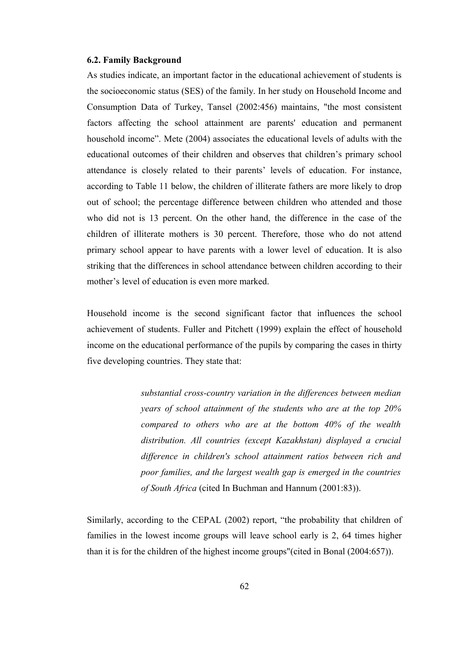### **6.2. Family Background**

As studies indicate, an important factor in the educational achievement of students is the socioeconomic status (SES) of the family. In her study on Household Income and Consumption Data of Turkey, Tansel (2002:456) maintains, "the most consistent factors affecting the school attainment are parents' education and permanent household income". Mete (2004) associates the educational levels of adults with the educational outcomes of their children and observes that children's primary school attendance is closely related to their parents' levels of education. For instance, according to Table 11 below, the children of illiterate fathers are more likely to drop out of school; the percentage difference between children who attended and those who did not is 13 percent. On the other hand, the difference in the case of the children of illiterate mothers is 30 percent. Therefore, those who do not attend primary school appear to have parents with a lower level of education. It is also striking that the differences in school attendance between children according to their mother's level of education is even more marked.

Household income is the second significant factor that influences the school achievement of students. Fuller and Pitchett (1999) explain the effect of household income on the educational performance of the pupils by comparing the cases in thirty five developing countries. They state that:

> *substantial cross-country variation in the differences between median years of school attainment of the students who are at the top 20% compared to others who are at the bottom 40% of the wealth distribution. All countries (except Kazakhstan) displayed a crucial difference in children's school attainment ratios between rich and poor families, and the largest wealth gap is emerged in the countries of South Africa* (cited In Buchman and Hannum (2001:83)).

Similarly, according to the CEPAL (2002) report, "the probability that children of families in the lowest income groups will leave school early is 2, 64 times higher than it is for the children of the highest income groups"(cited in Bonal (2004:657)).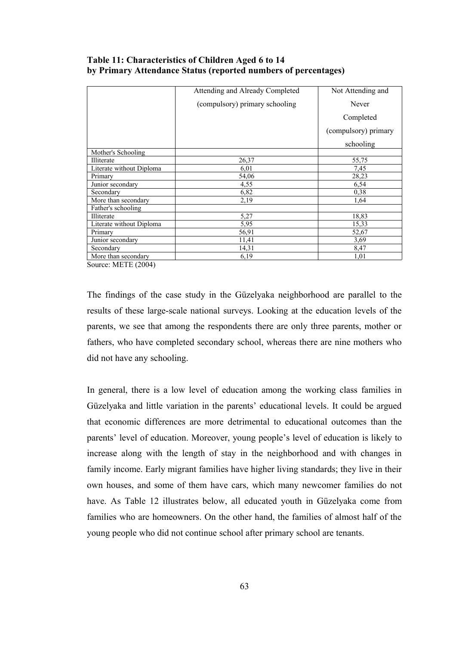|                          | Attending and Already Completed | Not Attending and    |
|--------------------------|---------------------------------|----------------------|
|                          | (compulsory) primary schooling  | Never                |
|                          |                                 | Completed            |
|                          |                                 | (compulsory) primary |
|                          |                                 | schooling            |
| Mother's Schooling       |                                 |                      |
| Illiterate               | 26,37                           | 55,75                |
| Literate without Diploma | 6,01                            | 7,45                 |
| Primary                  | 54,06                           | 28,23                |
| Junior secondary         | 4,55                            | 6,54                 |
| Secondary                | 6,82                            | 0,38                 |
| More than secondary      | 2,19                            | 1,64                 |
| Father's schooling       |                                 |                      |
| Illiterate               | 5,27                            | 18,83                |
| Literate without Diploma | 5,95                            | 15,33                |
| Primary                  | 56,91                           | 52,67                |
| Junior secondary         | 11,41                           | 3,69                 |
| Secondary                | 14,31                           | 8,47                 |
| More than secondary      | 6,19                            | 1,01                 |

# **Table 11: Characteristics of Children Aged 6 to 14 by Primary Attendance Status (reported numbers of percentages)**

Source: METE (2004)

The findings of the case study in the Güzelyaka neighborhood are parallel to the results of these large-scale national surveys. Looking at the education levels of the parents, we see that among the respondents there are only three parents, mother or fathers, who have completed secondary school, whereas there are nine mothers who did not have any schooling.

In general, there is a low level of education among the working class families in Güzelyaka and little variation in the parents' educational levels. It could be argued that economic differences are more detrimental to educational outcomes than the parents' level of education. Moreover, young people's level of education is likely to increase along with the length of stay in the neighborhood and with changes in family income. Early migrant families have higher living standards; they live in their own houses, and some of them have cars, which many newcomer families do not have. As Table 12 illustrates below, all educated youth in Güzelyaka come from families who are homeowners. On the other hand, the families of almost half of the young people who did not continue school after primary school are tenants.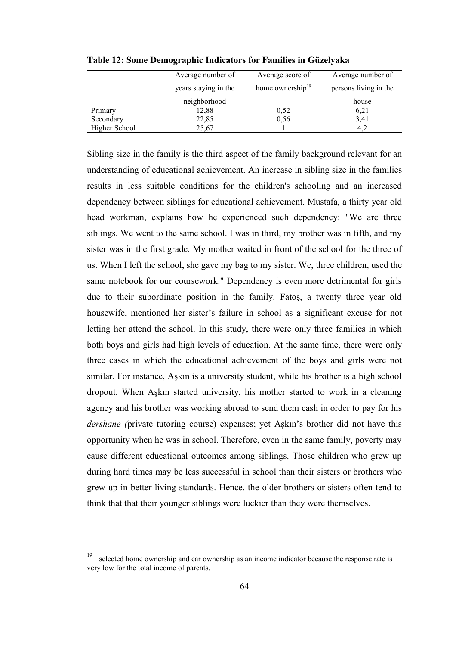|               | Average number of    | Average score of             | Average number of     |
|---------------|----------------------|------------------------------|-----------------------|
|               | years staying in the | home ownership <sup>19</sup> | persons living in the |
|               | neighborhood         |                              | house                 |
| Primary       | 12,88                | 0.52                         | 6.21                  |
| Secondary     | 22,85                | 0.56                         | 3.41                  |
| Higher School | 25,67                |                              |                       |

**Table 12: Some Demographic Indicators for Families in Güzelyaka**

Sibling size in the family is the third aspect of the family background relevant for an understanding of educational achievement. An increase in sibling size in the families results in less suitable conditions for the children's schooling and an increased dependency between siblings for educational achievement. Mustafa, a thirty year old head workman, explains how he experienced such dependency: "We are three siblings. We went to the same school. I was in third, my brother was in fifth, and my sister was in the first grade. My mother waited in front of the school for the three of us. When I left the school, she gave my bag to my sister. We, three children, used the same notebook for our coursework." Dependency is even more detrimental for girls due to their subordinate position in the family. Fatoş, a twenty three year old housewife, mentioned her sister's failure in school as a significant excuse for not letting her attend the school. In this study, there were only three families in which both boys and girls had high levels of education. At the same time, there were only three cases in which the educational achievement of the boys and girls were not similar. For instance, Aşkın is a university student, while his brother is a high school dropout. When Aşkın started university, his mother started to work in a cleaning agency and his brother was working abroad to send them cash in order to pay for his *dershane (*private tutoring course) expenses; yet Aşkın's brother did not have this opportunity when he was in school. Therefore, even in the same family, poverty may cause different educational outcomes among siblings. Those children who grew up during hard times may be less successful in school than their sisters or brothers who grew up in better living standards. Hence, the older brothers or sisters often tend to think that that their younger siblings were luckier than they were themselves.

<span id="page-76-0"></span><sup>&</sup>lt;sup>19</sup> I selected home ownership and car ownership as an income indicator because the response rate is very low for the total income of parents.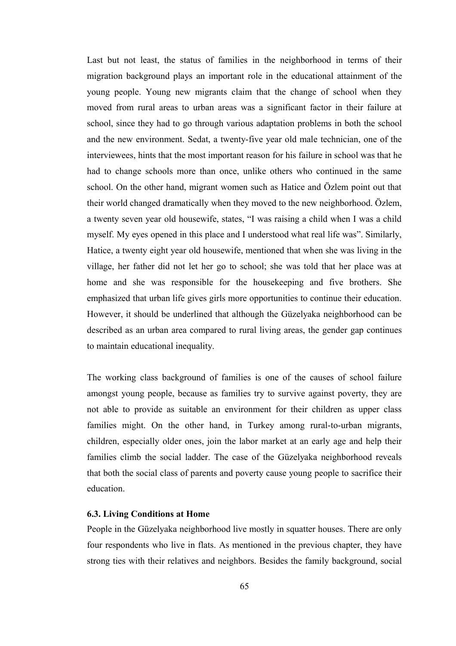Last but not least, the status of families in the neighborhood in terms of their migration background plays an important role in the educational attainment of the young people. Young new migrants claim that the change of school when they moved from rural areas to urban areas was a significant factor in their failure at school, since they had to go through various adaptation problems in both the school and the new environment. Sedat, a twenty-five year old male technician, one of the interviewees, hints that the most important reason for his failure in school was that he had to change schools more than once, unlike others who continued in the same school. On the other hand, migrant women such as Hatice and Özlem point out that their world changed dramatically when they moved to the new neighborhood. Özlem, a twenty seven year old housewife, states, "I was raising a child when I was a child myself. My eyes opened in this place and I understood what real life was". Similarly, Hatice, a twenty eight year old housewife, mentioned that when she was living in the village, her father did not let her go to school; she was told that her place was at home and she was responsible for the housekeeping and five brothers. She emphasized that urban life gives girls more opportunities to continue their education. However, it should be underlined that although the Güzelyaka neighborhood can be described as an urban area compared to rural living areas, the gender gap continues to maintain educational inequality.

The working class background of families is one of the causes of school failure amongst young people, because as families try to survive against poverty, they are not able to provide as suitable an environment for their children as upper class families might. On the other hand, in Turkey among rural-to-urban migrants, children, especially older ones, join the labor market at an early age and help their families climb the social ladder. The case of the Güzelyaka neighborhood reveals that both the social class of parents and poverty cause young people to sacrifice their education.

# **6.3. Living Conditions at Home**

People in the Güzelyaka neighborhood live mostly in squatter houses. There are only four respondents who live in flats. As mentioned in the previous chapter, they have strong ties with their relatives and neighbors. Besides the family background, social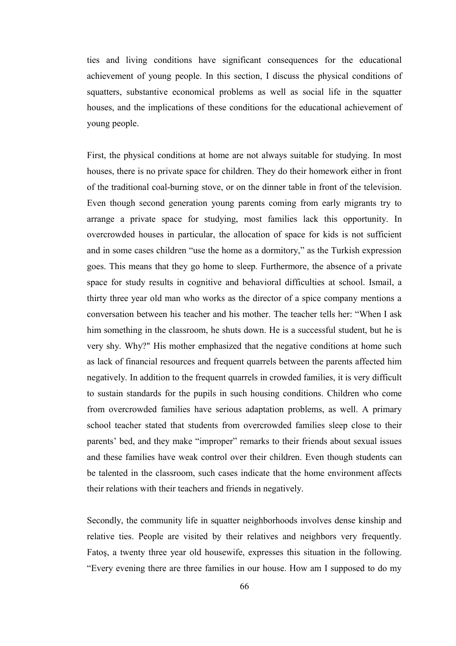ties and living conditions have significant consequences for the educational achievement of young people. In this section, I discuss the physical conditions of squatters, substantive economical problems as well as social life in the squatter houses, and the implications of these conditions for the educational achievement of young people.

First, the physical conditions at home are not always suitable for studying. In most houses, there is no private space for children. They do their homework either in front of the traditional coal-burning stove, or on the dinner table in front of the television. Even though second generation young parents coming from early migrants try to arrange a private space for studying, most families lack this opportunity. In overcrowded houses in particular, the allocation of space for kids is not sufficient and in some cases children "use the home as a dormitory," as the Turkish expression goes. This means that they go home to sleep*.* Furthermore, the absence of a private space for study results in cognitive and behavioral difficulties at school. Ismail, a thirty three year old man who works as the director of a spice company mentions a conversation between his teacher and his mother. The teacher tells her: "When I ask him something in the classroom, he shuts down. He is a successful student, but he is very shy. Why?" His mother emphasized that the negative conditions at home such as lack of financial resources and frequent quarrels between the parents affected him negatively. In addition to the frequent quarrels in crowded families, it is very difficult to sustain standards for the pupils in such housing conditions. Children who come from overcrowded families have serious adaptation problems, as well. A primary school teacher stated that students from overcrowded families sleep close to their parents' bed, and they make "improper" remarks to their friends about sexual issues and these families have weak control over their children. Even though students can be talented in the classroom, such cases indicate that the home environment affects their relations with their teachers and friends in negatively.

Secondly, the community life in squatter neighborhoods involves dense kinship and relative ties. People are visited by their relatives and neighbors very frequently. Fatoş, a twenty three year old housewife, expresses this situation in the following. "Every evening there are three families in our house. How am I supposed to do my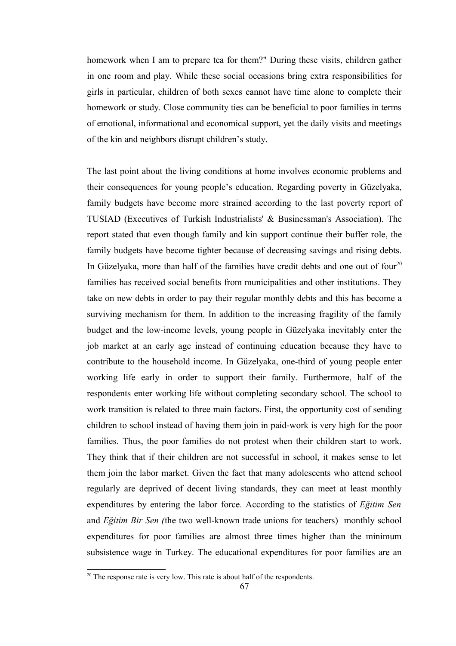homework when I am to prepare tea for them?" During these visits, children gather in one room and play. While these social occasions bring extra responsibilities for girls in particular, children of both sexes cannot have time alone to complete their homework or study. Close community ties can be beneficial to poor families in terms of emotional, informational and economical support, yet the daily visits and meetings of the kin and neighbors disrupt children's study.

The last point about the living conditions at home involves economic problems and their consequences for young people's education. Regarding poverty in Güzelyaka, family budgets have become more strained according to the last poverty report of TUSIAD (Executives of Turkish Industrialists' & Businessman's Association). The report stated that even though family and kin support continue their buffer role, the family budgets have become tighter because of decreasing savings and rising debts. In Güzelyaka, more than half of the families have credit debts and one out of four<sup>[20](#page-79-0)</sup> families has received social benefits from municipalities and other institutions. They take on new debts in order to pay their regular monthly debts and this has become a surviving mechanism for them. In addition to the increasing fragility of the family budget and the low-income levels, young people in Güzelyaka inevitably enter the job market at an early age instead of continuing education because they have to contribute to the household income. In Güzelyaka, one-third of young people enter working life early in order to support their family. Furthermore, half of the respondents enter working life without completing secondary school. The school to work transition is related to three main factors. First, the opportunity cost of sending children to school instead of having them join in paid-work is very high for the poor families. Thus, the poor families do not protest when their children start to work. They think that if their children are not successful in school, it makes sense to let them join the labor market. Given the fact that many adolescents who attend school regularly are deprived of decent living standards, they can meet at least monthly expenditures by entering the labor force. According to the statistics of *Eğitim Sen* and *Eğitim Bir Sen (*the two well-known trade unions for teachers) monthly school expenditures for poor families are almost three times higher than the minimum subsistence wage in Turkey. The educational expenditures for poor families are an

<span id="page-79-0"></span> $20$  The response rate is very low. This rate is about half of the respondents.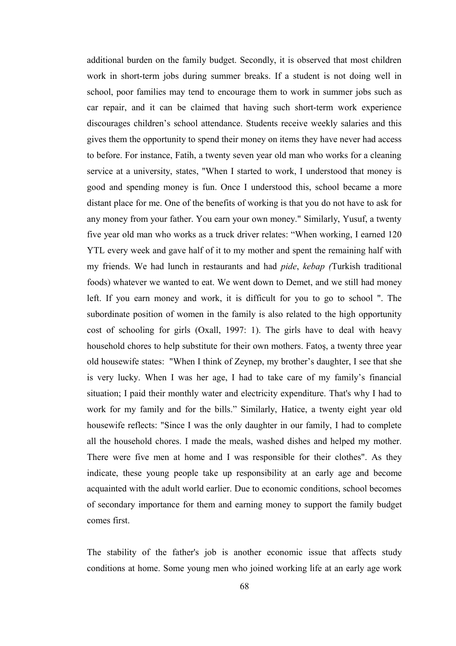additional burden on the family budget. Secondly, it is observed that most children work in short-term jobs during summer breaks. If a student is not doing well in school, poor families may tend to encourage them to work in summer jobs such as car repair, and it can be claimed that having such short-term work experience discourages children's school attendance. Students receive weekly salaries and this gives them the opportunity to spend their money on items they have never had access to before. For instance, Fatih, a twenty seven year old man who works for a cleaning service at a university, states, "When I started to work, I understood that money is good and spending money is fun. Once I understood this, school became a more distant place for me. One of the benefits of working is that you do not have to ask for any money from your father. You earn your own money." Similarly, Yusuf, a twenty five year old man who works as a truck driver relates: "When working, I earned 120 YTL every week and gave half of it to my mother and spent the remaining half with my friends. We had lunch in restaurants and had *pide*, *kebap (*Turkish traditional foods) whatever we wanted to eat. We went down to Demet, and we still had money left. If you earn money and work, it is difficult for you to go to school ". The subordinate position of women in the family is also related to the high opportunity cost of schooling for girls (Oxall, 1997: 1). The girls have to deal with heavy household chores to help substitute for their own mothers. Fatoş, a twenty three year old housewife states: "When I think of Zeynep, my brother's daughter, I see that she is very lucky. When I was her age, I had to take care of my family's financial situation; I paid their monthly water and electricity expenditure. That's why I had to work for my family and for the bills." Similarly, Hatice, a twenty eight year old housewife reflects: "Since I was the only daughter in our family, I had to complete all the household chores. I made the meals, washed dishes and helped my mother. There were five men at home and I was responsible for their clothes". As they indicate, these young people take up responsibility at an early age and become acquainted with the adult world earlier. Due to economic conditions, school becomes of secondary importance for them and earning money to support the family budget comes first.

The stability of the father's job is another economic issue that affects study conditions at home. Some young men who joined working life at an early age work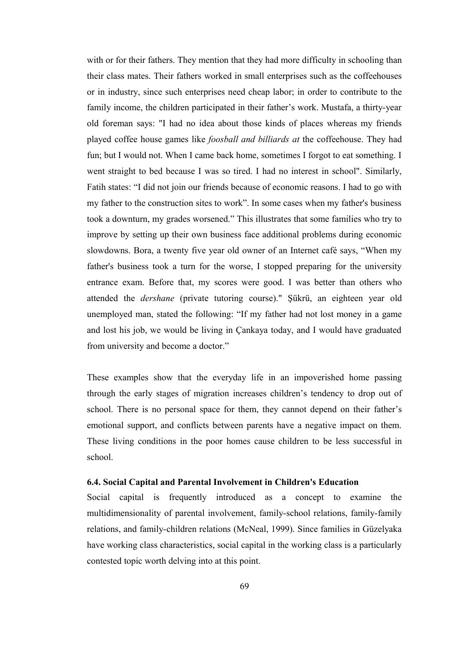with or for their fathers. They mention that they had more difficulty in schooling than their class mates. Their fathers worked in small enterprises such as the coffeehouses or in industry, since such enterprises need cheap labor; in order to contribute to the family income, the children participated in their father's work. Mustafa, a thirty-year old foreman says: "I had no idea about those kinds of places whereas my friends played coffee house games like *foosball and billiards at* the coffeehouse. They had fun; but I would not. When I came back home, sometimes I forgot to eat something. I went straight to bed because I was so tired. I had no interest in school". Similarly, Fatih states: "I did not join our friends because of economic reasons. I had to go with my father to the construction sites to work". In some cases when my father's business took a downturn, my grades worsened." This illustrates that some families who try to improve by setting up their own business face additional problems during economic slowdowns. Bora, a twenty five year old owner of an Internet café says, "When my father's business took a turn for the worse, I stopped preparing for the university entrance exam. Before that, my scores were good. I was better than others who attended the *dershane* (private tutoring course)." Şükrü, an eighteen year old unemployed man, stated the following: "If my father had not lost money in a game and lost his job, we would be living in Çankaya today, and I would have graduated from university and become a doctor."

These examples show that the everyday life in an impoverished home passing through the early stages of migration increases children's tendency to drop out of school. There is no personal space for them, they cannot depend on their father's emotional support, and conflicts between parents have a negative impact on them. These living conditions in the poor homes cause children to be less successful in school.

### **6.4. Social Capital and Parental Involvement in Children's Education**

Social capital is frequently introduced as a concept to examine the multidimensionality of parental involvement, family-school relations, family-family relations, and family-children relations (McNeal, 1999). Since families in Güzelyaka have working class characteristics, social capital in the working class is a particularly contested topic worth delving into at this point.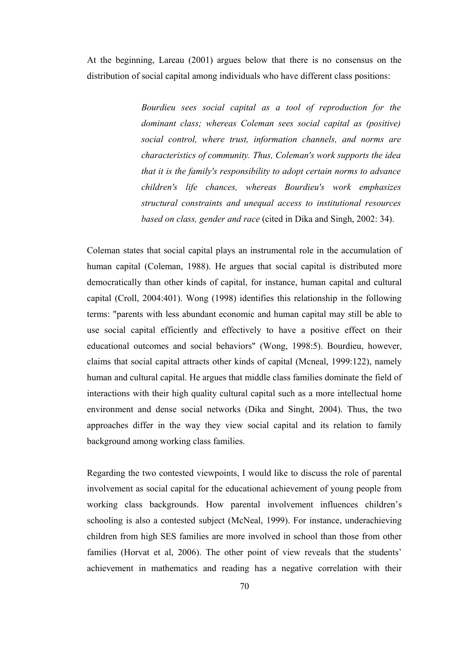At the beginning, Lareau (2001) argues below that there is no consensus on the distribution of social capital among individuals who have different class positions:

> *Bourdieu sees social capital as a tool of reproduction for the dominant class; whereas Coleman sees social capital as (positive) social control, where trust, information channels, and norms are characteristics of community. Thus, Coleman's work supports the idea that it is the family's responsibility to adopt certain norms to advance children's life chances, whereas Bourdieu's work emphasizes structural constraints and unequal access to institutional resources based on class, gender and race* (cited in Dika and Singh, 2002: 34).

Coleman states that social capital plays an instrumental role in the accumulation of human capital (Coleman, 1988). He argues that social capital is distributed more democratically than other kinds of capital, for instance, human capital and cultural capital (Croll, 2004:401). Wong (1998) identifies this relationship in the following terms: "parents with less abundant economic and human capital may still be able to use social capital efficiently and effectively to have a positive effect on their educational outcomes and social behaviors" (Wong, 1998:5). Bourdieu, however, claims that social capital attracts other kinds of capital (Mcneal, 1999:122), namely human and cultural capital. He argues that middle class families dominate the field of interactions with their high quality cultural capital such as a more intellectual home environment and dense social networks (Dika and Singht, 2004). Thus, the two approaches differ in the way they view social capital and its relation to family background among working class families.

Regarding the two contested viewpoints, I would like to discuss the role of parental involvement as social capital for the educational achievement of young people from working class backgrounds. How parental involvement influences children's schooling is also a contested subject (McNeal, 1999). For instance, underachieving children from high SES families are more involved in school than those from other families (Horvat et al, 2006). The other point of view reveals that the students' achievement in mathematics and reading has a negative correlation with their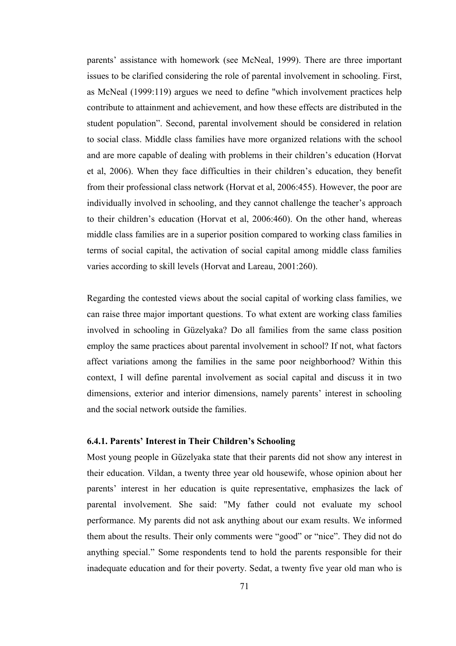parents' assistance with homework (see McNeal, 1999). There are three important issues to be clarified considering the role of parental involvement in schooling. First, as McNeal (1999:119) argues we need to define "which involvement practices help contribute to attainment and achievement, and how these effects are distributed in the student population". Second, parental involvement should be considered in relation to social class. Middle class families have more organized relations with the school and are more capable of dealing with problems in their children's education (Horvat et al, 2006). When they face difficulties in their children's education, they benefit from their professional class network (Horvat et al, 2006:455). However, the poor are individually involved in schooling, and they cannot challenge the teacher's approach to their children's education (Horvat et al, 2006:460). On the other hand, whereas middle class families are in a superior position compared to working class families in terms of social capital, the activation of social capital among middle class families varies according to skill levels (Horvat and Lareau, 2001:260).

Regarding the contested views about the social capital of working class families, we can raise three major important questions. To what extent are working class families involved in schooling in Güzelyaka? Do all families from the same class position employ the same practices about parental involvement in school? If not, what factors affect variations among the families in the same poor neighborhood? Within this context, I will define parental involvement as social capital and discuss it in two dimensions, exterior and interior dimensions, namely parents' interest in schooling and the social network outside the families.

### **6.4.1. Parents' Interest in Their Children's Schooling**

Most young people in Güzelyaka state that their parents did not show any interest in their education. Vildan, a twenty three year old housewife, whose opinion about her parents' interest in her education is quite representative, emphasizes the lack of parental involvement. She said: "My father could not evaluate my school performance. My parents did not ask anything about our exam results. We informed them about the results. Their only comments were "good" or "nice". They did not do anything special." Some respondents tend to hold the parents responsible for their inadequate education and for their poverty. Sedat, a twenty five year old man who is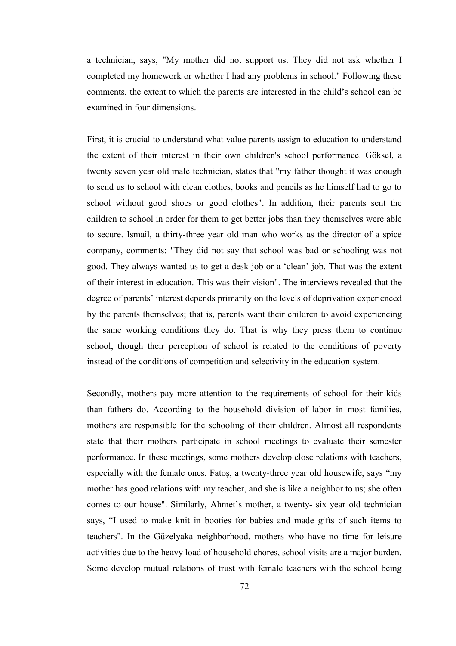a technician, says, "My mother did not support us. They did not ask whether I completed my homework or whether I had any problems in school." Following these comments, the extent to which the parents are interested in the child's school can be examined in four dimensions.

First, it is crucial to understand what value parents assign to education to understand the extent of their interest in their own children's school performance. Göksel, a twenty seven year old male technician, states that "my father thought it was enough to send us to school with clean clothes, books and pencils as he himself had to go to school without good shoes or good clothes". In addition, their parents sent the children to school in order for them to get better jobs than they themselves were able to secure. Ismail, a thirty-three year old man who works as the director of a spice company, comments: "They did not say that school was bad or schooling was not good. They always wanted us to get a desk-job or a 'clean' job. That was the extent of their interest in education. This was their vision". The interviews revealed that the degree of parents' interest depends primarily on the levels of deprivation experienced by the parents themselves; that is, parents want their children to avoid experiencing the same working conditions they do. That is why they press them to continue school, though their perception of school is related to the conditions of poverty instead of the conditions of competition and selectivity in the education system.

Secondly, mothers pay more attention to the requirements of school for their kids than fathers do. According to the household division of labor in most families, mothers are responsible for the schooling of their children. Almost all respondents state that their mothers participate in school meetings to evaluate their semester performance. In these meetings, some mothers develop close relations with teachers, especially with the female ones. Fatoş, a twenty-three year old housewife, says "my mother has good relations with my teacher, and she is like a neighbor to us; she often comes to our house". Similarly, Ahmet's mother, a twenty- six year old technician says, "I used to make knit in booties for babies and made gifts of such items to teachers". In the Güzelyaka neighborhood, mothers who have no time for leisure activities due to the heavy load of household chores, school visits are a major burden. Some develop mutual relations of trust with female teachers with the school being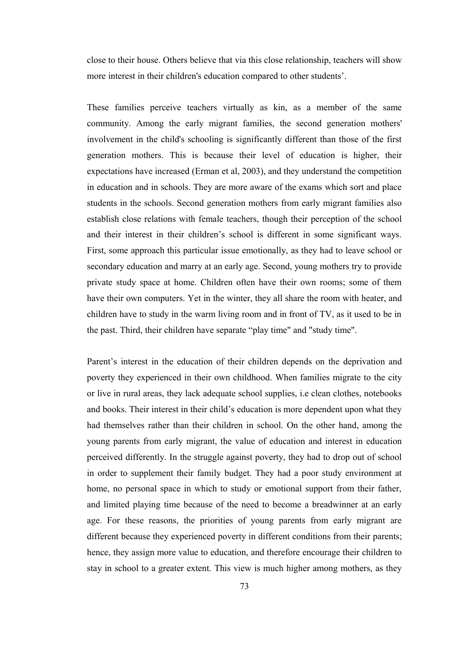close to their house. Others believe that via this close relationship, teachers will show more interest in their children's education compared to other students'.

These families perceive teachers virtually as kin, as a member of the same community. Among the early migrant families, the second generation mothers' involvement in the child's schooling is significantly different than those of the first generation mothers. This is because their level of education is higher, their expectations have increased (Erman et al, 2003), and they understand the competition in education and in schools. They are more aware of the exams which sort and place students in the schools. Second generation mothers from early migrant families also establish close relations with female teachers, though their perception of the school and their interest in their children's school is different in some significant ways. First, some approach this particular issue emotionally, as they had to leave school or secondary education and marry at an early age. Second, young mothers try to provide private study space at home. Children often have their own rooms; some of them have their own computers. Yet in the winter, they all share the room with heater, and children have to study in the warm living room and in front of TV, as it used to be in the past. Third, their children have separate "play time" and "study time".

Parent's interest in the education of their children depends on the deprivation and poverty they experienced in their own childhood. When families migrate to the city or live in rural areas, they lack adequate school supplies, i.e clean clothes, notebooks and books. Their interest in their child's education is more dependent upon what they had themselves rather than their children in school. On the other hand, among the young parents from early migrant, the value of education and interest in education perceived differently. In the struggle against poverty, they had to drop out of school in order to supplement their family budget. They had a poor study environment at home, no personal space in which to study or emotional support from their father, and limited playing time because of the need to become a breadwinner at an early age. For these reasons, the priorities of young parents from early migrant are different because they experienced poverty in different conditions from their parents; hence, they assign more value to education, and therefore encourage their children to stay in school to a greater extent. This view is much higher among mothers, as they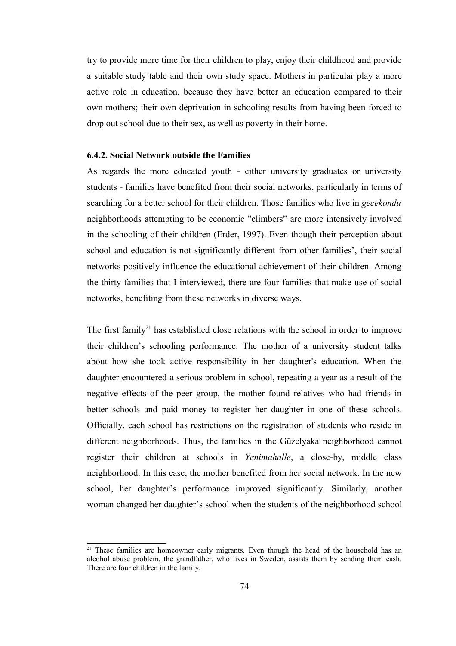try to provide more time for their children to play, enjoy their childhood and provide a suitable study table and their own study space. Mothers in particular play a more active role in education, because they have better an education compared to their own mothers; their own deprivation in schooling results from having been forced to drop out school due to their sex, as well as poverty in their home.

### **6.4.2. Social Network outside the Families**

As regards the more educated youth - either university graduates or university students - families have benefited from their social networks, particularly in terms of searching for a better school for their children. Those families who live in *gecekondu* neighborhoods attempting to be economic "climbers" are more intensively involved in the schooling of their children (Erder, 1997). Even though their perception about school and education is not significantly different from other families', their social networks positively influence the educational achievement of their children. Among the thirty families that I interviewed, there are four families that make use of social networks, benefiting from these networks in diverse ways.

The first family<sup>[21](#page-86-0)</sup> has established close relations with the school in order to improve their children's schooling performance. The mother of a university student talks about how she took active responsibility in her daughter's education. When the daughter encountered a serious problem in school, repeating a year as a result of the negative effects of the peer group, the mother found relatives who had friends in better schools and paid money to register her daughter in one of these schools. Officially, each school has restrictions on the registration of students who reside in different neighborhoods. Thus, the families in the Güzelyaka neighborhood cannot register their children at schools in *Yenimahalle*, a close-by, middle class neighborhood. In this case, the mother benefited from her social network. In the new school, her daughter's performance improved significantly. Similarly, another woman changed her daughter's school when the students of the neighborhood school

<span id="page-86-0"></span><sup>&</sup>lt;sup>21</sup> These families are homeowner early migrants. Even though the head of the household has an alcohol abuse problem, the grandfather, who lives in Sweden, assists them by sending them cash. There are four children in the family.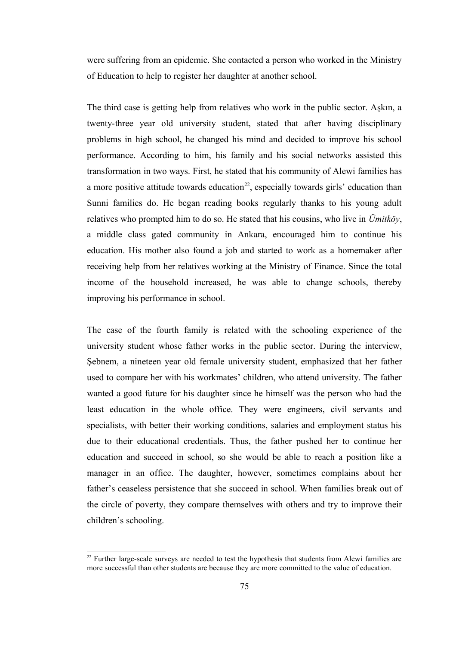were suffering from an epidemic. She contacted a person who worked in the Ministry of Education to help to register her daughter at another school.

The third case is getting help from relatives who work in the public sector. Aşkın, a twenty-three year old university student, stated that after having disciplinary problems in high school, he changed his mind and decided to improve his school performance. According to him, his family and his social networks assisted this transformation in two ways. First, he stated that his community of Alewi families has a more positive attitude towards education<sup>[22](#page-87-0)</sup>, especially towards girls' education than Sunni families do. He began reading books regularly thanks to his young adult relatives who prompted him to do so. He stated that his cousins, who live in *Ümitköy*, a middle class gated community in Ankara, encouraged him to continue his education. His mother also found a job and started to work as a homemaker after receiving help from her relatives working at the Ministry of Finance. Since the total income of the household increased, he was able to change schools, thereby improving his performance in school.

The case of the fourth family is related with the schooling experience of the university student whose father works in the public sector. During the interview, Şebnem, a nineteen year old female university student, emphasized that her father used to compare her with his workmates' children, who attend university. The father wanted a good future for his daughter since he himself was the person who had the least education in the whole office. They were engineers, civil servants and specialists, with better their working conditions, salaries and employment status his due to their educational credentials. Thus, the father pushed her to continue her education and succeed in school, so she would be able to reach a position like a manager in an office. The daughter, however, sometimes complains about her father's ceaseless persistence that she succeed in school. When families break out of the circle of poverty, they compare themselves with others and try to improve their children's schooling.

<span id="page-87-0"></span> $22$  Further large-scale surveys are needed to test the hypothesis that students from Alewi families are more successful than other students are because they are more committed to the value of education.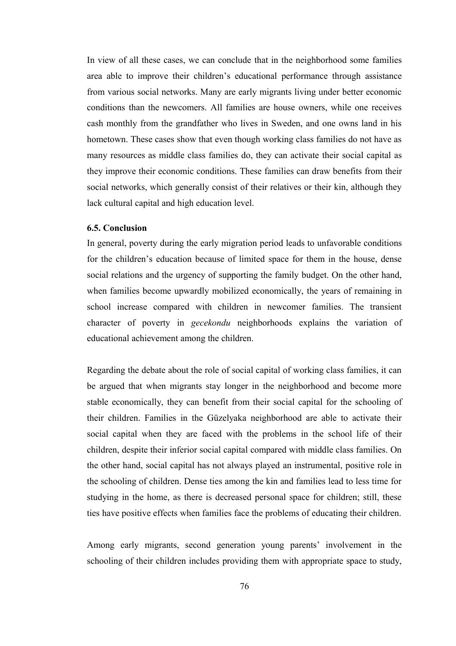In view of all these cases, we can conclude that in the neighborhood some families area able to improve their children's educational performance through assistance from various social networks. Many are early migrants living under better economic conditions than the newcomers. All families are house owners, while one receives cash monthly from the grandfather who lives in Sweden, and one owns land in his hometown. These cases show that even though working class families do not have as many resources as middle class families do, they can activate their social capital as they improve their economic conditions. These families can draw benefits from their social networks, which generally consist of their relatives or their kin, although they lack cultural capital and high education level.

### **6.5. Conclusion**

In general, poverty during the early migration period leads to unfavorable conditions for the children's education because of limited space for them in the house, dense social relations and the urgency of supporting the family budget. On the other hand, when families become upwardly mobilized economically, the years of remaining in school increase compared with children in newcomer families. The transient character of poverty in *gecekondu* neighborhoods explains the variation of educational achievement among the children.

Regarding the debate about the role of social capital of working class families, it can be argued that when migrants stay longer in the neighborhood and become more stable economically, they can benefit from their social capital for the schooling of their children. Families in the Güzelyaka neighborhood are able to activate their social capital when they are faced with the problems in the school life of their children, despite their inferior social capital compared with middle class families. On the other hand, social capital has not always played an instrumental, positive role in the schooling of children. Dense ties among the kin and families lead to less time for studying in the home, as there is decreased personal space for children; still, these ties have positive effects when families face the problems of educating their children.

Among early migrants, second generation young parents' involvement in the schooling of their children includes providing them with appropriate space to study,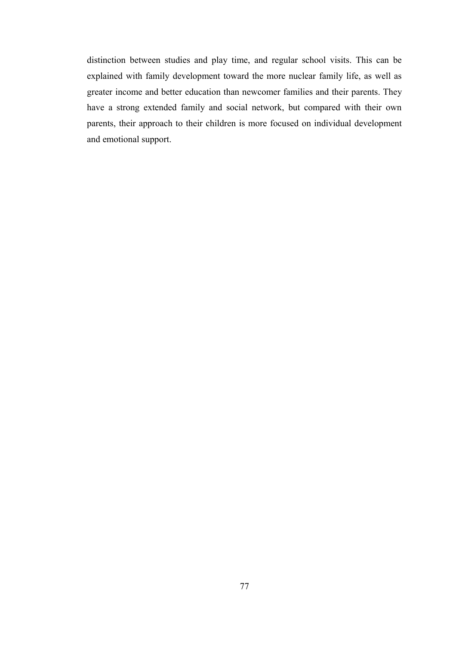distinction between studies and play time, and regular school visits. This can be explained with family development toward the more nuclear family life, as well as greater income and better education than newcomer families and their parents. They have a strong extended family and social network, but compared with their own parents, their approach to their children is more focused on individual development and emotional support.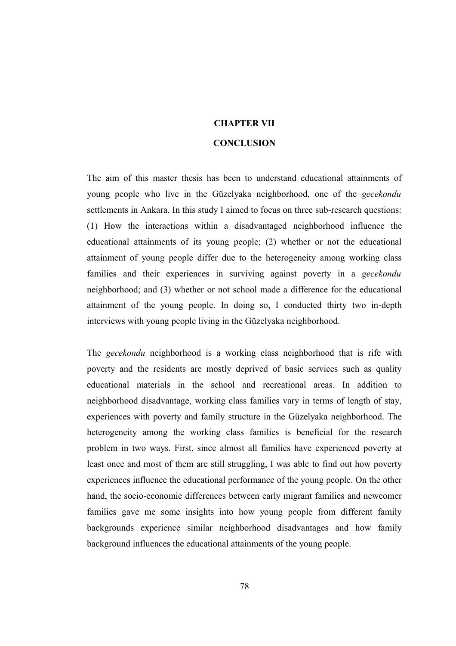# **CHAPTER VII CONCLUSION**

The aim of this master thesis has been to understand educational attainments of young people who live in the Güzelyaka neighborhood, one of the *gecekondu* settlements in Ankara. In this study I aimed to focus on three sub-research questions: (1) How the interactions within a disadvantaged neighborhood influence the educational attainments of its young people; (2) whether or not the educational attainment of young people differ due to the heterogeneity among working class families and their experiences in surviving against poverty in a *gecekondu* neighborhood; and (3) whether or not school made a difference for the educational attainment of the young people. In doing so, I conducted thirty two in-depth interviews with young people living in the Güzelyaka neighborhood.

The *gecekondu* neighborhood is a working class neighborhood that is rife with poverty and the residents are mostly deprived of basic services such as quality educational materials in the school and recreational areas. In addition to neighborhood disadvantage, working class families vary in terms of length of stay, experiences with poverty and family structure in the Güzelyaka neighborhood. The heterogeneity among the working class families is beneficial for the research problem in two ways. First, since almost all families have experienced poverty at least once and most of them are still struggling, I was able to find out how poverty experiences influence the educational performance of the young people. On the other hand, the socio-economic differences between early migrant families and newcomer families gave me some insights into how young people from different family backgrounds experience similar neighborhood disadvantages and how family background influences the educational attainments of the young people.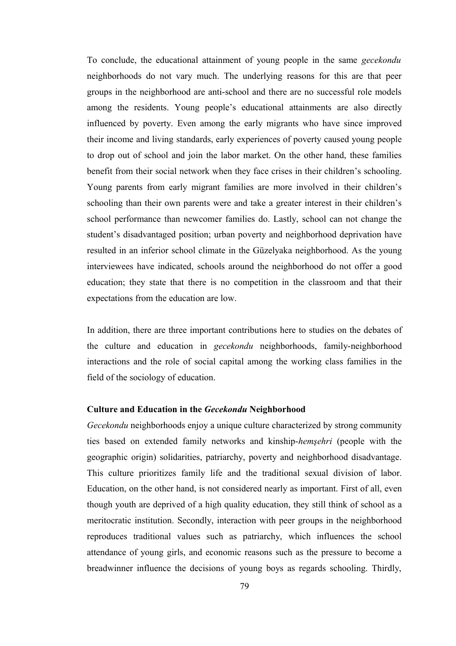To conclude, the educational attainment of young people in the same *gecekondu* neighborhoods do not vary much. The underlying reasons for this are that peer groups in the neighborhood are anti-school and there are no successful role models among the residents. Young people's educational attainments are also directly influenced by poverty. Even among the early migrants who have since improved their income and living standards, early experiences of poverty caused young people to drop out of school and join the labor market. On the other hand, these families benefit from their social network when they face crises in their children's schooling. Young parents from early migrant families are more involved in their children's schooling than their own parents were and take a greater interest in their children's school performance than newcomer families do. Lastly, school can not change the student's disadvantaged position; urban poverty and neighborhood deprivation have resulted in an inferior school climate in the Güzelyaka neighborhood. As the young interviewees have indicated, schools around the neighborhood do not offer a good education; they state that there is no competition in the classroom and that their expectations from the education are low.

In addition, there are three important contributions here to studies on the debates of the culture and education in *gecekondu* neighborhoods, family-neighborhood interactions and the role of social capital among the working class families in the field of the sociology of education.

#### **Culture and Education in the** *Gecekondu* **Neighborhood**

*Gecekondu* neighborhoods enjoy a unique culture characterized by strong community ties based on extended family networks and kinship-*hemşehri* (people with the geographic origin) solidarities, patriarchy, poverty and neighborhood disadvantage. This culture prioritizes family life and the traditional sexual division of labor. Education, on the other hand, is not considered nearly as important. First of all, even though youth are deprived of a high quality education, they still think of school as a meritocratic institution. Secondly, interaction with peer groups in the neighborhood reproduces traditional values such as patriarchy, which influences the school attendance of young girls, and economic reasons such as the pressure to become a breadwinner influence the decisions of young boys as regards schooling. Thirdly,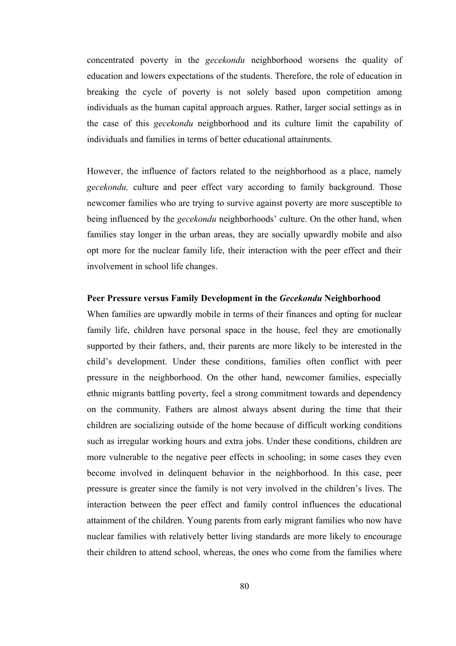concentrated poverty in the *gecekondu* neighborhood worsens the quality of education and lowers expectations of the students. Therefore, the role of education in breaking the cycle of poverty is not solely based upon competition among individuals as the human capital approach argues. Rather, larger social settings as in the case of this *gecekondu* neighborhood and its culture limit the capability of individuals and families in terms of better educational attainments.

However, the influence of factors related to the neighborhood as a place, namely *gecekondu,* culture and peer effect vary according to family background. Those newcomer families who are trying to survive against poverty are more susceptible to being influenced by the *gecekondu* neighborhoods' culture. On the other hand, when families stay longer in the urban areas, they are socially upwardly mobile and also opt more for the nuclear family life, their interaction with the peer effect and their involvement in school life changes.

### **Peer Pressure versus Family Development in the** *Gecekondu* **Neighborhood**

When families are upwardly mobile in terms of their finances and opting for nuclear family life, children have personal space in the house, feel they are emotionally supported by their fathers, and, their parents are more likely to be interested in the child's development. Under these conditions, families often conflict with peer pressure in the neighborhood. On the other hand, newcomer families, especially ethnic migrants battling poverty, feel a strong commitment towards and dependency on the community. Fathers are almost always absent during the time that their children are socializing outside of the home because of difficult working conditions such as irregular working hours and extra jobs. Under these conditions, children are more vulnerable to the negative peer effects in schooling; in some cases they even become involved in delinquent behavior in the neighborhood. In this case, peer pressure is greater since the family is not very involved in the children's lives. The interaction between the peer effect and family control influences the educational attainment of the children. Young parents from early migrant families who now have nuclear families with relatively better living standards are more likely to encourage their children to attend school, whereas, the ones who come from the families where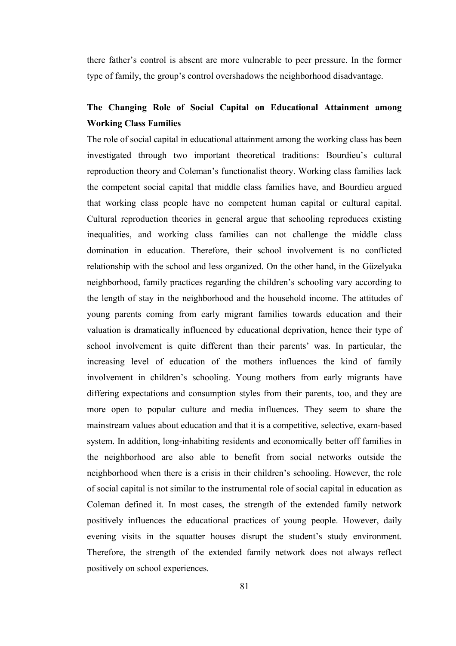there father's control is absent are more vulnerable to peer pressure. In the former type of family, the group's control overshadows the neighborhood disadvantage.

# **The Changing Role of Social Capital on Educational Attainment among Working Class Families**

The role of social capital in educational attainment among the working class has been investigated through two important theoretical traditions: Bourdieu's cultural reproduction theory and Coleman's functionalist theory. Working class families lack the competent social capital that middle class families have, and Bourdieu argued that working class people have no competent human capital or cultural capital. Cultural reproduction theories in general argue that schooling reproduces existing inequalities, and working class families can not challenge the middle class domination in education. Therefore, their school involvement is no conflicted relationship with the school and less organized. On the other hand, in the Güzelyaka neighborhood, family practices regarding the children's schooling vary according to the length of stay in the neighborhood and the household income. The attitudes of young parents coming from early migrant families towards education and their valuation is dramatically influenced by educational deprivation, hence their type of school involvement is quite different than their parents' was. In particular, the increasing level of education of the mothers influences the kind of family involvement in children's schooling. Young mothers from early migrants have differing expectations and consumption styles from their parents, too, and they are more open to popular culture and media influences. They seem to share the mainstream values about education and that it is a competitive, selective, exam-based system. In addition, long-inhabiting residents and economically better off families in the neighborhood are also able to benefit from social networks outside the neighborhood when there is a crisis in their children's schooling. However, the role of social capital is not similar to the instrumental role of social capital in education as Coleman defined it. In most cases, the strength of the extended family network positively influences the educational practices of young people. However, daily evening visits in the squatter houses disrupt the student's study environment. Therefore, the strength of the extended family network does not always reflect positively on school experiences.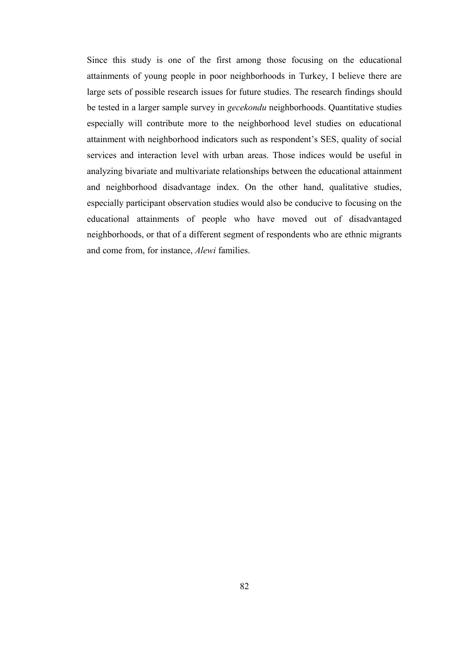Since this study is one of the first among those focusing on the educational attainments of young people in poor neighborhoods in Turkey, I believe there are large sets of possible research issues for future studies. The research findings should be tested in a larger sample survey in *gecekondu* neighborhoods. Quantitative studies especially will contribute more to the neighborhood level studies on educational attainment with neighborhood indicators such as respondent's SES, quality of social services and interaction level with urban areas. Those indices would be useful in analyzing bivariate and multivariate relationships between the educational attainment and neighborhood disadvantage index. On the other hand, qualitative studies, especially participant observation studies would also be conducive to focusing on the educational attainments of people who have moved out of disadvantaged neighborhoods, or that of a different segment of respondents who are ethnic migrants and come from, for instance, *Alewi* families.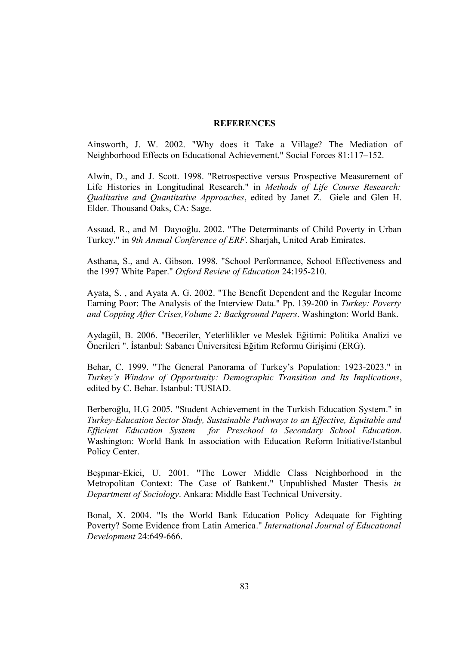### **REFERENCES**

Ainsworth, J. W. 2002. "Why does it Take a Village? The Mediation of Neighborhood Effects on Educational Achievement." Social Forces 81:117–152.

Alwin, D., and J. Scott. 1998. "Retrospective versus Prospective Measurement of Life Histories in Longitudinal Research." in *Methods of Life Course Research: Qualitative and Quantitative Approaches*, edited by Janet Z. Giele and Glen H. Elder. Thousand Oaks, CA: Sage.

Assaad, R., and M Dayıoğlu. 2002. "The Determinants of Child Poverty in Urban Turkey." in *9th Annual Conference of ERF*. Sharjah, United Arab Emirates.

Asthana, S., and A. Gibson. 1998. "School Performance, School Effectiveness and the 1997 White Paper." *Oxford Review of Education* 24:195-210.

Ayata, S. , and Ayata A. G. 2002. "The Benefit Dependent and the Regular Income Earning Poor: The Analysis of the Interview Data." Pp. 139-200 in *Turkey: Poverty and Copping After Crises,Volume 2: Background Papers*. Washington: World Bank.

Aydagül, B. 2006. "Beceriler, Yeterlilikler ve Meslek Eğitimi: Politika Analizi ve Önerileri ". İstanbul: Sabancı Üniversitesi Eğitim Reformu Girişimi (ERG).

Behar, C. 1999. "The General Panorama of Turkey's Population: 1923-2023." in *Turkey's Window of Opportunity: Demographic Transition and Its Implications*, edited by C. Behar. İstanbul: TUSIAD.

Berberoğlu, H.G 2005. "Student Achievement in the Turkish Education System." in *Turkey-Education Sector Study, Sustainable Pathways to an Effective, Equitable and Efficient Education System for Preschool to Secondary School Education*. Washington: World Bank In association with Education Reform Initiative/Istanbul Policy Center.

Beşpınar-Ekici, U. 2001. "The Lower Middle Class Neighborhood in the Metropolitan Context: The Case of Batıkent." Unpublished Master Thesis *in Department of Sociology*. Ankara: Middle East Technical University.

Bonal, X. 2004. "Is the World Bank Education Policy Adequate for Fighting Poverty? Some Evidence from Latin America." *International Journal of Educational Development* 24:649-666.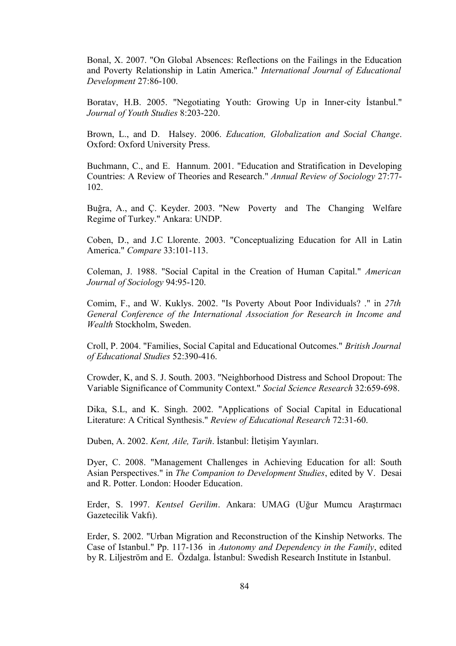Bonal, X. 2007. "On Global Absences: Reflections on the Failings in the Education and Poverty Relationship in Latin America." *International Journal of Educational Development* 27:86-100.

Boratav, H.B. 2005. "Negotiating Youth: Growing Up in Inner-city İstanbul." *Journal of Youth Studies* 8:203-220.

Brown, L., and D. Halsey. 2006. *Education, Globalization and Social Change*. Oxford: Oxford University Press.

Buchmann, C., and E. Hannum. 2001. "Education and Stratification in Developing Countries: A Review of Theories and Research." *Annual Review of Sociology* 27:77- 102.

Buğra, A., and Ç. Keyder. 2003. "New Poverty and The Changing Welfare Regime of Turkey." Ankara: UNDP.

Coben, D., and J.C Llorente. 2003. "Conceptualizing Education for All in Latin America." *Compare* 33:101-113.

Coleman, J. 1988. "Social Capital in the Creation of Human Capital." *American Journal of Sociology* 94:95-120.

Comim, F., and W. Kuklys. 2002. "Is Poverty About Poor Individuals? ." in *27th General Conference of the International Association for Research in Income and Wealth* Stockholm, Sweden.

Croll, P. 2004. "Families, Social Capital and Educational Outcomes." *British Journal of Educational Studies* 52:390-416.

Crowder, K, and S. J. South. 2003. "Neighborhood Distress and School Dropout: The Variable Significance of Community Context." *Social Science Research* 32:659-698.

Dika, S.L, and K. Singh. 2002. "Applications of Social Capital in Educational Literature: A Critical Synthesis." *Review of Educational Research* 72:31-60.

Duben, A. 2002. *Kent, Aile, Tarih*. İstanbul: İletişim Yayınları.

Dyer, C. 2008. "Management Challenges in Achieving Education for all: South Asian Perspectives." in *The Companion to Development Studies*, edited by V. Desai and R. Potter. London: Hooder Education.

Erder, S. 1997. *Kentsel Gerilim*. Ankara: UMAG (Uğur Mumcu Araştırmacı Gazetecilik Vakfı).

Erder, S. 2002. "Urban Migration and Reconstruction of the Kinship Networks. The Case of Istanbul." Pp. 117-136 in *Autonomy and Dependency in the Family*, edited by R. Liljeström and E. Özdalga. İstanbul: Swedish Research Institute in Istanbul.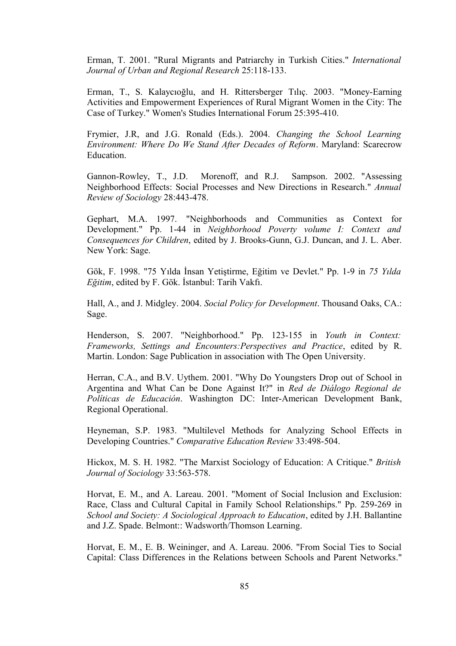Erman, T. 2001. "Rural Migrants and Patriarchy in Turkish Cities." *International Journal of Urban and Regional Research* 25:118-133.

Erman, T., S. Kalaycıoğlu, and H. Rittersberger Tılıç. 2003. "Money-Earning Activities and Empowerment Experiences of Rural Migrant Women in the City: The Case of Turkey." Women's Studies International Forum 25:395-410.

Frymier, J.R, and J.G. Ronald (Eds.). 2004. *Changing the School Learning Environment: Where Do We Stand After Decades of Reform*. Maryland: Scarecrow Education.

Gannon-Rowley, T., J.D. Morenoff, and R.J. Sampson. 2002. "Assessing Neighborhood Effects: Social Processes and New Directions in Research." *Annual Review of Sociology* 28:443-478.

Gephart, M.A. 1997. "Neighborhoods and Communities as Context for Development." Pp. 1-44 in *Neighborhood Poverty volume I: Context and Consequences for Children*, edited by J. Brooks-Gunn, G.J. Duncan, and J. L. Aber. New York: Sage.

Gök, F. 1998. "75 Yılda İnsan Yetiştirme, Eğitim ve Devlet." Pp. 1-9 in *75 Yılda Eğitim*, edited by F. Gök. İstanbul: Tarih Vakfı.

Hall, A., and J. Midgley. 2004. *Social Policy for Development*. Thousand Oaks, CA.: Sage.

Henderson, S. 2007. "Neighborhood." Pp. 123-155 in *Youth in Context: Frameworks, Settings and Encounters:Perspectives and Practice*, edited by R. Martin. London: Sage Publication in association with The Open University.

Herran, C.A., and B.V. Uythem. 2001. "Why Do Youngsters Drop out of School in Argentina and What Can be Done Against It?" in *Red de Diálogo Regional de Políticas de Educación*. Washington DC: Inter-American Development Bank, Regional Operational.

Heyneman, S.P. 1983. "Multilevel Methods for Analyzing School Effects in Developing Countries." *Comparative Education Review* 33:498-504.

Hickox, M. S. H. 1982. "The Marxist Sociology of Education: A Critique." *British Journal of Sociology* 33:563-578.

Horvat, E. M., and A. Lareau. 2001. "Moment of Social Inclusion and Exclusion: Race, Class and Cultural Capital in Family School Relationships." Pp. 259-269 in *School and Society: A Sociological Approach to Education*, edited by J.H. Ballantine and J.Z. Spade. Belmont:: Wadsworth/Thomson Learning.

Horvat, E. M., E. B. Weininger, and A. Lareau. 2006. "From Social Ties to Social Capital: Class Differences in the Relations between Schools and Parent Networks."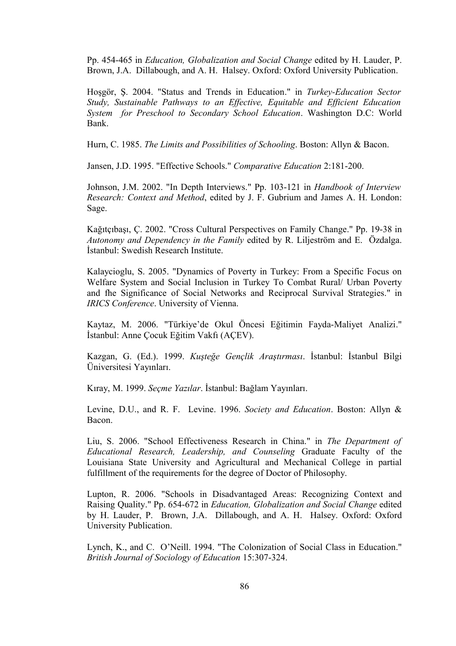Pp. 454-465 in *Education, Globalization and Social Change* edited by H. Lauder, P. Brown, J.A. Dillabough, and A. H. Halsey. Oxford: Oxford University Publication.

Hoşgör, Ş. 2004. "Status and Trends in Education." in *Turkey-Education Sector Study, Sustainable Pathways to an Effective, Equitable and Efficient Education System for Preschool to Secondary School Education*. Washington D.C: World Bank.

Hurn, C. 1985. *The Limits and Possibilities of Schooling*. Boston: Allyn & Bacon.

Jansen, J.D. 1995. "Effective Schools." *Comparative Education* 2:181-200.

Johnson, J.M. 2002. "In Depth Interviews." Pp. 103-121 in *Handbook of Interview Research: Context and Method*, edited by J. F. Gubrium and James A. H. London: Sage.

Kağıtçıbaşı, Ç. 2002. "Cross Cultural Perspectives on Family Change." Pp. 19-38 in *Autonomy and Dependency in the Family* edited by R. Liljeström and E. Özdalga. İstanbul: Swedish Research Institute.

Kalaycioglu, S. 2005. "Dynamics of Poverty in Turkey: From a Specific Focus on Welfare System and Social Inclusion in Turkey To Combat Rural/ Urban Poverty and fhe Significance of Social Networks and Reciprocal Survival Strategies." in *IRICS Conference*. University of Vienna.

Kaytaz, M. 2006. "Türkiye'de Okul Öncesi Eğitimin Fayda-Maliyet Analizi." İstanbul: Anne Çocuk Eğitim Vakfı (AÇEV).

Kazgan, G. (Ed.). 1999. *Kuşteğe Gençlik Araştırması*. İstanbul: İstanbul Bilgi Üniversitesi Yayınları.

Kıray, M. 1999. *Seçme Yazılar*. İstanbul: Bağlam Yayınları.

Levine, D.U., and R. F. Levine. 1996. *Society and Education*. Boston: Allyn & Bacon.

Liu, S. 2006. "School Effectiveness Research in China." in *The Department of Educational Research, Leadership, and Counseling* Graduate Faculty of the Louisiana State University and Agricultural and Mechanical College in partial fulfillment of the requirements for the degree of Doctor of Philosophy.

Lupton, R. 2006. "Schools in Disadvantaged Areas: Recognizing Context and Raising Quality." Pp. 654-672 in *Education, Globalization and Social Change* edited by H. Lauder, P. Brown, J.A. Dillabough, and A. H. Halsey. Oxford: Oxford University Publication.

Lynch, K., and C. O'Neill. 1994. "The Colonization of Social Class in Education." *British Journal of Sociology of Education* 15:307-324.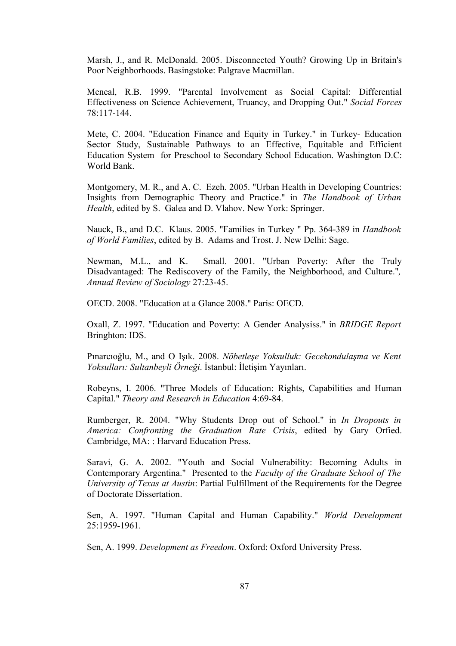Marsh, J., and R. McDonald. 2005. Disconnected Youth? Growing Up in Britain's Poor Neighborhoods. Basingstoke: Palgrave Macmillan.

Mcneal, R.B. 1999. "Parental Involvement as Social Capital: Differential Effectiveness on Science Achievement, Truancy, and Dropping Out." *Social Forces* 78:117-144.

Mete, C. 2004. "Education Finance and Equity in Turkey." in Turkey- Education Sector Study, Sustainable Pathways to an Effective, Equitable and Efficient Education System for Preschool to Secondary School Education. Washington D.C: World Bank.

Montgomery, M. R., and A. C. Ezeh. 2005. "Urban Health in Developing Countries: Insights from Demographic Theory and Practice." in *The Handbook of Urban Health*, edited by S. Galea and D. Vlahov. New York: Springer.

Nauck, B., and D.C. Klaus. 2005. "Families in Turkey " Pp. 364-389 in *Handbook of World Families*, edited by B. Adams and Trost. J. New Delhi: Sage.

Newman, M.L., and K. Small. 2001. "Urban Poverty: After the Truly Disadvantaged: The Rediscovery of the Family, the Neighborhood, and Culture."*, Annual Review of Sociology* 27:23-45.

OECD. 2008. "Education at a Glance 2008." Paris: OECD.

Oxall, Z. 1997. "Education and Poverty: A Gender Analysiss." in *BRIDGE Report* Bringhton: IDS.

Pınarcıoğlu, M., and O Işık. 2008. *Nöbetleşe Yoksulluk: Gecekondulaşma ve Kent Yoksulları: Sultanbeyli Örneği*. İstanbul: İletişim Yayınları.

Robeyns, I. 2006. "Three Models of Education: Rights, Capabilities and Human Capital." *Theory and Research in Education* 4:69-84.

Rumberger, R. 2004. "Why Students Drop out of School." in *In Dropouts in America: Confronting the Graduation Rate Crisis*, edited by Gary Orfied. Cambridge, MA: : Harvard Education Press.

Saravi, G. A. 2002. "Youth and Social Vulnerability: Becoming Adults in Contemporary Argentina." Presented to the *Faculty of the Graduate School of The University of Texas at Austin*: Partial Fulfillment of the Requirements for the Degree of Doctorate Dissertation.

Sen, A. 1997. "Human Capital and Human Capability." *World Development*  $25.1959 - 1961$ 

Sen, A. 1999. *Development as Freedom*. Oxford: Oxford University Press.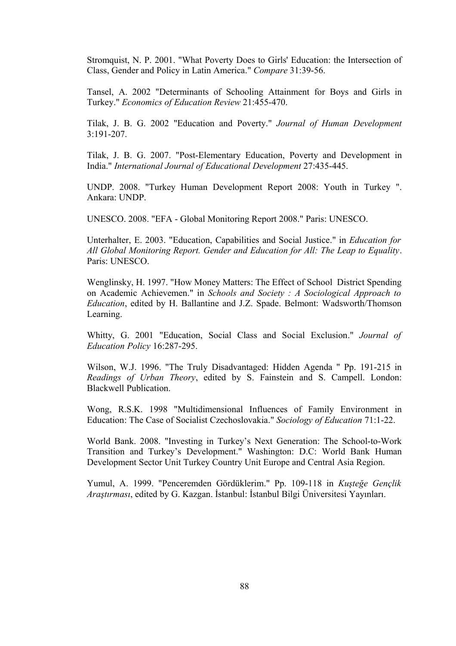Stromquist, N. P. 2001. "What Poverty Does to Girls' Education: the Intersection of Class, Gender and Policy in Latin America." *Compare* 31:39-56.

Tansel, A. 2002 "Determinants of Schooling Attainment for Boys and Girls in Turkey." *Economics of Education Review* 21:455-470.

Tilak, J. B. G. 2002 "Education and Poverty." *Journal of Human Development*  $3.191 - 207$ 

Tilak, J. B. G. 2007. "Post-Elementary Education, Poverty and Development in India." *International Journal of Educational Development* 27:435-445.

UNDP. 2008. "Turkey Human Development Report 2008: Youth in Turkey ". Ankara: UNDP.

UNESCO. 2008. "EFA - Global Monitoring Report 2008." Paris: UNESCO.

Unterhalter, E. 2003. "Education, Capabilities and Social Justice." in *Education for All Global Monitoring Report. Gender and Education for All: The Leap to Equality*. Paris: UNESCO.

Wenglinsky, H. 1997. "How Money Matters: The Effect of School District Spending on Academic Achievemen." in *Schools and Society : A Sociological Approach to Education*, edited by H. Ballantine and J.Z. Spade. Belmont: Wadsworth/Thomson Learning.

Whitty, G. 2001 "Education, Social Class and Social Exclusion." *Journal of Education Policy* 16:287-295.

Wilson, W.J. 1996. "The Truly Disadvantaged: Hidden Agenda " Pp. 191-215 in *Readings of Urban Theory*, edited by S. Fainstein and S. Campell. London: Blackwell Publication.

Wong, R.S.K. 1998 "Multidimensional Influences of Family Environment in Education: The Case of Socialist Czechoslovakia." *Sociology of Education* 71:1-22.

World Bank. 2008. "Investing in Turkey's Next Generation: The School-to-Work Transition and Turkey's Development." Washington: D.C: World Bank Human Development Sector Unit Turkey Country Unit Europe and Central Asia Region.

Yumul, A. 1999. "Penceremden Gördüklerim." Pp. 109-118 in *Kuşteğe Gençlik Araştırması*, edited by G. Kazgan. İstanbul: İstanbul Bilgi Üniversitesi Yayınları.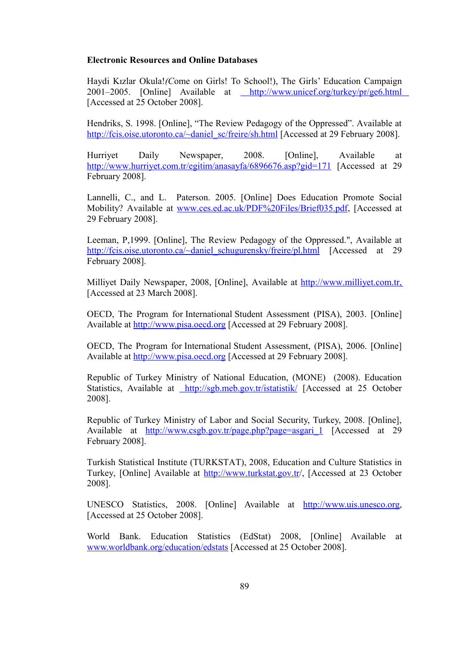### **Electronic Resources and Online Databases**

Haydi Kızlar Okula!*(C*ome on Girls! To School!), The Girls' Education Campaign 2001–2005. [Online] Available at [http://www.unicef.org/turkey/pr/ge6.html](http://www.worldbank.org/education/edstats) [Accessed at 25 October 2008].

Hendriks, S. 1998. [Online], "The Review Pedagogy of the Oppressed". Available at [http://fcis.oise.utoronto.ca/~daniel\\_sc/freire/sh.html](http://fcis.oise.utoronto.ca/~daniel_sc/freire/sh.html) [Accessed at 29 February 2008].

Hurriyet Daily Newspaper, 2008. [Online], Available at <http://www.hurriyet.com.tr/egitim/anasayfa/6896676.asp?gid=171> [Accessed at 29 February 2008].

Lannelli, C., and L. Paterson. 2005. [Online] Does Education Promote Social Mobility? Available at [www.ces.ed.ac.uk/PDF%20Files/Brief035.pdf,](http://www.ces.ed.ac.uk/PDF%20Files/Brief035.pdf) [Accessed at 29 February 2008].

Leeman, P,1999. [Online], The Review Pedagogy of the Oppressed.", Available at [http://fcis.oise.utoronto.ca/~daniel\\_schugurensky/freire/pl.html](http://fcis.oise.utoronto.ca/~daniel_schugurensky/freire/pl.html) [Accessed at 29 February 2008].

Milliyet Daily Newspaper, 2008, [Online], Available at [http://www.milliyet.com.tr,](http://www.milliyet.com.tr/) [Accessed at 23 March 2008].

OECD, The Program for International Student Assessment (PISA), 2003. [Online] Available at [http://www.pisa.oecd.org](http://www.pisa.oecd.org/) [Accessed at 29 February 2008].

OECD, The Program for International Student Assessment, (PISA), 2006. [Online] Available at [http://www.pisa.oecd.org](http://www.pisa.oecd.org/) [Accessed at 29 February 2008].

Republic of Turkey Ministry of National Education, (MONE) (2008). Education Statistics, Available at<http://sgb.meb.gov.tr/istatistik/>[Accessed at 25 October 2008].

Republic of Turkey Ministry of Labor and Social Security, Turkey, 2008. [Online], Available at [http://www.csgb.gov.tr/page.php?page=asgari\\_1](http://www.csgb.gov.tr/page.php?page=asgari_1) [Accessed at 29] February 2008].

Turkish Statistical Institute (TURKSTAT), 2008, Education and Culture Statistics in Turkey, [Online] Available at<http://www.turkstat.gov.tr/>, [Accessed at 23 October 2008].

UNESCO Statistics, 2008. [Online] Available at [http://www.uis.unesco.org,](http://www.uis.unesco.org/) [Accessed at 25 October 2008].

World Bank. Education Statistics (EdStat) 2008, [Online] Available at [www.worldbank.org/education/edstats](http://www.worldbank.org/education/edstats) [Accessed at 25 October 2008].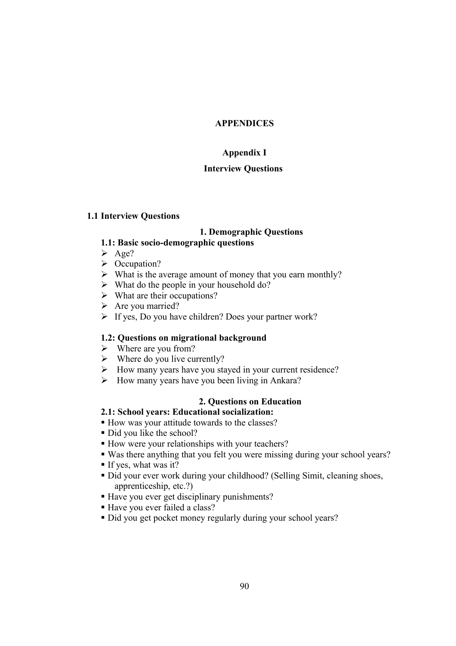# **APPENDICES**

# **Appendix I**

# **Interview Questions**

### **1.1 Interview Questions**

# **1. Demographic Questions**

### **1.1: Basic socio-demographic questions**

- $\triangleright$  Age?
- $\triangleright$  Occupation?
- $\triangleright$  What is the average amount of money that you earn monthly?
- $\triangleright$  What do the people in your household do?
- $\triangleright$  What are their occupations?
- $\triangleright$  Are you married?
- $\triangleright$  If yes, Do you have children? Does your partner work?

### **1.2: Questions on migrational background**

- $\triangleright$  Where are you from?
- $\triangleright$  Where do you live currently?
- How many years have you stayed in your current residence?
- $\triangleright$  How many years have you been living in Ankara?

### **2. Questions on Education**

## **2.1: School years: Educational socialization:**

- How was your attitude towards to the classes?
- Did you like the school?
- How were your relationships with your teachers?
- Was there anything that you felt you were missing during your school years?
- If yes, what was it?
- Did your ever work during your childhood? (Selling Simit, cleaning shoes, apprenticeship, etc.?)
- Have you ever get disciplinary punishments?
- Have you ever failed a class?
- Did you get pocket money regularly during your school years?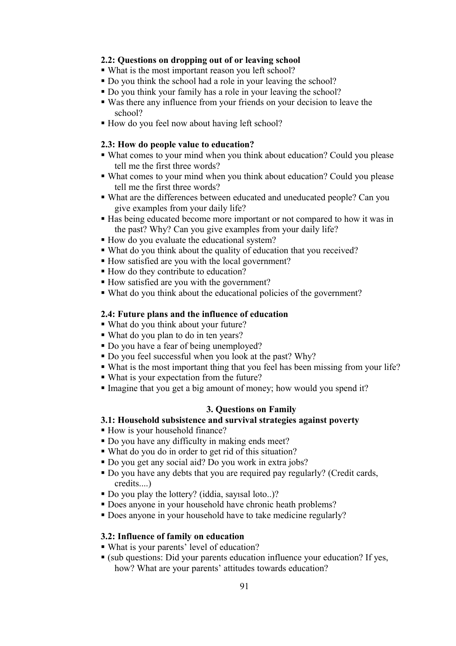# **2.2: Questions on dropping out of or leaving school**

- What is the most important reason you left school?
- Do you think the school had a role in your leaving the school?
- Do you think your family has a role in your leaving the school?
- Was there any influence from your friends on your decision to leave the school?
- How do you feel now about having left school?

### **2.3: How do people value to education?**

- What comes to your mind when you think about education? Could you please tell me the first three words?
- What comes to your mind when you think about education? Could you please tell me the first three words?
- What are the differences between educated and uneducated people? Can you give examples from your daily life?
- Has being educated become more important or not compared to how it was in the past? Why? Can you give examples from your daily life?
- How do you evaluate the educational system?
- What do you think about the quality of education that you received?
- How satisfied are you with the local government?
- How do they contribute to education?
- How satisfied are you with the government?
- What do you think about the educational policies of the government?

### **2.4: Future plans and the influence of education**

- What do you think about your future?
- What do you plan to do in ten years?
- Do you have a fear of being unemployed?
- Do you feel successful when you look at the past? Why?
- What is the most important thing that you feel has been missing from your life?
- What is your expectation from the future?
- Imagine that you get a big amount of money; how would you spend it?

### **3. Questions on Family**

# **3.1: Household subsistence and survival strategies against poverty**

- How is your household finance?
- Do you have any difficulty in making ends meet?
- What do you do in order to get rid of this situation?
- Do you get any social aid? Do you work in extra jobs?
- Do you have any debts that you are required pay regularly? (Credit cards, credits....)
- Do you play the lottery? (iddia, sayısal loto..)?
- Does anyone in your household have chronic heath problems?
- Does anyone in your household have to take medicine regularly?

### **3.2: Influence of family on education**

- What is your parents' level of education?
- (sub questions: Did your parents education influence your education? If yes, how? What are your parents' attitudes towards education?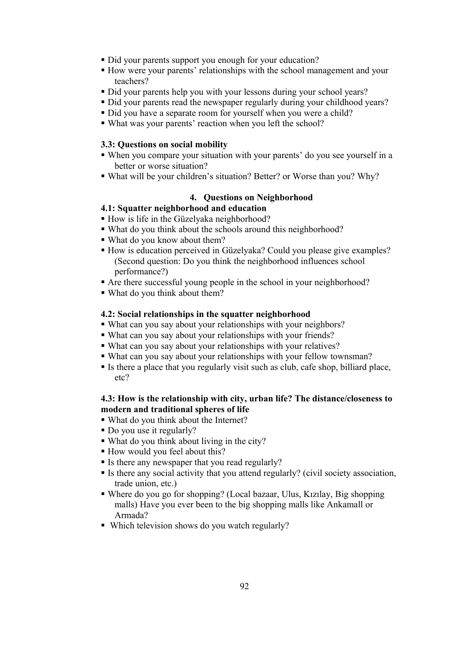- Did your parents support you enough for your education?
- How were your parents' relationships with the school management and your teachers?
- Did your parents help you with your lessons during your school years?
- Did your parents read the newspaper regularly during your childhood years?
- Did you have a separate room for yourself when you were a child?
- What was your parents' reaction when you left the school?

# **3.3: Questions on social mobility**

- When you compare your situation with your parents' do you see yourself in a better or worse situation?
- What will be your children's situation? Better? or Worse than you? Why?

# **4. Questions on Neighborhood**

# **4.1: Squatter neighborhood and education**

- How is life in the Güzelyaka neighborhood?
- What do you think about the schools around this neighborhood?
- What do you know about them?
- How is education perceived in Güzelyaka? Could you please give examples? (Second question: Do you think the neighborhood influences school performance?)
- Are there successful young people in the school in your neighborhood?
- What do you think about them?

# **4.2: Social relationships in the squatter neighborhood**

- What can you say about your relationships with your neighbors?
- What can you say about your relationships with your friends?
- What can you say about your relationships with your relatives?
- What can you say about your relationships with your fellow townsman?
- Is there a place that you regularly visit such as club, cafe shop, billiard place, etc?

# **4.3: How is the relationship with city, urban life? The distance/closeness to modern and traditional spheres of life**

- What do you think about the Internet?
- Do you use it regularly?
- What do you think about living in the city?
- How would you feel about this?
- If Is there any newspaper that you read regularly?
- Is there any social activity that you attend regularly? (civil society association, trade union, etc.)
- Where do you go for shopping? (Local bazaar, Ulus, Kızılay, Big shopping malls) Have you ever been to the big shopping malls like Ankamall or Armada?
- Which television shows do you watch regularly?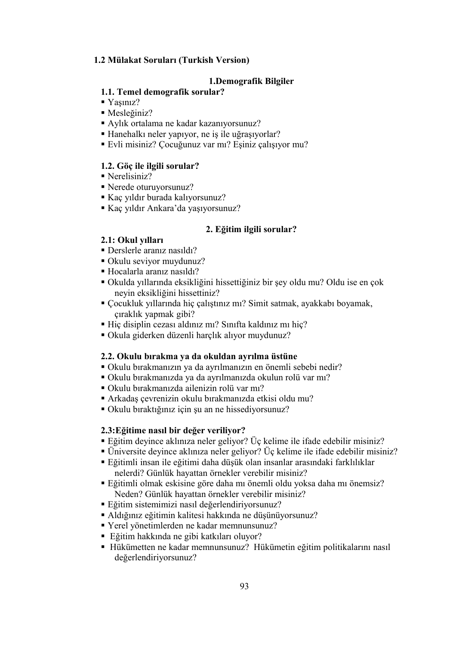# **1.2 Mülakat Soruları (Turkish Version)**

# **1.Demografik Bilgiler**

# **1.1. Temel demografik sorular?**

- Yaşınız?
- Mesleğiniz?
- Aylık ortalama ne kadar kazanıyorsunuz?
- Hanehalkı neler yapıyor, ne iş ile uğraşıyorlar?
- Evli misiniz? Çocuğunuz var mı? Eşiniz çalışıyor mu?

### **1.2. Göç ile ilgili sorular?**

- Nerelisiniz?
- Nerede oturuyorsunuz?
- Kaç yıldır burada kalıyorsunuz?
- Kaç yıldır Ankara'da yaşıyorsunuz?

### **2. Eğitim ilgili sorular?**

# **2.1: Okul yılları**

- Derslerle aranız nasıldı?
- Okulu seviyor muydunuz?
- Hocalarla aranız nasıldı?
- Okulda yıllarında eksikliğini hissettiğiniz bir şey oldu mu? Oldu ise en çok neyin eksikliğini hissettiniz?
- Çocukluk yıllarında hiç çalıştınız mı? Simit satmak, ayakkabı boyamak, çıraklık yapmak gibi?
- Hiç disiplin cezası aldınız mı? Sınıfta kaldınız mı hiç?
- Okula giderken düzenli harçlık alıyor muydunuz?

## **2.2. Okulu bırakma ya da okuldan ayrılma üstüne**

- Okulu bırakmanızın ya da ayrılmanızın en önemli sebebi nedir?
- Okulu bırakmanızda ya da ayrılmanızda okulun rolü var mı?
- Okulu bırakmanızda ailenizin rolü var mı?
- Arkadaş çevrenizin okulu bırakmanızda etkisi oldu mu?
- Okulu bıraktığınız için şu an ne hissediyorsunuz?

### **2.3:Eğitime nasıl bir değer veriliyor?**

- Eğitim deyince aklınıza neler geliyor? Üç kelime ile ifade edebilir misiniz?
- Üniversite deyince aklınıza neler geliyor? Üç kelime ile ifade edebilir misiniz?
- Eğitimli insan ile eğitimi daha düşük olan insanlar arasındaki farklılıklar nelerdi? Günlük hayattan örnekler verebilir misiniz?
- Eğitimli olmak eskisine göre daha mı önemli oldu yoksa daha mı önemsiz? Neden? Günlük hayattan örnekler verebilir misiniz?
- Eğitim sistemimizi nasıl değerlendiriyorsunuz?
- Aldığınız eğitimin kalitesi hakkında ne düşünüyorsunuz?
- Yerel yönetimlerden ne kadar memnunsunuz?
- Eğitim hakkında ne gibi katkıları oluyor?
- Hükümetten ne kadar memnunsunuz? Hükümetin eğitim politikalarını nasıl değerlendiriyorsunuz?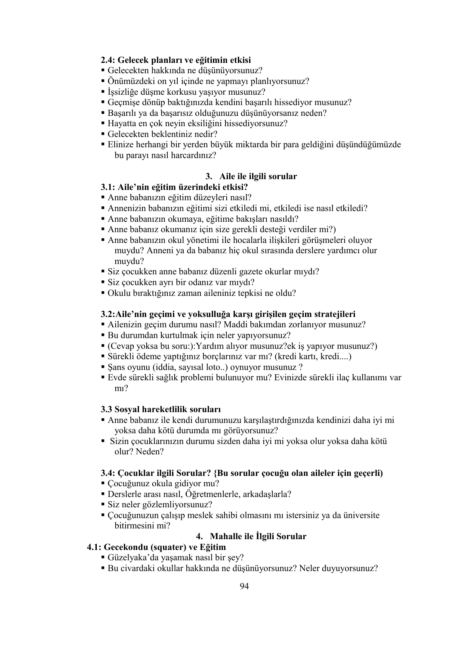## **2.4: Gelecek planları ve eğitimin etkisi**

- Gelecekten hakkında ne düşünüyorsunuz?
- Önümüzdeki on yıl içinde ne yapmayı planlıyorsunuz?
- İşsizliğe düşme korkusu yaşıyor musunuz?
- Geçmişe dönüp baktığınızda kendini başarılı hissediyor musunuz?
- Başarılı ya da başarısız olduğunuzu düşünüyorsanız neden?
- Hayatta en çok neyin eksiliğini hissediyorsunuz?
- Gelecekten beklentiniz nedir?
- Elinize herhangi bir yerden büyük miktarda bir para geldiğini düşündüğümüzde bu parayı nasıl harcardınız?

# **3. Aile ile ilgili sorular**

# **3.1: Aile'nin eğitim üzerindeki etkisi?**

- Anne babanızın eğitim düzeyleri nasıl?
- Annenizin babanızın eğitimi sizi etkiledi mi, etkiledi ise nasıl etkiledi?
- Anne babanızın okumaya, eğitime bakışları nasıldı?
- Anne babanız okumanız için size gerekli desteği verdiler mi?)
- Anne babanızın okul yönetimi ile hocalarla ilişkileri görüşmeleri oluyor muydu? Anneni ya da babanız hiç okul sırasında derslere yardımcı olur muydu?
- Siz çocukken anne babanız düzenli gazete okurlar mıydı?
- Siz çocukken ayrı bir odanız var mıydı?
- Okulu bıraktığınız zaman aileniniz tepkisi ne oldu?

### **3.2:Aile'nin geçimi ve yoksulluğa karşı girişilen geçim stratejileri**

- Ailenizin geçim durumu nasıl? Maddi bakımdan zorlanıyor musunuz?
- Bu durumdan kurtulmak için neler yapıyorsunuz?
- (Cevap yoksa bu soru:):Yardım alıyor musunuz?ek iş yapıyor musunuz?)
- Sürekli ödeme yaptığınız borçlarınız var mı? (kredi kartı, kredi....)
- Şans oyunu (iddia, sayısal loto..) oynuyor musunuz ?
- Evde sürekli sağlık problemi bulunuyor mu? Evinizde sürekli ilaç kullanımı var mı?

### **3.3 Sosyal hareketlilik soruları**

- Anne babanız ile kendi durumunuzu karşılaştırdığınızda kendinizi daha iyi mi yoksa daha kötü durumda mı görüyorsunuz?
- Sizin çocuklarınızın durumu sizden daha iyi mi yoksa olur yoksa daha kötü olur? Neden?

# **3.4: Çocuklar ilgili Sorular? {Bu sorular çocuğu olan aileler için geçerli)**

- Çocuğunuz okula gidiyor mu?
- Derslerle arası nasıl, Öğretmenlerle, arkadaşlarla?
- Siz neler gözlemliyorsunuz?
- Çocuğunuzun çalışıp meslek sahibi olmasını mı istersiniz ya da üniversite bitirmesini mi?

# **4. Mahalle ile İlgili Sorular**

# **4.1: Gecekondu (squater) ve Eğitim**

- Güzelyaka'da yaşamak nasıl bir şey?
- Bu civardaki okullar hakkında ne düşünüyorsunuz? Neler duyuyorsunuz?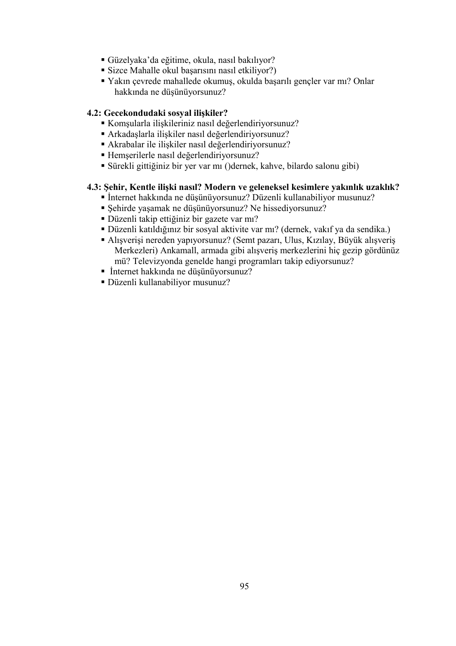- Güzelyaka'da eğitime, okula, nasıl bakılıyor?
- Sizce Mahalle okul başarısını nasıl etkiliyor?)
- Yakın çevrede mahallede okumuş, okulda başarılı gençler var mı? Onlar hakkında ne düşünüyorsunuz?

# **4.2: Gecekondudaki sosyal ilişkiler?**

- Komşularla ilişkileriniz nasıl değerlendiriyorsunuz?
- Arkadaşlarla ilişkiler nasıl değerlendiriyorsunuz?
- Akrabalar ile ilişkiler nasıl değerlendiriyorsunuz?
- Hemşerilerle nasıl değerlendiriyorsunuz?
- Sürekli gittiğiniz bir yer var mı ()dernek, kahve, bilardo salonu gibi)

# **4.3: Şehir, Kentle ilişki nasıl? Modern ve geleneksel kesimlere yakınlık uzaklık?**

- İnternet hakkında ne düşünüyorsunuz? Düzenli kullanabiliyor musunuz?
- Şehirde yaşamak ne düşünüyorsunuz? Ne hissediyorsunuz?
- Düzenli takip ettiğiniz bir gazete var mı?
- Düzenli katıldığınız bir sosyal aktivite var mı? (dernek, vakıf ya da sendika.)
- Alışverişi nereden yapıyorsunuz? (Semt pazarı, Ulus, Kızılay, Büyük alışveriş Merkezleri) Ankamall, armada gibi alışveriş merkezlerini hiç gezip gördünüz mü? Televizyonda genelde hangi programları takip ediyorsunuz?
- İnternet hakkında ne düşünüyorsunuz?
- Düzenli kullanabiliyor musunuz?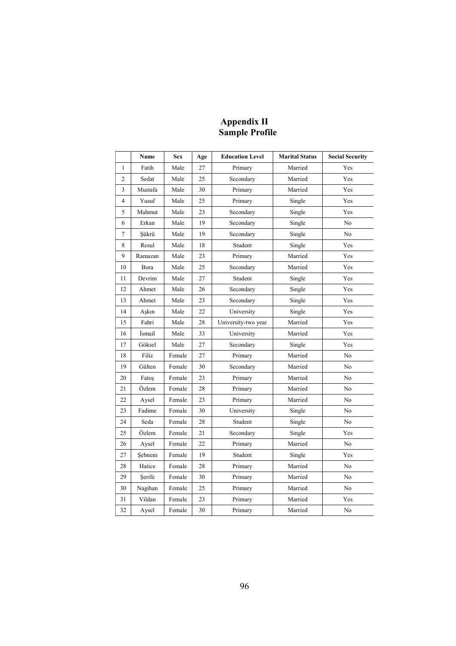## **Appendix II Sample Profile**

|                | Name    | <b>Sex</b> | Age | <b>Education Level</b> | <b>Marital Status</b> | <b>Social Security</b> |
|----------------|---------|------------|-----|------------------------|-----------------------|------------------------|
| $\mathbf{1}$   | Fatih   | Male       | 27  | Primary                | Married               | Yes                    |
| $\overline{c}$ | Sedat   | Male       | 25  | Secondary              | Married               | Yes                    |
| 3              | Mustafa | Male       | 30  | Primary                | Married               | Yes                    |
| 4              | Yusuf   | Male       | 25  | Primary                | Single                | Yes                    |
| 5              | Mahmut  | Male       | 23  | Secondary              | Single                | Yes                    |
| 6              | Erkan   | Male       | 19  | Secondary              | Single                | No                     |
| 7              | Sükrü   | Male       | 19  | Secondary              | Single                | No                     |
| 8              | Resul   | Male       | 18  | Student                | Single                | Yes                    |
| 9              | Ramazan | Male       | 23  | Primary                | Married               | Yes                    |
| 10             | Bora    | Male       | 25  | Secondary              | Married               | Yes                    |
| 11             | Devrim  | Male       | 27  | Student                | Single                | Yes                    |
| 12             | Ahmet   | Male       | 26  | Secondary              | Single                | Yes                    |
| 13             | Ahmet   | Male       | 23  | Secondary              | Single                | Yes                    |
| 14             | Aşkın   | Male       | 22  | University             | Single                | Yes                    |
| 15             | Fahri   | Male       | 28  | University-two year    | Married               | Yes                    |
| 16             | İsmail  | Male       | 33  | University             | Married               | Yes                    |
| 17             | Göksel  | Male       | 27  | Secondary              | Single                | Yes                    |
| 18             | Filiz   | Female     | 27  | Primary                | Married               | No                     |
| 19             | Gülten  | Female     | 30  | Secondary              | Married               | No                     |
| 20             | Fatos   | Female     | 23  | Primary                | Married               | No                     |
| 21             | Özlem   | Female     | 28  | Primary                | Married               | No                     |
| 22             | Aysel   | Female     | 23  | Primary                | Married               | No                     |
| 23             | Fadime  | Female     | 30  | University             | Single                | No                     |
| 24             | Seda    | Female     | 28  | Student                | Single                | No                     |
| 25             | Özlem   | Female     | 21  | Secondary              | Single                | Yes                    |
| 26             | Aysel   | Female     | 22  | Primary                | Married               | No                     |
| 27             | Sebnem  | Female     | 19  | Student                | Single                | Yes                    |
| 28             | Hatice  | Female     | 28  | Primary                | Married               | No                     |
| 29             | Serife  | Female     | 30  | Primary                | Married               | No                     |
| 30             | Nagihan | Female     | 25  | Primary                | Married               | No                     |
| 31             | Vildan  | Female     | 23  | Primary                | Married               | Yes                    |
| 32             | Aysel   | Female     | 30  | Primary                | Married               | No                     |